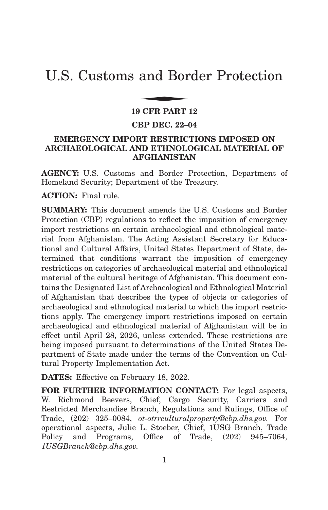# U.S. Customs and Border Protection and Bor

#### **19 CFR PART 12**

#### **CBP DEC. 22–04**

# **EMERGENCY IMPORT RESTRICTIONS IMPOSED ON ARCHAEOLOGICAL AND ETHNOLOGICAL MATERIAL OF AFGHANISTAN**

**AGENCY:** U.S. Customs and Border Protection, Department of Homeland Security; Department of the Treasury.

**ACTION:** Final rule.

**SUMMARY:** This document amends the U.S. Customs and Border Protection (CBP) regulations to reflect the imposition of emergency import restrictions on certain archaeological and ethnological material from Afghanistan. The Acting Assistant Secretary for Educational and Cultural Affairs, United States Department of State, determined that conditions warrant the imposition of emergency restrictions on categories of archaeological material and ethnological material of the cultural heritage of Afghanistan. This document contains the Designated List of Archaeological and Ethnological Material of Afghanistan that describes the types of objects or categories of archaeological and ethnological material to which the import restrictions apply. The emergency import restrictions imposed on certain archaeological and ethnological material of Afghanistan will be in effect until April 28, 2026, unless extended. These restrictions are being imposed pursuant to determinations of the United States Department of State made under the terms of the Convention on Cultural Property Implementation Act.

**DATES:** Effective on February 18, 2022.

**FOR FURTHER INFORMATION CONTACT:** For legal aspects, W. Richmond Beevers, Chief, Cargo Security, Carriers and Restricted Merchandise Branch, Regulations and Rulings, Office of Trade, (202) 325–0084, *ot-otrrculturalproperty@cbp.dhs.gov.* For operational aspects, Julie L. Stoeber, Chief, 1USG Branch, Trade Policy and Programs, Office of Trade, (202) 945–7064, *1USGBranch@cbp.dhs.gov.*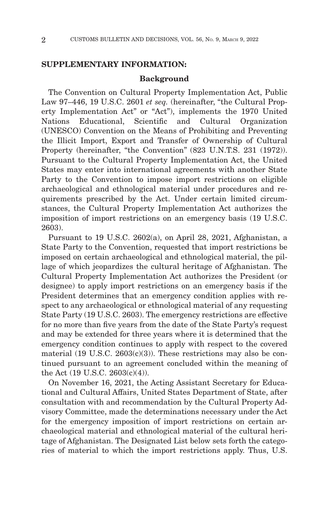#### **SUPPLEMENTARY INFORMATION:**

#### **Background**

The Convention on Cultural Property Implementation Act, Public Law 97–446, 19 U.S.C. 2601 *et seq.* (hereinafter, "the Cultural Property Implementation Act'' or ''Act''), implements the 1970 United Nations Educational, Scientific and Cultural Organization (UNESCO) Convention on the Means of Prohibiting and Preventing the Illicit Import, Export and Transfer of Ownership of Cultural Property (hereinafter, "the Convention" (823 U.N.T.S. 231 (1972)). Pursuant to the Cultural Property Implementation Act, the United States may enter into international agreements with another State Party to the Convention to impose import restrictions on eligible archaeological and ethnological material under procedures and requirements prescribed by the Act. Under certain limited circumstances, the Cultural Property Implementation Act authorizes the imposition of import restrictions on an emergency basis (19 U.S.C. 2603).

Pursuant to 19 U.S.C. 2602(a), on April 28, 2021, Afghanistan, a State Party to the Convention, requested that import restrictions be imposed on certain archaeological and ethnological material, the pillage of which jeopardizes the cultural heritage of Afghanistan. The Cultural Property Implementation Act authorizes the President (or designee) to apply import restrictions on an emergency basis if the President determines that an emergency condition applies with respect to any archaeological or ethnological material of any requesting State Party (19 U.S.C. 2603). The emergency restrictions are effective for no more than five years from the date of the State Party's request and may be extended for three years where it is determined that the emergency condition continues to apply with respect to the covered material (19 U.S.C.  $2603(c)(3)$ ). These restrictions may also be continued pursuant to an agreement concluded within the meaning of the Act (19 U.S.C. 2603(c)(4)).

On November 16, 2021, the Acting Assistant Secretary for Educational and Cultural Affairs, United States Department of State, after consultation with and recommendation by the Cultural Property Advisory Committee, made the determinations necessary under the Act for the emergency imposition of import restrictions on certain archaeological material and ethnological material of the cultural heritage of Afghanistan. The Designated List below sets forth the categories of material to which the import restrictions apply. Thus, U.S.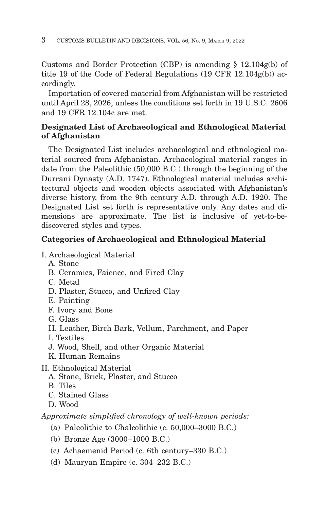Customs and Border Protection (CBP) is amending § 12.104g(b) of title 19 of the Code of Federal Regulations (19 CFR 12.104g(b)) accordingly.

Importation of covered material from Afghanistan will be restricted until April 28, 2026, unless the conditions set forth in 19 U.S.C. 2606 and 19 CFR 12.104c are met.

# **Designated List of Archaeological and Ethnological Material of Afghanistan**

The Designated List includes archaeological and ethnological material sourced from Afghanistan. Archaeological material ranges in date from the Paleolithic (50,000 B.C.) through the beginning of the Durrani Dynasty (A.D. 1747). Ethnological material includes architectural objects and wooden objects associated with Afghanistan's diverse history, from the 9th century A.D. through A.D. 1920. The Designated List set forth is representative only. Any dates and dimensions are approximate. The list is inclusive of yet-to-bediscovered styles and types.

# **Categories of Archaeological and Ethnological Material**

- I. Archaeological Material
	- A. Stone
	- B. Ceramics, Faience, and Fired Clay
	- C. Metal
	- D. Plaster, Stucco, and Unfired Clay
	- E. Painting
	- F. Ivory and Bone
	- G. Glass
	- H. Leather, Birch Bark, Vellum, Parchment, and Paper
	- I. Textiles
	- J. Wood, Shell, and other Organic Material
	- K. Human Remains
- II. Ethnological Material
	- A. Stone, Brick, Plaster, and Stucco
	- B. Tiles
	- C. Stained Glass
	- D. Wood

*Approximate simplified chronology of well-known periods:*

- (a) Paleolithic to Chalcolithic (c. 50,000–3000 B.C.)
- (b) Bronze Age (3000–1000 B.C.)
- (c) Achaemenid Period (c. 6th century–330 B.C.)
- (d) Mauryan Empire (c. 304–232 B.C.)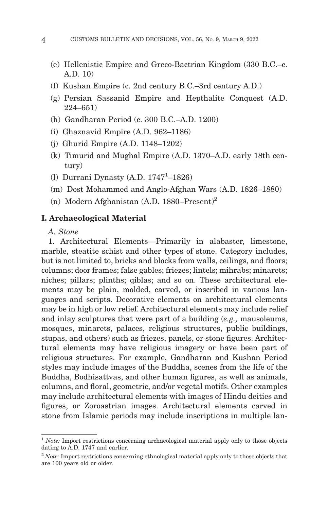- (e) Hellenistic Empire and Greco-Bactrian Kingdom (330 B.C.–c. A.D. 10)
- (f) Kushan Empire (c. 2nd century B.C.–3rd century A.D.)
- (g) Persian Sassanid Empire and Hepthalite Conquest (A.D. 224–651)
- (h) Gandharan Period (c. 300 B.C.–A.D. 1200)
- (i) Ghaznavid Empire (A.D. 962–1186)
- (j) Ghurid Empire (A.D. 1148–1202)
- (k) Timurid and Mughal Empire (A.D. 1370–A.D. early 18th century)
- (l) Durrani Dynasty (A.D. 1747<sup>1</sup>-1826)
- (m) Dost Mohammed and Anglo-Afghan Wars (A.D. 1826–1880)
- (n) Modern Afghanistan (A.D. 1880–Present)2

## **I. Archaeological Material**

*A. Stone*

1. Architectural Elements—Primarily in alabaster, limestone, marble, steatite schist and other types of stone. Category includes, but is not limited to, bricks and blocks from walls, ceilings, and floors; columns; door frames; false gables; friezes; lintels; mihrabs; minarets; niches; pillars; plinths; qiblas; and so on. These architectural elements may be plain, molded, carved, or inscribed in various languages and scripts. Decorative elements on architectural elements may be in high or low relief. Architectural elements may include relief and inlay sculptures that were part of a building (*e.g.,* mausoleums, mosques, minarets, palaces, religious structures, public buildings, stupas, and others) such as friezes, panels, or stone figures. Architectural elements may have religious imagery or have been part of religious structures. For example, Gandharan and Kushan Period styles may include images of the Buddha, scenes from the life of the Buddha, Bodhisattvas, and other human figures, as well as animals, columns, and floral, geometric, and/or vegetal motifs. Other examples may include architectural elements with images of Hindu deities and figures, or Zoroastrian images. Architectural elements carved in stone from Islamic periods may include inscriptions in multiple lan-

<sup>&</sup>lt;sup>1</sup> Note: Import restrictions concerning archaeological material apply only to those objects dating to A.D. 1747 and earlier.

<sup>&</sup>lt;sup>2</sup> Note: Import restrictions concerning ethnological material apply only to those objects that are 100 years old or older.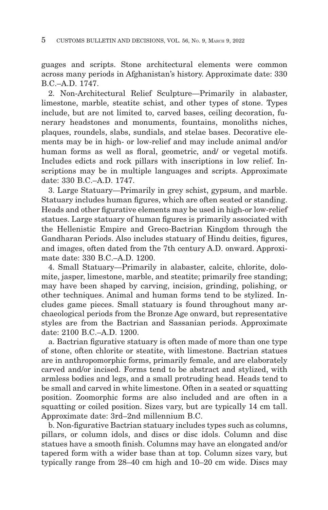guages and scripts. Stone architectural elements were common across many periods in Afghanistan's history. Approximate date: 330 B.C.–A.D. 1747.

2. Non-Architectural Relief Sculpture—Primarily in alabaster, limestone, marble, steatite schist, and other types of stone. Types include, but are not limited to, carved bases, ceiling decoration, funerary headstones and monuments, fountains, monoliths niches, plaques, roundels, slabs, sundials, and stelae bases. Decorative elements may be in high- or low-relief and may include animal and/or human forms as well as floral, geometric, and/ or vegetal motifs. Includes edicts and rock pillars with inscriptions in low relief. Inscriptions may be in multiple languages and scripts. Approximate date: 330 B.C.–A.D. 1747.

3. Large Statuary—Primarily in grey schist, gypsum, and marble. Statuary includes human figures, which are often seated or standing. Heads and other figurative elements may be used in high-or low-relief statues. Large statuary of human figures is primarily associated with the Hellenistic Empire and Greco-Bactrian Kingdom through the Gandharan Periods. Also includes statuary of Hindu deities, figures, and images, often dated from the 7th century A.D. onward. Approximate date: 330 B.C.–A.D. 1200.

4. Small Statuary—Primarily in alabaster, calcite, chlorite, dolomite, jasper, limestone, marble, and steatite; primarily free standing; may have been shaped by carving, incision, grinding, polishing, or other techniques. Animal and human forms tend to be stylized. Includes game pieces. Small statuary is found throughout many archaeological periods from the Bronze Age onward, but representative styles are from the Bactrian and Sassanian periods. Approximate date: 2100 B.C.–A.D. 1200.

a. Bactrian figurative statuary is often made of more than one type of stone, often chlorite or steatite, with limestone. Bactrian statues are in anthropomorphic forms, primarily female, and are elaborately carved and/or incised. Forms tend to be abstract and stylized, with armless bodies and legs, and a small protruding head. Heads tend to be small and carved in white limestone. Often in a seated or squatting position. Zoomorphic forms are also included and are often in a squatting or coiled position. Sizes vary, but are typically 14 cm tall. Approximate date: 3rd–2nd millennium B.C.

b. Non-figurative Bactrian statuary includes types such as columns, pillars, or column idols, and discs or disc idols. Column and disc statues have a smooth finish. Columns may have an elongated and/or tapered form with a wider base than at top. Column sizes vary, but typically range from 28–40 cm high and 10–20 cm wide. Discs may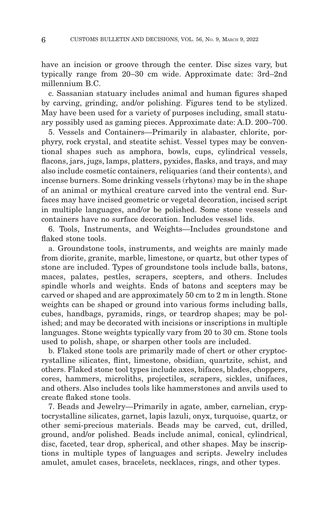have an incision or groove through the center. Disc sizes vary, but typically range from 20–30 cm wide. Approximate date: 3rd–2nd millennium B.C.

c. Sassanian statuary includes animal and human figures shaped by carving, grinding, and/or polishing. Figures tend to be stylized. May have been used for a variety of purposes including, small statuary possibly used as gaming pieces. Approximate date: A.D. 200–700.

5. Vessels and Containers—Primarily in alabaster, chlorite, porphyry, rock crystal, and steatite schist. Vessel types may be conventional shapes such as amphora, bowls, cups, cylindrical vessels, flacons, jars, jugs, lamps, platters, pyxides, flasks, and trays, and may also include cosmetic containers, reliquaries (and their contents), and incense burners. Some drinking vessels (rhytons) may be in the shape of an animal or mythical creature carved into the ventral end. Surfaces may have incised geometric or vegetal decoration, incised script in multiple languages, and/or be polished. Some stone vessels and containers have no surface decoration. Includes vessel lids.

6. Tools, Instruments, and Weights—Includes groundstone and flaked stone tools.

a. Groundstone tools, instruments, and weights are mainly made from diorite, granite, marble, limestone, or quartz, but other types of stone are included. Types of groundstone tools include balls, batons, maces, palates, pestles, scrapers, scepters, and others. Includes spindle whorls and weights. Ends of batons and scepters may be carved or shaped and are approximately 50 cm to 2 m in length. Stone weights can be shaped or ground into various forms including balls, cubes, handbags, pyramids, rings, or teardrop shapes; may be polished; and may be decorated with incisions or inscriptions in multiple languages. Stone weights typically vary from 20 to 30 cm. Stone tools used to polish, shape, or sharpen other tools are included.

b. Flaked stone tools are primarily made of chert or other cryptocrystalline silicates, flint, limestone, obsidian, quartzite, schist, and others. Flaked stone tool types include axes, bifaces, blades, choppers, cores, hammers, microliths, projectiles, scrapers, sickles, unifaces, and others. Also includes tools like hammerstones and anvils used to create flaked stone tools.

7. Beads and Jewelry—Primarily in agate, amber, carnelian, cryptocrystalline silicates, garnet, lapis lazuli, onyx, turquoise, quartz, or other semi-precious materials. Beads may be carved, cut, drilled, ground, and/or polished. Beads include animal, conical, cylindrical, disc, faceted, tear drop, spherical, and other shapes. May be inscriptions in multiple types of languages and scripts. Jewelry includes amulet, amulet cases, bracelets, necklaces, rings, and other types.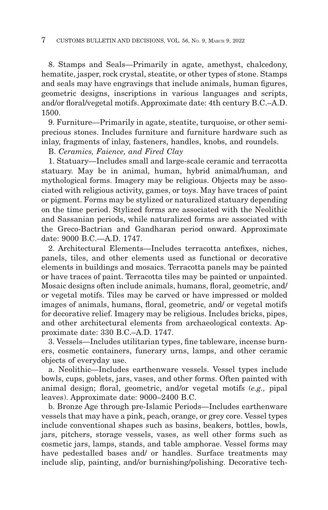8. Stamps and Seals—Primarily in agate, amethyst, chalcedony, hematite, jasper, rock crystal, steatite, or other types of stone. Stamps and seals may have engravings that include animals, human figures, geometric designs, inscriptions in various languages and scripts, and/or floral/vegetal motifs. Approximate date: 4th century B.C.–A.D. 1500.

9. Furniture—Primarily in agate, steatite, turquoise, or other semiprecious stones. Includes furniture and furniture hardware such as inlay, fragments of inlay, fasteners, handles, knobs, and roundels.

B. *Ceramics, Faience, and Fired Clay*

1. Statuary—Includes small and large-scale ceramic and terracotta statuary. May be in animal, human, hybrid animal/human, and mythological forms. Imagery may be religious. Objects may be associated with religious activity, games, or toys. May have traces of paint or pigment. Forms may be stylized or naturalized statuary depending on the time period. Stylized forms are associated with the Neolithic and Sassanian periods, while naturalized forms are associated with the Greco-Bactrian and Gandharan period onward. Approximate date: 9000 B.C.—A.D. 1747.

2. Architectural Elements—Includes terracotta antefixes, niches, panels, tiles, and other elements used as functional or decorative elements in buildings and mosaics. Terracotta panels may be painted or have traces of paint. Terracotta tiles may be painted or unpainted. Mosaic designs often include animals, humans, floral, geometric, and/ or vegetal motifs. Tiles may be carved or have impressed or molded images of animals, humans, floral, geometric, and/ or vegetal motifs for decorative relief. Imagery may be religious. Includes bricks, pipes, and other architectural elements from archaeological contexts. Approximate date: 330 B.C.–A.D. 1747.

3. Vessels—Includes utilitarian types, fine tableware, incense burners, cosmetic containers, funerary urns, lamps, and other ceramic objects of everyday use.

a. Neolithic—Includes earthenware vessels. Vessel types include bowls, cups, goblets, jars, vases, and other forms. Often painted with animal design; floral, geometric, and/or vegetal motifs (*e.g.,* pipal leaves). Approximate date: 9000–2400 B.C.

b. Bronze Age through pre-Islamic Periods—Includes earthenware vessels that may have a pink, peach, orange, or grey core. Vessel types include conventional shapes such as basins, beakers, bottles, bowls, jars, pitchers, storage vessels, vases, as well other forms such as cosmetic jars, lamps, stands, and table amphorae. Vessel forms may have pedestalled bases and/ or handles. Surface treatments may include slip, painting, and/or burnishing/polishing. Decorative tech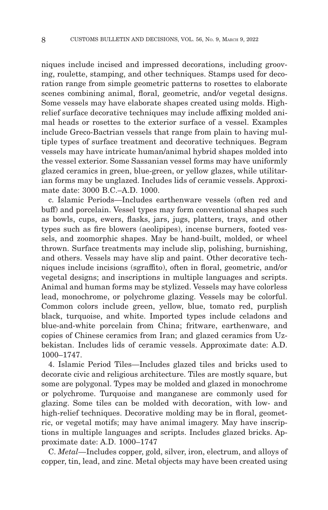niques include incised and impressed decorations, including grooving, roulette, stamping, and other techniques. Stamps used for decoration range from simple geometric patterns to rosettes to elaborate scenes combining animal, floral, geometric, and/or vegetal designs. Some vessels may have elaborate shapes created using molds. Highrelief surface decorative techniques may include affixing molded animal heads or rosettes to the exterior surface of a vessel. Examples include Greco-Bactrian vessels that range from plain to having multiple types of surface treatment and decorative techniques. Begram vessels may have intricate human/animal hybrid shapes molded into the vessel exterior. Some Sassanian vessel forms may have uniformly glazed ceramics in green, blue-green, or yellow glazes, while utilitarian forms may be unglazed. Includes lids of ceramic vessels. Approximate date: 3000 B.C.–A.D. 1000.

c. Islamic Periods—Includes earthenware vessels (often red and buff) and porcelain. Vessel types may form conventional shapes such as bowls, cups, ewers, flasks, jars, jugs, platters, trays, and other types such as fire blowers (aeolipipes), incense burners, footed vessels, and zoomorphic shapes. May be hand-built, molded, or wheel thrown. Surface treatments may include slip, polishing, burnishing, and others. Vessels may have slip and paint. Other decorative techniques include incisions (sgraffito), often in floral, geometric, and/or vegetal designs; and inscriptions in multiple languages and scripts. Animal and human forms may be stylized. Vessels may have colorless lead, monochrome, or polychrome glazing. Vessels may be colorful. Common colors include green, yellow, blue, tomato red, purplish black, turquoise, and white. Imported types include celadons and blue-and-white porcelain from China; fritware, earthenware, and copies of Chinese ceramics from Iran; and glazed ceramics from Uzbekistan. Includes lids of ceramic vessels. Approximate date: A.D. 1000–1747.

4. Islamic Period Tiles—Includes glazed tiles and bricks used to decorate civic and religious architecture. Tiles are mostly square, but some are polygonal. Types may be molded and glazed in monochrome or polychrome. Turquoise and manganese are commonly used for glazing. Some tiles can be molded with decoration, with low- and high-relief techniques. Decorative molding may be in floral, geometric, or vegetal motifs; may have animal imagery. May have inscriptions in multiple languages and scripts. Includes glazed bricks. Approximate date: A.D. 1000–1747

C. *Metal—*Includes copper, gold, silver, iron, electrum, and alloys of copper, tin, lead, and zinc. Metal objects may have been created using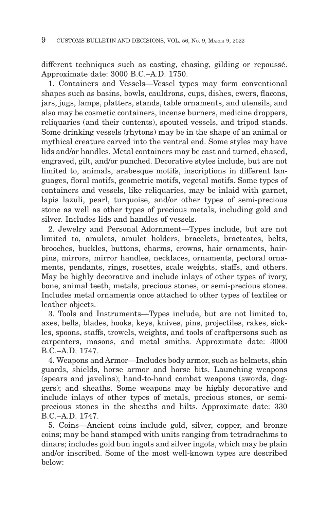different techniques such as casting, chasing, gilding or repoussé. Approximate date: 3000 B.C.–A.D. 1750.

1. Containers and Vessels—Vessel types may form conventional shapes such as basins, bowls, cauldrons, cups, dishes, ewers, flacons, jars, jugs, lamps, platters, stands, table ornaments, and utensils, and also may be cosmetic containers, incense burners, medicine droppers, reliquaries (and their contents), spouted vessels, and tripod stands. Some drinking vessels (rhytons) may be in the shape of an animal or mythical creature carved into the ventral end. Some styles may have lids and/or handles. Metal containers may be cast and turned, chased, engraved, gilt, and/or punched. Decorative styles include, but are not limited to, animals, arabesque motifs, inscriptions in different languages, floral motifs, geometric motifs, vegetal motifs. Some types of containers and vessels, like reliquaries, may be inlaid with garnet, lapis lazuli, pearl, turquoise, and/or other types of semi-precious stone as well as other types of precious metals, including gold and silver. Includes lids and handles of vessels.

2. Jewelry and Personal Adornment—Types include, but are not limited to, amulets, amulet holders, bracelets, bracteates, belts, brooches, buckles, buttons, charms, crowns, hair ornaments, hairpins, mirrors, mirror handles, necklaces, ornaments, pectoral ornaments, pendants, rings, rosettes, scale weights, staffs, and others. May be highly decorative and include inlays of other types of ivory, bone, animal teeth, metals, precious stones, or semi-precious stones. Includes metal ornaments once attached to other types of textiles or leather objects.

3. Tools and Instruments—Types include, but are not limited to, axes, bells, blades, hooks, keys, knives, pins, projectiles, rakes, sickles, spoons, staffs, trowels, weights, and tools of craftpersons such as carpenters, masons, and metal smiths. Approximate date: 3000 B.C.–A.D. 1747.

4. Weapons and Armor—Includes body armor, such as helmets, shin guards, shields, horse armor and horse bits. Launching weapons (spears and javelins); hand-to-hand combat weapons (swords, daggers); and sheaths. Some weapons may be highly decorative and include inlays of other types of metals, precious stones, or semiprecious stones in the sheaths and hilts. Approximate date: 330 B.C.–A.D. 1747.

5. Coins—Ancient coins include gold, silver, copper, and bronze coins; may be hand stamped with units ranging from tetradrachms to dinars; includes gold bun ingots and silver ingots, which may be plain and/or inscribed. Some of the most well-known types are described below: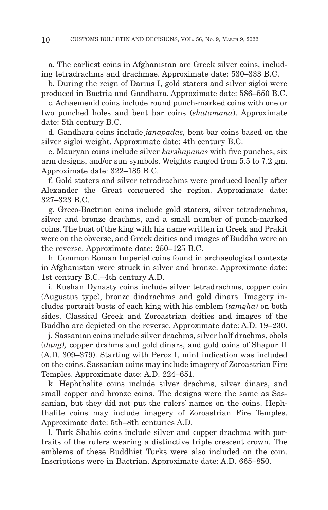a. The earliest coins in Afghanistan are Greek silver coins, including tetradrachms and drachmae. Approximate date: 530–333 B.C.

b. During the reign of Darius I, gold staters and silver sigloi were produced in Bactria and Gandhara. Approximate date: 586–550 B.C.

c. Achaemenid coins include round punch-marked coins with one or two punched holes and bent bar coins (*shatamana*). Approximate date: 5th century B.C.

d. Gandhara coins include *janapadas,* bent bar coins based on the silver sigloi weight. Approximate date: 4th century B.C.

e. Mauryan coins include silver *karshapanas* with five punches, six arm designs, and/or sun symbols. Weights ranged from 5.5 to 7.2 gm. Approximate date: 322–185 B.C.

f. Gold staters and silver tetradrachms were produced locally after Alexander the Great conquered the region. Approximate date: 327–323 B.C.

g. Greco-Bactrian coins include gold staters, silver tetradrachms, silver and bronze drachms, and a small number of punch-marked coins. The bust of the king with his name written in Greek and Prakit were on the obverse, and Greek deities and images of Buddha were on the reverse. Approximate date: 250–125 B.C.

h. Common Roman Imperial coins found in archaeological contexts in Afghanistan were struck in silver and bronze. Approximate date: 1st century B.C.–4th century A.D.

i. Kushan Dynasty coins include silver tetradrachms, copper coin (Augustus type), bronze diadrachms and gold dinars. Imagery includes portrait busts of each king with his emblem (*tamgha)* on both sides. Classical Greek and Zoroastrian deities and images of the Buddha are depicted on the reverse. Approximate date: A.D. 19–230.

j. Sassanian coins include silver drachms, silver half drachms, obols (*dang),* copper drahms and gold dinars, and gold coins of Shapur II (A.D. 309–379). Starting with Peroz I, mint indication was included on the coins. Sassanian coins may include imagery of Zoroastrian Fire Temples. Approximate date: A.D. 224–651.

k. Hephthalite coins include silver drachms, silver dinars, and small copper and bronze coins. The designs were the same as Sassanian, but they did not put the rulers' names on the coins. Hephthalite coins may include imagery of Zoroastrian Fire Temples. Approximate date: 5th–8th centuries A.D.

l. Turk Shahis coins include silver and copper drachma with portraits of the rulers wearing a distinctive triple crescent crown. The emblems of these Buddhist Turks were also included on the coin. Inscriptions were in Bactrian. Approximate date: A.D. 665–850.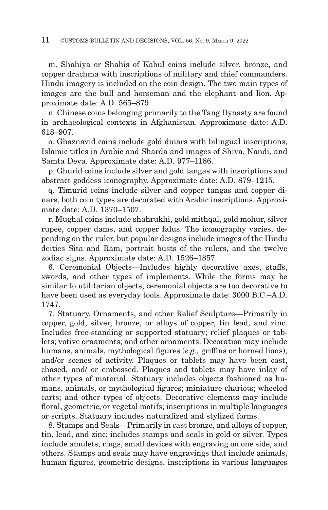m. Shahiya or Shahis of Kabul coins include silver, bronze, and copper drachma with inscriptions of military and chief commanders. Hindu imagery is included on the coin design. The two main types of images are the bull and horseman and the elephant and lion. Approximate date: A.D. 565–879.

n. Chinese coins belonging primarily to the Tang Dynasty are found in archaeological contexts in Afghanistan. Approximate date: A.D. 618–907.

o. Ghaznavid coins include gold dinars with bilingual inscriptions, Islamic titles in Arabic and Sharda and images of Shiva, Nandi, and Samta Deva. Approximate date: A.D. 977–1186.

p. Ghurid coins include silver and gold tangas with inscriptions and abstract goddess iconography. Approximate date: A.D. 879–1215.

q. Timurid coins include silver and copper tangas and copper dinars, both coin types are decorated with Arabic inscriptions. Approximate date: A.D. 1370–1507.

r. Mughal coins include shahrukhi, gold mithqal, gold mohur, silver rupee, copper dams, and copper falus. The iconography varies, depending on the ruler, but popular designs include images of the Hindu deities Sita and Ram, portrait busts of the rulers, and the twelve zodiac signs. Approximate date: A.D. 1526–1857.

6. Ceremonial Objects—Includes highly decorative axes, staffs, swords, and other types of implements. While the forms may be similar to utilitarian objects, ceremonial objects are too decorative to have been used as everyday tools. Approximate date: 3000 B.C.–A.D. 1747.

7. Statuary, Ornaments, and other Relief Sculpture—Primarily in copper, gold, silver, bronze, or alloys of copper, tin lead, and zinc. Includes free-standing or supported statuary; relief plaques or tablets; votive ornaments; and other ornaments. Decoration may include humans, animals, mythological figures (*e.g.,* griffins or horned lions), and/or scenes of activity. Plaques or tablets may have been cast, chased, and/ or embossed. Plaques and tablets may have inlay of other types of material. Statuary includes objects fashioned as humans, animals, or mythological figures; miniature chariots; wheeled carts; and other types of objects. Decorative elements may include floral, geometric, or vegetal motifs; inscriptions in multiple languages or scripts. Statuary includes naturalized and stylized forms.

8. Stamps and Seals—Primarily in cast bronze, and alloys of copper, tin, lead, and zinc; includes stamps and seals in gold or silver. Types include amulets, rings, small devices with engraving on one side, and others. Stamps and seals may have engravings that include animals, human figures, geometric designs, inscriptions in various languages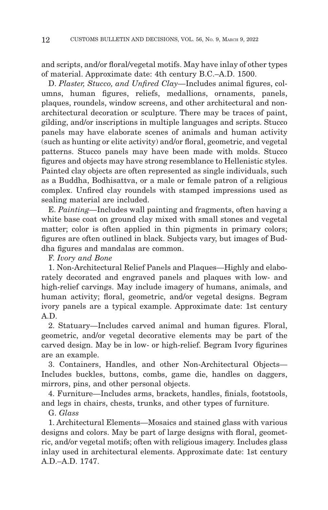and scripts, and/or floral/vegetal motifs. May have inlay of other types of material. Approximate date: 4th century B.C.–A.D. 1500.

D. *Plaster, Stucco, and Unfired Clay—*Includes animal figures, columns, human figures, reliefs, medallions, ornaments, panels, plaques, roundels, window screens, and other architectural and nonarchitectural decoration or sculpture. There may be traces of paint, gilding, and/or inscriptions in multiple languages and scripts. Stucco panels may have elaborate scenes of animals and human activity (such as hunting or elite activity) and/or floral, geometric, and vegetal patterns. Stucco panels may have been made with molds. Stucco figures and objects may have strong resemblance to Hellenistic styles. Painted clay objects are often represented as single individuals, such as a Buddha, Bodhisattva, or a male or female patron of a religious complex. Unfired clay roundels with stamped impressions used as sealing material are included.

E. *Painting—*Includes wall painting and fragments, often having a white base coat on ground clay mixed with small stones and vegetal matter; color is often applied in thin pigments in primary colors; figures are often outlined in black. Subjects vary, but images of Buddha figures and mandalas are common.

### F. *Ivory and Bone*

1. Non-Architectural Relief Panels and Plaques—Highly and elaborately decorated and engraved panels and plaques with low- and high-relief carvings. May include imagery of humans, animals, and human activity; floral, geometric, and/or vegetal designs. Begram ivory panels are a typical example. Approximate date: 1st century A.D.

2. Statuary—Includes carved animal and human figures. Floral, geometric, and/or vegetal decorative elements may be part of the carved design. May be in low- or high-relief. Begram Ivory figurines are an example.

3. Containers, Handles, and other Non-Architectural Objects— Includes buckles, buttons, combs, game die, handles on daggers, mirrors, pins, and other personal objects.

4. Furniture—Includes arms, brackets, handles, finials, footstools, and legs in chairs, chests, trunks, and other types of furniture.

G. *Glass*

1. Architectural Elements—Mosaics and stained glass with various designs and colors. May be part of large designs with floral, geometric, and/or vegetal motifs; often with religious imagery. Includes glass inlay used in architectural elements. Approximate date: 1st century A.D.–A.D. 1747.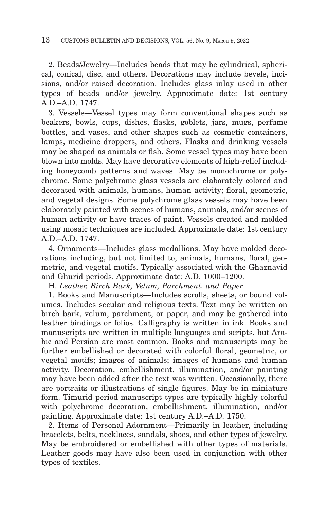2. Beads/Jewelry—Includes beads that may be cylindrical, spherical, conical, disc, and others. Decorations may include bevels, incisions, and/or raised decoration. Includes glass inlay used in other types of beads and/or jewelry. Approximate date: 1st century A.D.–A.D. 1747.

3. Vessels—Vessel types may form conventional shapes such as beakers, bowls, cups, dishes, flasks, goblets, jars, mugs, perfume bottles, and vases, and other shapes such as cosmetic containers, lamps, medicine droppers, and others. Flasks and drinking vessels may be shaped as animals or fish. Some vessel types may have been blown into molds. May have decorative elements of high-relief including honeycomb patterns and waves. May be monochrome or polychrome. Some polychrome glass vessels are elaborately colored and decorated with animals, humans, human activity; floral, geometric, and vegetal designs. Some polychrome glass vessels may have been elaborately painted with scenes of humans, animals, and/or scenes of human activity or have traces of paint. Vessels created and molded using mosaic techniques are included. Approximate date: 1st century A.D.–A.D. 1747.

4. Ornaments—Includes glass medallions. May have molded decorations including, but not limited to, animals, humans, floral, geometric, and vegetal motifs. Typically associated with the Ghaznavid and Ghurid periods. Approximate date: A.D. 1000–1200.

H. *Leather, Birch Bark, Velum, Parchment, and Paper*

1. Books and Manuscripts—Includes scrolls, sheets, or bound volumes. Includes secular and religious texts. Text may be written on birch bark, velum, parchment, or paper, and may be gathered into leather bindings or folios. Calligraphy is written in ink. Books and manuscripts are written in multiple languages and scripts, but Arabic and Persian are most common. Books and manuscripts may be further embellished or decorated with colorful floral, geometric, or vegetal motifs; images of animals; images of humans and human activity. Decoration, embellishment, illumination, and/or painting may have been added after the text was written. Occasionally, there are portraits or illustrations of single figures. May be in miniature form. Timurid period manuscript types are typically highly colorful with polychrome decoration, embellishment, illumination, and/or painting. Approximate date: 1st century A.D.–A.D. 1750.

2. Items of Personal Adornment—Primarily in leather, including bracelets, belts, necklaces, sandals, shoes, and other types of jewelry. May be embroidered or embellished with other types of materials. Leather goods may have also been used in conjunction with other types of textiles.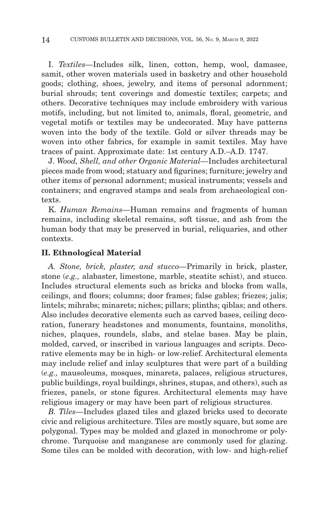I. *Textiles—*Includes silk, linen, cotton, hemp, wool, damasee, samit, other woven materials used in basketry and other household goods; clothing, shoes, jewelry, and items of personal adornment; burial shrouds; tent coverings and domestic textiles; carpets; and others. Decorative techniques may include embroidery with various motifs, including, but not limited to, animals, floral, geometric, and vegetal motifs or textiles may be undecorated. May have patterns woven into the body of the textile. Gold or silver threads may be woven into other fabrics, for example in samit textiles. May have traces of paint. Approximate date: 1st century A.D.–A.D. 1747.

J. *Wood, Shell, and other Organic Material—*Includes architectural pieces made from wood; statuary and figurines; furniture; jewelry and other items of personal adornment; musical instruments; vessels and containers; and engraved stamps and seals from archaeological contexts.

K. *Human Remains—*Human remains and fragments of human remains, including skeletal remains, soft tissue, and ash from the human body that may be preserved in burial, reliquaries, and other contexts.

#### **II. Ethnological Material**

*A. Stone, brick, plaster, and stucco—*Primarily in brick, plaster, stone (*e.g.,* alabaster, limestone, marble, steatite schist), and stucco. Includes structural elements such as bricks and blocks from walls, ceilings, and floors; columns; door frames; false gables; friezes; jalis; lintels; mihrabs; minarets; niches; pillars; plinths; qiblas; and others. Also includes decorative elements such as carved bases, ceiling decoration, funerary headstones and monuments, fountains, monoliths, niches, plaques, roundels, slabs, and stelae bases. May be plain, molded, carved, or inscribed in various languages and scripts. Decorative elements may be in high- or low-relief. Architectural elements may include relief and inlay sculptures that were part of a building (*e.g.,* mausoleums, mosques, minarets, palaces, religious structures, public buildings, royal buildings, shrines, stupas, and others), such as friezes, panels, or stone figures. Architectural elements may have religious imagery or may have been part of religious structures.

*B. Tiles—*Includes glazed tiles and glazed bricks used to decorate civic and religious architecture. Tiles are mostly square, but some are polygonal. Types may be molded and glazed in monochrome or polychrome. Turquoise and manganese are commonly used for glazing. Some tiles can be molded with decoration, with low- and high-relief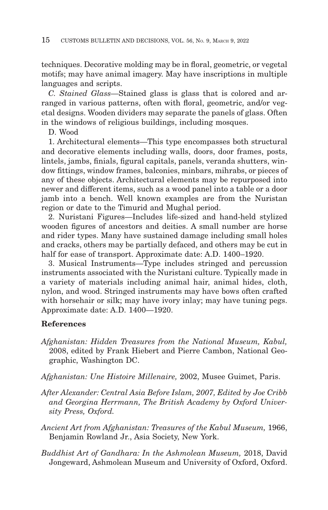techniques. Decorative molding may be in floral, geometric, or vegetal motifs; may have animal imagery. May have inscriptions in multiple languages and scripts.

*C. Stained Glass—*Stained glass is glass that is colored and arranged in various patterns, often with floral, geometric, and/or vegetal designs. Wooden dividers may separate the panels of glass. Often in the windows of religious buildings, including mosques.

D. Wood

1. Architectural elements—This type encompasses both structural and decorative elements including walls, doors, door frames, posts, lintels, jambs, finials, figural capitals, panels, veranda shutters, window fittings, window frames, balconies, minbars, mihrabs, or pieces of any of these objects. Architectural elements may be repurposed into newer and different items, such as a wood panel into a table or a door jamb into a bench. Well known examples are from the Nuristan region or date to the Timurid and Mughal period.

2. Nuristani Figures—Includes life-sized and hand-held stylized wooden figures of ancestors and deities. A small number are horse and rider types. Many have sustained damage including small holes and cracks, others may be partially defaced, and others may be cut in half for ease of transport. Approximate date: A.D. 1400–1920.

3. Musical Instruments—Type includes stringed and percussion instruments associated with the Nuristani culture. Typically made in a variety of materials including animal hair, animal hides, cloth, nylon, and wood. Stringed instruments may have bows often crafted with horsehair or silk; may have ivory inlay; may have tuning pegs. Approximate date: A.D. 1400—1920.

# **References**

- *Afghanistan: Hidden Treasures from the National Museum, Kabul,* 2008, edited by Frank Hiebert and Pierre Cambon, National Geographic, Washington DC.
- *Afghanistan: Une Histoire Millenaire,* 2002, Musee Guimet, Paris.
- *After Alexander: Central Asia Before Islam, 2007, Edited by Joe Cribb and Georgina Herrmann, The British Academy by Oxford University Press, Oxford.*
- *Ancient Art from Afghanistan: Treasures of the Kabul Museum,* 1966, Benjamin Rowland Jr., Asia Society, New York.
- *Buddhist Art of Gandhara: In the Ashmolean Museum,* 2018, David Jongeward, Ashmolean Museum and University of Oxford, Oxford.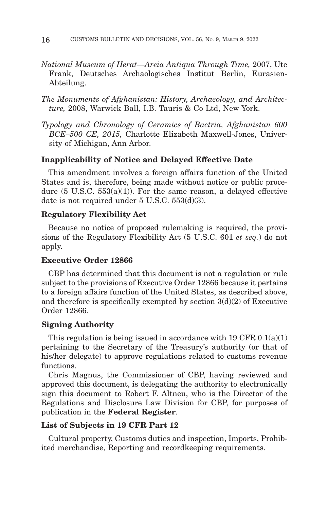- *National Museum of Herat—Areia Antiqua Through Time,* 2007, Ute Frank, Deutsches Archaologisches Institut Berlin, Eurasien-Abteilung.
- *The Monuments of Afghanistan: History, Archaeology, and Architec ture,* 2008, Warwick Ball, I.B. Tauris & Co Ltd, New York.
- *Typology and Chronology of Ceramics of Bactria, Afghanistan 600 BCE–500 CE, 2015,* Charlotte Elizabeth Maxwell-Jones, University of Michigan, Ann Arbor.

## **Inapplicability of Notice and Delayed Effective Date**

This amendment involves a foreign affairs function of the United States and is, therefore, being made without notice or public procedure  $(5 \text{ U.S.C. } 553(a)(1))$ . For the same reason, a delayed effective date is not required under 5 U.S.C. 553(d)(3).

#### **Regulatory Flexibility Act**

Because no notice of proposed rulemaking is required, the provisions of the Regulatory Flexibility Act (5 U.S.C. 601 *et seq.*) do not apply.

#### **Executive Order 12866**

CBP has determined that this document is not a regulation or rule subject to the provisions of Executive Order 12866 because it pertains to a foreign affairs function of the United States, as described above, and therefore is specifically exempted by section  $3(d)(2)$  of Executive Order 12866.

### **Signing Authority**

This regulation is being issued in accordance with  $19 \text{ CFR } 0.1(a)(1)$ pertaining to the Secretary of the Treasury's authority (or that of his/her delegate) to approve regulations related to customs revenue functions.

Chris Magnus, the Commissioner of CBP, having reviewed and approved this document, is delegating the authority to electronically sign this document to Robert F. Altneu, who is the Director of the Regulations and Disclosure Law Division for CBP, for purposes of publication in the **Federal Register**.

#### **List of Subjects in 19 CFR Part 12**

Cultural property, Customs duties and inspection, Imports, Prohibited merchandise, Reporting and recordkeeping requirements.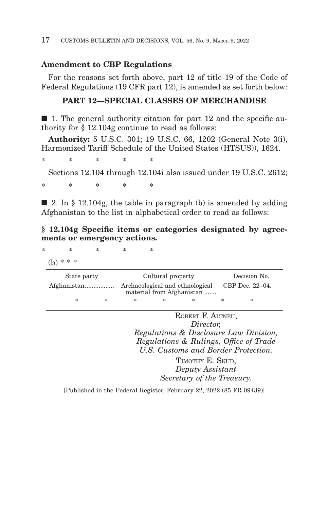### **Amendment to CBP Regulations**

For the reasons set forth above, part 12 of title 19 of the Code of Federal Regulations (19 CFR part 12), is amended as set forth below:

## **PART 12—SPECIAL CLASSES OF MERCHANDISE**

■ 1. The general authority citation for part 12 and the specific authority for § 12.104g continue to read as follows:

**Authority:** 5 U.S.C. 301; 19 U.S.C. 66, 1202 (General Note 3(i), Harmonized Tariff Schedule of the United States (HTSUS)), 1624.

\*\*\*\* \*

Sections 12.104 through 12.104i also issued under 19 U.S.C. 2612;

\*\*\*\* \*

 $\Box$  2. In § 12.104g, the table in paragraph (b) is amended by adding Afghanistan to the list in alphabetical order to read as follows:

### **§ 12.104g Specific items or categories designated by agreements or emergency actions.**

\*\*\*\* \*

(b) \* \* \*

| State party |   |   | Cultural property                                            |   |  |   | Decision No.    |  |
|-------------|---|---|--------------------------------------------------------------|---|--|---|-----------------|--|
| Afghanistan |   |   | Archaeological and ethnological<br>material from Afghanistan |   |  |   | CBP Dec. 22–04. |  |
|             | * | * | ж                                                            | * |  | × | *               |  |

ROBERT F. ALTNEU, *Director, Regulations & Disclosure Law Division, Regulations & Rulings, Office of Trade U.S. Customs and Border Protection.*

> TIMOTHY E. SKUD. *Deputy Assistant Secretary of the Treasury.*

[Published in the Federal Register, February 22, 2022 (85 FR 09439)]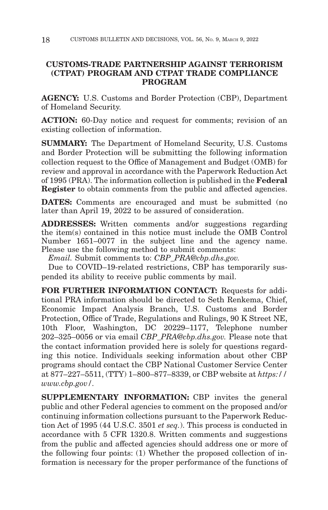# **CUSTOMS-TRADE PARTNERSHIP AGAINST TERRORISM (CTPAT) PROGRAM AND CTPAT TRADE COMPLIANCE PROGRAM**

**AGENCY:** U.S. Customs and Border Protection (CBP), Department of Homeland Security.

**ACTION:** 60-Day notice and request for comments; revision of an existing collection of information.

**SUMMARY:** The Department of Homeland Security, U.S. Customs and Border Protection will be submitting the following information collection request to the Office of Management and Budget (OMB) for review and approval in accordance with the Paperwork Reduction Act of 1995 (PRA). The information collection is published in the **Federal Register** to obtain comments from the public and affected agencies.

**DATES:** Comments are encouraged and must be submitted (no later than April 19, 2022 to be assured of consideration.

**ADDRESSES:** Written comments and/or suggestions regarding the item(s) contained in this notice must include the OMB Control Number 1651–0077 in the subject line and the agency name. Please use the following method to submit comments:

*Email.* Submit comments to: *CBP\_PRA@cbp.dhs.gov.*

Due to COVID–19-related restrictions, CBP has temporarily suspended its ability to receive public comments by mail.

**FOR FURTHER INFORMATION CONTACT:** Requests for additional PRA information should be directed to Seth Renkema, Chief, Economic Impact Analysis Branch, U.S. Customs and Border Protection, Office of Trade, Regulations and Rulings, 90 K Street NE, 10th Floor, Washington, DC 20229–1177, Telephone number 202–325–0056 or via email *CBP\_PRA@cbp.dhs.gov.* Please note that the contact information provided here is solely for questions regarding this notice. Individuals seeking information about other CBP programs should contact the CBP National Customer Service Center at 877–227–5511, (TTY) 1–800–877–8339, or CBP website at *https:// www.cbp.gov/.*

**SUPPLEMENTARY INFORMATION:** CBP invites the general public and other Federal agencies to comment on the proposed and/or continuing information collections pursuant to the Paperwork Reduction Act of 1995 (44 U.S.C. 3501 *et seq.*). This process is conducted in accordance with 5 CFR 1320.8. Written comments and suggestions from the public and affected agencies should address one or more of the following four points: (1) Whether the proposed collection of information is necessary for the proper performance of the functions of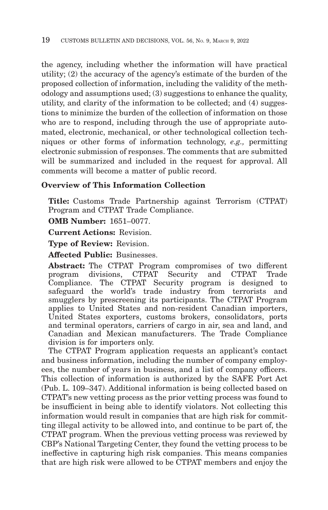the agency, including whether the information will have practical utility; (2) the accuracy of the agency's estimate of the burden of the proposed collection of information, including the validity of the methodology and assumptions used; (3) suggestions to enhance the quality, utility, and clarity of the information to be collected; and (4) suggestions to minimize the burden of the collection of information on those who are to respond, including through the use of appropriate automated, electronic, mechanical, or other technological collection techniques or other forms of information technology, *e.g.,* permitting electronic submission of responses. The comments that are submitted will be summarized and included in the request for approval. All comments will become a matter of public record.

# **Overview of This Information Collection**

**Title:** Customs Trade Partnership against Terrorism (CTPAT) Program and CTPAT Trade Compliance.

**OMB Number:** 1651–0077.

**Current Actions:** Revision.

**Type of Review:** Revision.

**Affected Public:** Businesses.

**Abstract:** The CTPAT Program compromises of two different program divisions, CTPAT Security and CTPAT Trade Compliance. The CTPAT Security program is designed to safeguard the world's trade industry from terrorists and smugglers by prescreening its participants. The CTPAT Program applies to United States and non-resident Canadian importers, United States exporters, customs brokers, consolidators, ports and terminal operators, carriers of cargo in air, sea and land, and Canadian and Mexican manufacturers. The Trade Compliance division is for importers only.

The CTPAT Program application requests an applicant's contact and business information, including the number of company employees, the number of years in business, and a list of company officers. This collection of information is authorized by the SAFE Port Act (Pub. L. 109–347). Additional information is being collected based on CTPAT's new vetting process as the prior vetting process was found to be insufficient in being able to identify violators. Not collecting this information would result in companies that are high risk for committing illegal activity to be allowed into, and continue to be part of, the CTPAT program. When the previous vetting process was reviewed by CBP's National Targeting Center, they found the vetting process to be ineffective in capturing high risk companies. This means companies that are high risk were allowed to be CTPAT members and enjoy the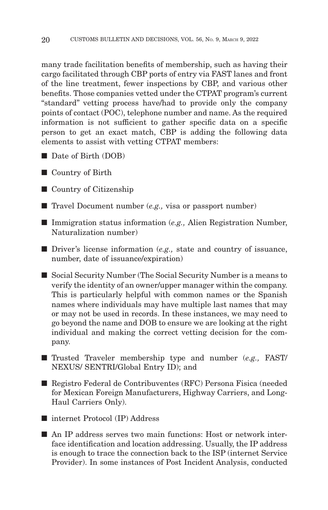many trade facilitation benefits of membership, such as having their cargo facilitated through CBP ports of entry via FAST lanes and front of the line treatment, fewer inspections by CBP, and various other benefits. Those companies vetted under the CTPAT program's current ''standard'' vetting process have/had to provide only the company points of contact (POC), telephone number and name. As the required information is not sufficient to gather specific data on a specific person to get an exact match, CBP is adding the following data elements to assist with vetting CTPAT members:

- Date of Birth (DOB)
- Country of Birth
- Country of Citizenship
- Travel Document number (*e.g.*, visa or passport number)
- Immigration status information (*e.g.*, Alien Registration Number, Naturalization number)
- Driver's license information (*e.g.*, state and country of issuance, number, date of issuance/expiration)
- Social Security Number (The Social Security Number is a means to verify the identity of an owner/upper manager within the company. This is particularly helpful with common names or the Spanish names where individuals may have multiple last names that may or may not be used in records. In these instances, we may need to go beyond the name and DOB to ensure we are looking at the right individual and making the correct vetting decision for the company.
- Trusted Traveler membership type and number (*e.g.*, FAST) NEXUS/ SENTRI/Global Entry ID); and
- Registro Federal de Contribuventes (RFC) Persona Fisica (needed for Mexican Foreign Manufacturers, Highway Carriers, and Long-Haul Carriers Only).
- internet Protocol (IP) Address
- An IP address serves two main functions: Host or network interface identification and location addressing. Usually, the IP address is enough to trace the connection back to the ISP (internet Service Provider). In some instances of Post Incident Analysis, conducted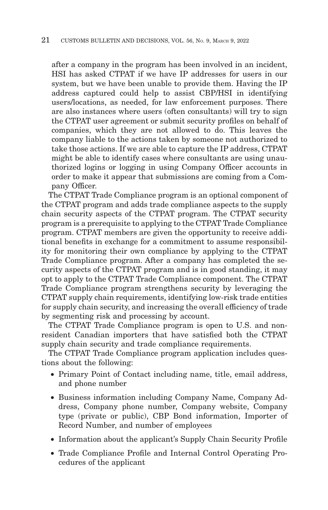after a company in the program has been involved in an incident, HSI has asked CTPAT if we have IP addresses for users in our system, but we have been unable to provide them. Having the IP address captured could help to assist CBP/HSI in identifying users/locations, as needed, for law enforcement purposes. There are also instances where users (often consultants) will try to sign the CTPAT user agreement or submit security profiles on behalf of companies, which they are not allowed to do. This leaves the company liable to the actions taken by someone not authorized to take those actions. If we are able to capture the IP address, CTPAT might be able to identify cases where consultants are using unauthorized logins or logging in using Company Officer accounts in order to make it appear that submissions are coming from a Company Officer.

The CTPAT Trade Compliance program is an optional component of the CTPAT program and adds trade compliance aspects to the supply chain security aspects of the CTPAT program. The CTPAT security program is a prerequisite to applying to the CTPAT Trade Compliance program. CTPAT members are given the opportunity to receive additional benefits in exchange for a commitment to assume responsibility for monitoring their own compliance by applying to the CTPAT Trade Compliance program. After a company has completed the security aspects of the CTPAT program and is in good standing, it may opt to apply to the CTPAT Trade Compliance component. The CTPAT Trade Compliance program strengthens security by leveraging the CTPAT supply chain requirements, identifying low-risk trade entities for supply chain security, and increasing the overall efficiency of trade by segmenting risk and processing by account.

The CTPAT Trade Compliance program is open to U.S. and nonresident Canadian importers that have satisfied both the CTPAT supply chain security and trade compliance requirements.

The CTPAT Trade Compliance program application includes questions about the following:

- Primary Point of Contact including name, title, email address, and phone number
- Business information including Company Name, Company Address, Company phone number, Company website, Company type (private or public), CBP Bond information, Importer of Record Number, and number of employees
- Information about the applicant's Supply Chain Security Profile
- Trade Compliance Profile and Internal Control Operating Procedures of the applicant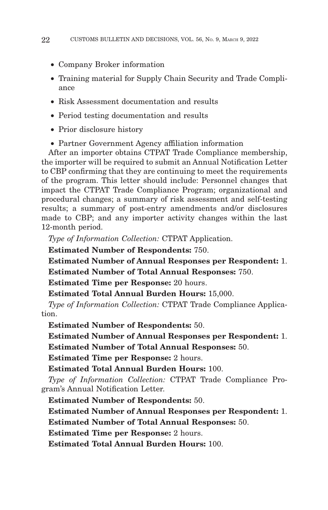- Company Broker information
- Training material for Supply Chain Security and Trade Compliance
- Risk Assessment documentation and results
- Period testing documentation and results
- Prior disclosure history
- Partner Government Agency affiliation information

After an importer obtains CTPAT Trade Compliance membership, the importer will be required to submit an Annual Notification Letter to CBP confirming that they are continuing to meet the requirements of the program. This letter should include: Personnel changes that impact the CTPAT Trade Compliance Program; organizational and procedural changes; a summary of risk assessment and self-testing results; a summary of post-entry amendments and/or disclosures made to CBP; and any importer activity changes within the last 12-month period.

*Type of Information Collection:* CTPAT Application.

**Estimated Number of Respondents:** 750.

**Estimated Number of Annual Responses per Respondent:** 1.

**Estimated Number of Total Annual Responses:** 750.

**Estimated Time per Response:** 20 hours.

**Estimated Total Annual Burden Hours:** 15,000.

*Type of Information Collection:* CTPAT Trade Compliance Application.

**Estimated Number of Respondents:** 50.

**Estimated Number of Annual Responses per Respondent:** 1. **Estimated Number of Total Annual Responses:** 50.

**Estimated Time per Response:** 2 hours.

**Estimated Total Annual Burden Hours:** 100.

*Type of Information Collection:* CTPAT Trade Compliance Program's Annual Notification Letter.

**Estimated Number of Respondents:** 50.

**Estimated Number of Annual Responses per Respondent:** 1.

**Estimated Number of Total Annual Responses:** 50.

**Estimated Time per Response:** 2 hours.

**Estimated Total Annual Burden Hours:** 100.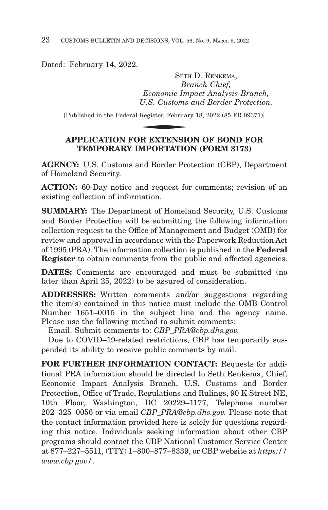Dated: February 14, 2022.

SETH D. RENKEMA, *Branch Chief, Economic Impact Analysis Branch, U.S. Customs and Border Protection.* SETH<br>Br<br>Economic Im<sub>,</sub><br>U.S. Customs<br>Register, Februar<br>N**D EVTENSIC** 

[Published in the Federal Register, February 18, 2022 (85 FR 09371)]

# **APPLICATION FOR EXTENSION OF BOND FOR TEMPORARY IMPORTATION (FORM 3173)**

**AGENCY:** U.S. Customs and Border Protection (CBP), Department of Homeland Security.

**ACTION:** 60-Day notice and request for comments; revision of an existing collection of information.

**SUMMARY:** The Department of Homeland Security, U.S. Customs and Border Protection will be submitting the following information collection request to the Office of Management and Budget (OMB) for review and approval in accordance with the Paperwork Reduction Act of 1995 (PRA). The information collection is published in the **Federal Register** to obtain comments from the public and affected agencies.

**DATES:** Comments are encouraged and must be submitted (no later than April 25, 2022) to be assured of consideration.

**ADDRESSES:** Written comments and/or suggestions regarding the item(s) contained in this notice must include the OMB Control Number 1651–0015 in the subject line and the agency name. Please use the following method to submit comments:

Email. Submit comments to: *CBP\_PRA@cbp.dhs.gov.*

Due to COVID–19-related restrictions, CBP has temporarily suspended its ability to receive public comments by mail.

**FOR FURTHER INFORMATION CONTACT:** Requests for additional PRA information should be directed to Seth Renkema, Chief, Economic Impact Analysis Branch, U.S. Customs and Border Protection, Office of Trade, Regulations and Rulings, 90 K Street NE, 10th Floor, Washington, DC 20229–1177, Telephone number 202–325–0056 or via email *CBP\_PRA@cbp.dhs.gov.* Please note that the contact information provided here is solely for questions regarding this notice. Individuals seeking information about other CBP programs should contact the CBP National Customer Service Center at 877–227–5511, (TTY) 1–800–877–8339, or CBP website at *https:// www.cbp.gov/*.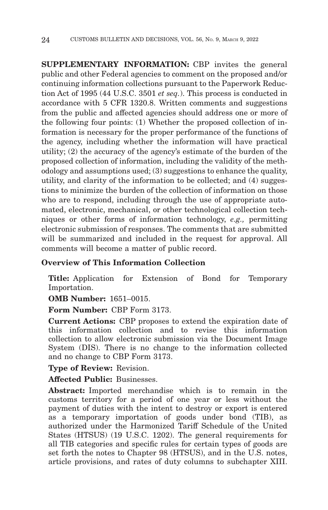**SUPPLEMENTARY INFORMATION:** CBP invites the general public and other Federal agencies to comment on the proposed and/or continuing information collections pursuant to the Paperwork Reduction Act of 1995 (44 U.S.C. 3501 *et seq.*). This process is conducted in accordance with 5 CFR 1320.8. Written comments and suggestions from the public and affected agencies should address one or more of the following four points: (1) Whether the proposed collection of information is necessary for the proper performance of the functions of the agency, including whether the information will have practical utility; (2) the accuracy of the agency's estimate of the burden of the proposed collection of information, including the validity of the methodology and assumptions used; (3) suggestions to enhance the quality, utility, and clarity of the information to be collected; and (4) suggestions to minimize the burden of the collection of information on those who are to respond, including through the use of appropriate automated, electronic, mechanical, or other technological collection techniques or other forms of information technology, *e.g.,* permitting electronic submission of responses. The comments that are submitted will be summarized and included in the request for approval. All comments will become a matter of public record.

## **Overview of This Information Collection**

**Title:** Application for Extension of Bond for Temporary Importation.

**OMB Number:** 1651–0015.

**Form Number:** CBP Form 3173.

**Current Actions:** CBP proposes to extend the expiration date of this information collection and to revise this information collection to allow electronic submission via the Document Image System (DIS). There is no change to the information collected and no change to CBP Form 3173.

**Type of Review:** Revision.

**Affected Public:** Businesses.

**Abstract:** Imported merchandise which is to remain in the customs territory for a period of one year or less without the payment of duties with the intent to destroy or export is entered as a temporary importation of goods under bond (TIB), as authorized under the Harmonized Tariff Schedule of the United States (HTSUS) (19 U.S.C. 1202). The general requirements for all TIB categories and specific rules for certain types of goods are set forth the notes to Chapter 98 (HTSUS), and in the U.S. notes, article provisions, and rates of duty columns to subchapter XIII.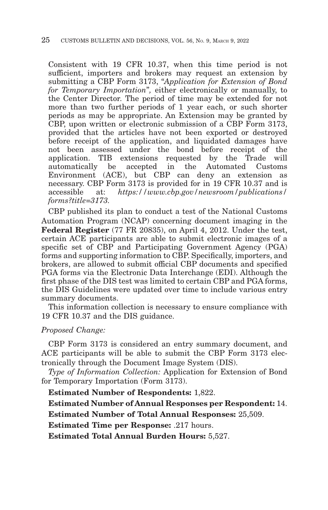Consistent with 19 CFR 10.37, when this time period is not sufficient, importers and brokers may request an extension by submitting a CBP Form 3173, "*Application for Extension of Bond for Temporary Importation*''*,* either electronically or manually, to the Center Director. The period of time may be extended for not more than two further periods of 1 year each, or such shorter periods as may be appropriate. An Extension may be granted by CBP, upon written or electronic submission of a CBP Form 3173, provided that the articles have not been exported or destroyed before receipt of the application, and liquidated damages have not been assessed under the bond before receipt of the application. TIB extensions requested by the Trade will automatically be accepted in the Automated Customs Environment (ACE), but CBP can deny an extension as necessary. CBP Form 3173 is provided for in 19 CFR 10.37 and is accessible at: *https://www.cbp.gov/newsroom/publications/ forms?title=3173.*

CBP published its plan to conduct a test of the National Customs Automation Program (NCAP) concerning document imaging in the **Federal Register** (77 FR 20835), on April 4, 2012. Under the test, certain ACE participants are able to submit electronic images of a specific set of CBP and Participating Government Agency (PGA) forms and supporting information to CBP. Specifically, importers, and brokers, are allowed to submit official CBP documents and specified PGA forms via the Electronic Data Interchange (EDI). Although the first phase of the DIS test was limited to certain CBP and PGA forms, the DIS Guidelines were updated over time to include various entry summary documents.

This information collection is necessary to ensure compliance with 19 CFR 10.37 and the DIS guidance.

#### *Proposed Change:*

CBP Form 3173 is considered an entry summary document, and ACE participants will be able to submit the CBP Form 3173 electronically through the Document Image System (DIS).

*Type of Information Collection:* Application for Extension of Bond for Temporary Importation (Form 3173).

**Estimated Number of Respondents:** 1,822.

**Estimated Number of Annual Responses per Respondent:** 14.

**Estimated Number of Total Annual Responses:** 25,509.

**Estimated Time per Response:** .217 hours.

**Estimated Total Annual Burden Hours:** 5,527.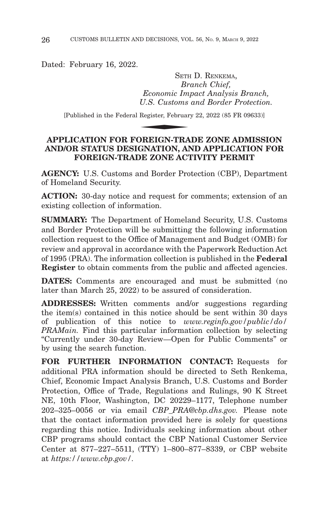Dated: February 16, 2022.

SETH D. RENKEMA, *Branch Chief, Economic Impact Analysis Branch, U.S. Customs and Border Protection.* ◆

[Published in the Federal Register, February 22, 2022 (85 FR 09633)]

# **APPLICATION FOR FOREIGN-TRADE ZONE ADMISSION AND/OR STATUS DESIGNATION, AND APPLICATION FOR FOREIGN-TRADE ZONE ACTIVITY PERMIT**

**AGENCY:** U.S. Customs and Border Protection (CBP), Department of Homeland Security.

**ACTION:** 30-day notice and request for comments; extension of an existing collection of information.

**SUMMARY:** The Department of Homeland Security, U.S. Customs and Border Protection will be submitting the following information collection request to the Office of Management and Budget (OMB) for review and approval in accordance with the Paperwork Reduction Act of 1995 (PRA). The information collection is published in the **Federal Register** to obtain comments from the public and affected agencies.

**DATES:** Comments are encouraged and must be submitted (no later than March 25, 2022) to be assured of consideration.

**ADDRESSES:** Written comments and/or suggestions regarding the item(s) contained in this notice should be sent within 30 days of publication of this notice to *www.reginfo.gov/public/do/ PRAMain.* Find this particular information collection by selecting ''Currently under 30-day Review—Open for Public Comments'' or by using the search function.

**FOR FURTHER INFORMATION CONTACT:** Requests for additional PRA information should be directed to Seth Renkema, Chief, Economic Impact Analysis Branch, U.S. Customs and Border Protection, Office of Trade, Regulations and Rulings, 90 K Street NE, 10th Floor, Washington, DC 20229–1177, Telephone number 202–325–0056 or via email *CBP\_PRA@cbp.dhs.gov.* Please note that the contact information provided here is solely for questions regarding this notice. Individuals seeking information about other CBP programs should contact the CBP National Customer Service Center at 877–227–5511, (TTY) 1–800–877–8339, or CBP website at *https://www.cbp.gov/.*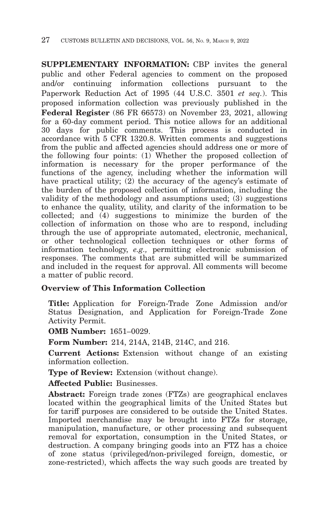**SUPPLEMENTARY INFORMATION:** CBP invites the general public and other Federal agencies to comment on the proposed and/or continuing information collections pursuant to the Paperwork Reduction Act of 1995 (44 U.S.C. 3501 *et seq.*). This proposed information collection was previously published in the **Federal Register** (86 FR 66573) on November 23, 2021, allowing for a 60-day comment period. This notice allows for an additional 30 days for public comments. This process is conducted in accordance with 5 CFR 1320.8. Written comments and suggestions from the public and affected agencies should address one or more of the following four points: (1) Whether the proposed collection of information is necessary for the proper performance of the functions of the agency, including whether the information will have practical utility; (2) the accuracy of the agency's estimate of the burden of the proposed collection of information, including the validity of the methodology and assumptions used; (3) suggestions to enhance the quality, utility, and clarity of the information to be collected; and (4) suggestions to minimize the burden of the collection of information on those who are to respond, including through the use of appropriate automated, electronic, mechanical, or other technological collection techniques or other forms of information technology, *e.g.,* permitting electronic submission of responses. The comments that are submitted will be summarized and included in the request for approval. All comments will become a matter of public record.

## **Overview of This Information Collection**

**Title:** Application for Foreign-Trade Zone Admission and/or Status Designation, and Application for Foreign-Trade Zone Activity Permit.

**OMB Number:** 1651–0029.

**Form Number:** 214, 214A, 214B, 214C, and 216.

**Current Actions:** Extension without change of an existing information collection.

**Type of Review:** Extension (without change).

**Affected Public:** Businesses.

**Abstract:** Foreign trade zones (FTZs) are geographical enclaves located within the geographical limits of the United States but for tariff purposes are considered to be outside the United States. Imported merchandise may be brought into FTZs for storage, manipulation, manufacture, or other processing and subsequent removal for exportation, consumption in the United States, or destruction. A company bringing goods into an FTZ has a choice of zone status (privileged/non-privileged foreign, domestic, or zone-restricted), which affects the way such goods are treated by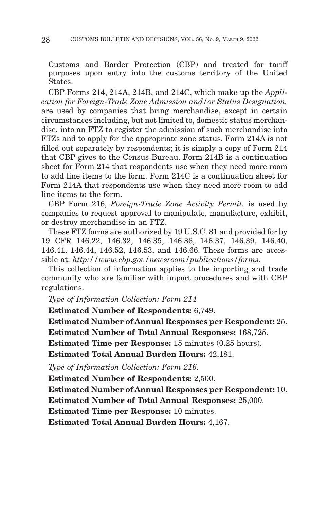Customs and Border Protection (CBP) and treated for tariff purposes upon entry into the customs territory of the United States.

CBP Forms 214, 214A, 214B, and 214C, which make up the *Application for Foreign-Trade Zone Admission and/or Status Designation,* are used by companies that bring merchandise, except in certain circumstances including, but not limited to, domestic status merchandise, into an FTZ to register the admission of such merchandise into FTZs and to apply for the appropriate zone status. Form 214A is not filled out separately by respondents; it is simply a copy of Form 214 that CBP gives to the Census Bureau. Form 214B is a continuation sheet for Form 214 that respondents use when they need more room to add line items to the form. Form 214C is a continuation sheet for Form 214A that respondents use when they need more room to add line items to the form.

CBP Form 216, *Foreign-Trade Zone Activity Permit,* is used by companies to request approval to manipulate, manufacture, exhibit, or destroy merchandise in an FTZ.

These FTZ forms are authorized by 19 U.S.C. 81 and provided for by 19 CFR 146.22, 146.32, 146.35, 146.36, 146.37, 146.39, 146.40, 146.41, 146.44, 146.52, 146.53, and 146.66. These forms are accessible at: *http://www.cbp.gov/newsroom/publications/forms.*

This collection of information applies to the importing and trade community who are familiar with import procedures and with CBP regulations.

*Type of Information Collection: Form 214*

**Estimated Number of Respondents:** 6,749.

**Estimated Number of Annual Responses per Respondent:** 25.

**Estimated Number of Total Annual Responses:** 168,725.

**Estimated Time per Response:** 15 minutes (0.25 hours).

**Estimated Total Annual Burden Hours:** 42,181.

*Type of Information Collection: Form 216.*

**Estimated Number of Respondents:** 2,500.

**Estimated Number of Annual Responses per Respondent:** 10.

**Estimated Number of Total Annual Responses:** 25,000.

**Estimated Time per Response:** 10 minutes.

**Estimated Total Annual Burden Hours:** 4,167.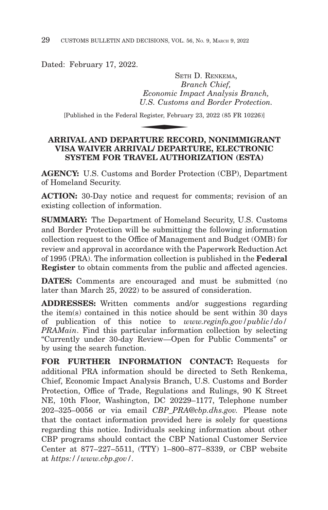Dated: February 17, 2022.

SETH D. RENKEMA, *Branch Chief, Economic Impact Analysis Branch, U.S. Customs and Border Protection.* SETH<br>Br<br>Economic Im<sub>,</sub><br>U.S. Customs<br>Register, Februar<br>PECO

[Published in the Federal Register, February 23, 2022 (85 FR 10226)]

# **ARRIVAL AND DEPARTURE RECORD, NONIMMIGRANT VISA WAIVER ARRIVAL/ DEPARTURE, ELECTRONIC SYSTEM FOR TRAVEL AUTHORIZATION (ESTA)**

**AGENCY:** U.S. Customs and Border Protection (CBP), Department of Homeland Security.

**ACTION:** 30-Day notice and request for comments; revision of an existing collection of information.

**SUMMARY:** The Department of Homeland Security, U.S. Customs and Border Protection will be submitting the following information collection request to the Office of Management and Budget (OMB) for review and approval in accordance with the Paperwork Reduction Act of 1995 (PRA). The information collection is published in the **Federal Register** to obtain comments from the public and affected agencies.

**DATES:** Comments are encouraged and must be submitted (no later than March 25, 2022) to be assured of consideration.

**ADDRESSES:** Written comments and/or suggestions regarding the item(s) contained in this notice should be sent within 30 days of publication of this notice to *www.reginfo.gov/public/do/ PRAMain*. Find this particular information collection by selecting ''Currently under 30-day Review—Open for Public Comments'' or by using the search function.

**FOR FURTHER INFORMATION CONTACT:** Requests for additional PRA information should be directed to Seth Renkema, Chief, Economic Impact Analysis Branch, U.S. Customs and Border Protection, Office of Trade, Regulations and Rulings, 90 K Street NE, 10th Floor, Washington, DC 20229–1177, Telephone number 202–325–0056 or via email *CBP\_PRA@cbp.dhs.gov.* Please note that the contact information provided here is solely for questions regarding this notice. Individuals seeking information about other CBP programs should contact the CBP National Customer Service Center at 877–227–5511, (TTY) 1–800–877–8339, or CBP website at *https://www.cbp.gov/.*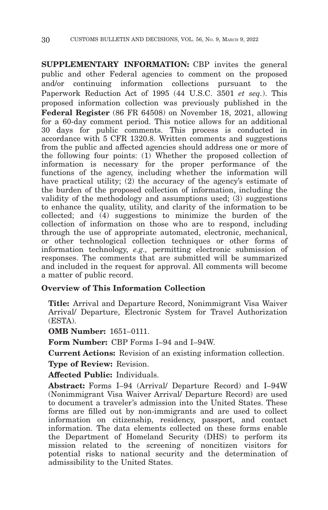**SUPPLEMENTARY INFORMATION:** CBP invites the general public and other Federal agencies to comment on the proposed and/or continuing information collections pursuant to the Paperwork Reduction Act of 1995 (44 U.S.C. 3501 *et seq.*). This proposed information collection was previously published in the **Federal Register** (86 FR 64508) on November 18, 2021, allowing for a 60-day comment period. This notice allows for an additional 30 days for public comments. This process is conducted in accordance with 5 CFR 1320.8. Written comments and suggestions from the public and affected agencies should address one or more of the following four points: (1) Whether the proposed collection of information is necessary for the proper performance of the functions of the agency, including whether the information will have practical utility; (2) the accuracy of the agency's estimate of the burden of the proposed collection of information, including the validity of the methodology and assumptions used; (3) suggestions to enhance the quality, utility, and clarity of the information to be collected; and (4) suggestions to minimize the burden of the collection of information on those who are to respond, including through the use of appropriate automated, electronic, mechanical, or other technological collection techniques or other forms of information technology, *e.g.,* permitting electronic submission of responses. The comments that are submitted will be summarized and included in the request for approval. All comments will become a matter of public record.

# **Overview of This Information Collection**

**Title:** Arrival and Departure Record, Nonimmigrant Visa Waiver Arrival/ Departure, Electronic System for Travel Authorization (ESTA).

**OMB Number:** 1651–0111.

**Form Number:** CBP Forms I–94 and I–94W.

**Current Actions:** Revision of an existing information collection.

**Type of Review:** Revision.

**Affected Public:** Individuals.

**Abstract:** Forms I–94 (Arrival/ Departure Record) and I–94W (Nonimmigrant Visa Waiver Arrival/ Departure Record) are used to document a traveler's admission into the United States. These forms are filled out by non-immigrants and are used to collect information on citizenship, residency, passport, and contact information. The data elements collected on these forms enable the Department of Homeland Security (DHS) to perform its mission related to the screening of noncitizen visitors for potential risks to national security and the determination of admissibility to the United States.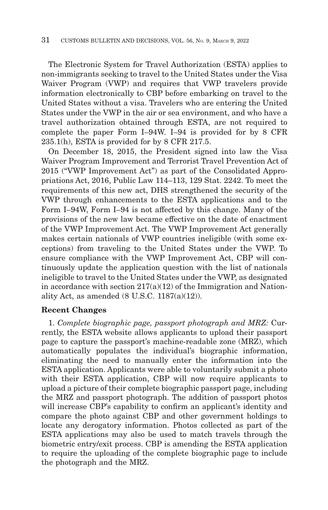The Electronic System for Travel Authorization (ESTA) applies to non-immigrants seeking to travel to the United States under the Visa Waiver Program (VWP) and requires that VWP travelers provide information electronically to CBP before embarking on travel to the United States without a visa. Travelers who are entering the United States under the VWP in the air or sea environment, and who have a travel authorization obtained through ESTA, are not required to complete the paper Form I–94W. I–94 is provided for by 8 CFR 235.1(h), ESTA is provided for by 8 CFR 217.5.

On December 18, 2015, the President signed into law the Visa Waiver Program Improvement and Terrorist Travel Prevention Act of 2015 (''VWP Improvement Act'') as part of the Consolidated Appropriations Act, 2016, Public Law 114–113, 129 Stat. 2242. To meet the requirements of this new act, DHS strengthened the security of the VWP through enhancements to the ESTA applications and to the Form I–94W, Form I–94 is not affected by this change. Many of the provisions of the new law became effective on the date of enactment of the VWP Improvement Act. The VWP Improvement Act generally makes certain nationals of VWP countries ineligible (with some exceptions) from traveling to the United States under the VWP. To ensure compliance with the VWP Improvement Act, CBP will continuously update the application question with the list of nationals ineligible to travel to the United States under the VWP, as designated in accordance with section  $217(a)(12)$  of the Immigration and Nationality Act, as amended (8 U.S.C. 1187(a)(12)).

## **Recent Changes**

1. *Complete biographic page, passport photograph and MRZ:* Currently, the ESTA website allows applicants to upload their passport page to capture the passport's machine-readable zone (MRZ), which automatically populates the individual's biographic information, eliminating the need to manually enter the information into the ESTA application. Applicants were able to voluntarily submit a photo with their ESTA application, CBP will now require applicants to upload a picture of their complete biographic passport page, including the MRZ and passport photograph. The addition of passport photos will increase CBP's capability to confirm an applicant's identity and compare the photo against CBP and other government holdings to locate any derogatory information. Photos collected as part of the ESTA applications may also be used to match travels through the biometric entry/exit process. CBP is amending the ESTA application to require the uploading of the complete biographic page to include the photograph and the MRZ.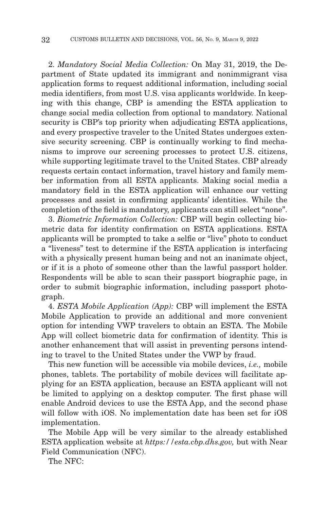2. *Mandatory Social Media Collection:* On May 31, 2019, the Department of State updated its immigrant and nonimmigrant visa application forms to request additional information, including social media identifiers, from most U.S. visa applicants worldwide. In keeping with this change, CBP is amending the ESTA application to change social media collection from optional to mandatory. National security is CBP's top priority when adjudicating ESTA applications, and every prospective traveler to the United States undergoes extensive security screening. CBP is continually working to find mechanisms to improve our screening processes to protect U.S. citizens, while supporting legitimate travel to the United States. CBP already requests certain contact information, travel history and family member information from all ESTA applicants. Making social media a mandatory field in the ESTA application will enhance our vetting processes and assist in confirming applicants' identities. While the completion of the field is mandatory, applicants can still select "none".

3. *Biometric Information Collection:* CBP will begin collecting biometric data for identity confirmation on ESTA applications. ESTA applicants will be prompted to take a selfie or ''live'' photo to conduct a "liveness" test to determine if the ESTA application is interfacing with a physically present human being and not an inanimate object, or if it is a photo of someone other than the lawful passport holder. Respondents will be able to scan their passport biographic page, in order to submit biographic information, including passport photograph.

4. *ESTA Mobile Application (App):* CBP will implement the ESTA Mobile Application to provide an additional and more convenient option for intending VWP travelers to obtain an ESTA. The Mobile App will collect biometric data for confirmation of identity. This is another enhancement that will assist in preventing persons intending to travel to the United States under the VWP by fraud.

This new function will be accessible via mobile devices, *i.e.,* mobile phones, tablets. The portability of mobile devices will facilitate applying for an ESTA application, because an ESTA applicant will not be limited to applying on a desktop computer. The first phase will enable Android devices to use the ESTA App, and the second phase will follow with iOS. No implementation date has been set for iOS implementation.

The Mobile App will be very similar to the already established ESTA application website at *https://esta.cbp.dhs.gov,* but with Near Field Communication (NFC).

The NFC: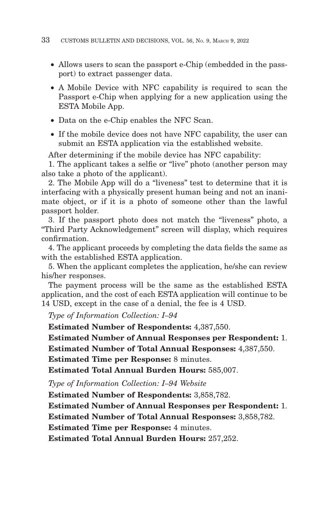- Allows users to scan the passport e-Chip (embedded in the passport) to extract passenger data.
- A Mobile Device with NFC capability is required to scan the Passport e-Chip when applying for a new application using the ESTA Mobile App.
- Data on the e-Chip enables the NFC Scan.
- If the mobile device does not have NFC capability, the user can submit an ESTA application via the established website.

After determining if the mobile device has NFC capability:

1. The applicant takes a selfie or ''live'' photo (another person may also take a photo of the applicant).

2. The Mobile App will do a ''liveness'' test to determine that it is interfacing with a physically present human being and not an inanimate object, or if it is a photo of someone other than the lawful passport holder.

3. If the passport photo does not match the ''liveness'' photo, a ''Third Party Acknowledgement'' screen will display, which requires confirmation.

4. The applicant proceeds by completing the data fields the same as with the established ESTA application.

5. When the applicant completes the application, he/she can review his/her responses.

The payment process will be the same as the established ESTA application, and the cost of each ESTA application will continue to be 14 USD, except in the case of a denial, the fee is 4 USD.

*Type of Information Collection: I–94*

**Estimated Number of Respondents:** 4,387,550.

**Estimated Number of Annual Responses per Respondent:** 1.

**Estimated Number of Total Annual Responses:** 4,387,550.

**Estimated Time per Response:** 8 minutes.

**Estimated Total Annual Burden Hours:** 585,007.

*Type of Information Collection: I–94 Website*

**Estimated Number of Respondents:** 3,858,782.

**Estimated Number of Annual Responses per Respondent:** 1.

**Estimated Number of Total Annual Responses:** 3,858,782.

**Estimated Time per Response:** 4 minutes.

**Estimated Total Annual Burden Hours:** 257,252.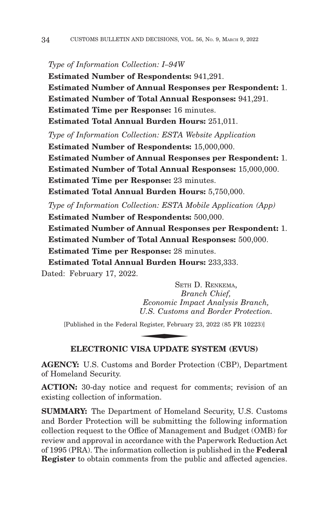#### *Type of Information Collection: I–94W*

**Estimated Number of Respondents:** 941,291. **Estimated Number of Annual Responses per Respondent:** 1. **Estimated Number of Total Annual Responses:** 941,291. **Estimated Time per Response:** 16 minutes. **Estimated Total Annual Burden Hours:** 251,011. *Type of Information Collection: ESTA Website Application* **Estimated Number of Respondents:** 15,000,000. **Estimated Number of Annual Responses per Respondent:** 1. **Estimated Number of Total Annual Responses:** 15,000,000. **Estimated Time per Response:** 23 minutes. **Estimated Total Annual Burden Hours:** 5,750,000. *Type of Information Collection: ESTA Mobile Application (App)* **Estimated Number of Respondents:** 500,000. **Estimated Number of Annual Responses per Respondent:** 1.

**Estimated Number of Total Annual Responses:** 500,000. **Estimated Time per Response:** 28 minutes. **Estimated Total Annual Burden Hours:** 233,333.

Dated: February 17, 2022.

SETH D. RENKEMA, *Branch Chief, Economic Impact Analysis Branch, U.S. Customs and Border Protection.* SETHERETIER<br>*Br*<br>*U.S. Customs*<br>Register, Februar<br>REA JUDDATER

[Published in the Federal Register, February 23, 2022 (85 FR 10223)]

## **ELECTRONIC VISA UPDATE SYSTEM (EVUS)**

**AGENCY:** U.S. Customs and Border Protection (CBP), Department of Homeland Security.

**ACTION:** 30-day notice and request for comments; revision of an existing collection of information.

**SUMMARY:** The Department of Homeland Security, U.S. Customs and Border Protection will be submitting the following information collection request to the Office of Management and Budget (OMB) for review and approval in accordance with the Paperwork Reduction Act of 1995 (PRA). The information collection is published in the **Federal Register** to obtain comments from the public and affected agencies.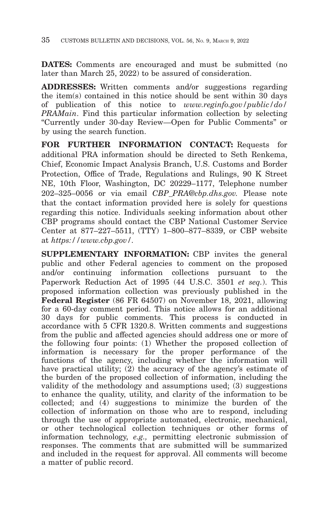**DATES:** Comments are encouraged and must be submitted (no later than March 25, 2022) to be assured of consideration.

**ADDRESSES:** Written comments and/or suggestions regarding the item(s) contained in this notice should be sent within 30 days of publication of this notice to *www.reginfo.gov/public/do/ PRAMain*. Find this particular information collection by selecting ''Currently under 30-day Review—Open for Public Comments'' or by using the search function.

**FOR FURTHER INFORMATION CONTACT:** Requests for additional PRA information should be directed to Seth Renkema, Chief, Economic Impact Analysis Branch, U.S. Customs and Border Protection, Office of Trade, Regulations and Rulings, 90 K Street NE, 10th Floor, Washington, DC 20229–1177, Telephone number 202–325–0056 or via email *CBP\_PRA@cbp.dhs.gov.* Please note that the contact information provided here is solely for questions regarding this notice. Individuals seeking information about other CBP programs should contact the CBP National Customer Service Center at 877–227–5511, (TTY) 1–800–877–8339, or CBP website at *https://www.cbp.gov/.*

**SUPPLEMENTARY INFORMATION:** CBP invites the general public and other Federal agencies to comment on the proposed and/or continuing information collections pursuant to the Paperwork Reduction Act of 1995 (44 U.S.C. 3501 *et seq.*). This proposed information collection was previously published in the **Federal Register** (86 FR 64507) on November 18, 2021, allowing for a 60-day comment period. This notice allows for an additional 30 days for public comments. This process is conducted in accordance with 5 CFR 1320.8. Written comments and suggestions from the public and affected agencies should address one or more of the following four points: (1) Whether the proposed collection of information is necessary for the proper performance of the functions of the agency, including whether the information will have practical utility; (2) the accuracy of the agency's estimate of the burden of the proposed collection of information, including the validity of the methodology and assumptions used; (3) suggestions to enhance the quality, utility, and clarity of the information to be collected; and (4) suggestions to minimize the burden of the collection of information on those who are to respond, including through the use of appropriate automated, electronic, mechanical, or other technological collection techniques or other forms of information technology, *e.g.,* permitting electronic submission of responses. The comments that are submitted will be summarized and included in the request for approval. All comments will become a matter of public record.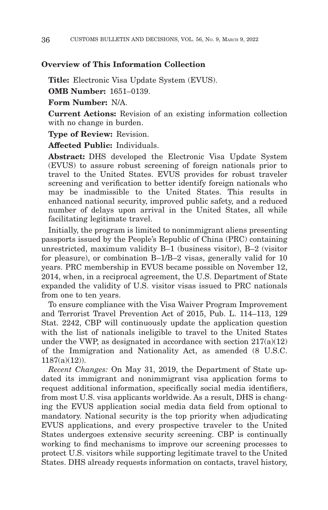#### **Overview of This Information Collection**

**Title:** Electronic Visa Update System (EVUS).

**OMB Number:** 1651–0139.

**Form Number:** N/A.

**Current Actions:** Revision of an existing information collection with no change in burden.

**Type of Review:** Revision.

**Affected Public:** Individuals.

**Abstract:** DHS developed the Electronic Visa Update System (EVUS) to assure robust screening of foreign nationals prior to travel to the United States. EVUS provides for robust traveler screening and verification to better identify foreign nationals who may be inadmissible to the United States. This results in enhanced national security, improved public safety, and a reduced number of delays upon arrival in the United States, all while facilitating legitimate travel.

Initially, the program is limited to nonimmigrant aliens presenting passports issued by the People's Republic of China (PRC) containing unrestricted, maximum validity B–1 (business visitor), B–2 (visitor for pleasure), or combination B–1/B–2 visas, generally valid for 10 years. PRC membership in EVUS became possible on November 12, 2014, when, in a reciprocal agreement, the U.S. Department of State expanded the validity of U.S. visitor visas issued to PRC nationals from one to ten years.

To ensure compliance with the Visa Waiver Program Improvement and Terrorist Travel Prevention Act of 2015, Pub. L. 114–113, 129 Stat. 2242, CBP will continuously update the application question with the list of nationals ineligible to travel to the United States under the VWP, as designated in accordance with section  $217(a)(12)$ of the Immigration and Nationality Act, as amended (8 U.S.C. 1187(a)(12)).

*Recent Changes:* On May 31, 2019, the Department of State updated its immigrant and nonimmigrant visa application forms to request additional information, specifically social media identifiers, from most U.S. visa applicants worldwide. As a result, DHS is changing the EVUS application social media data field from optional to mandatory. National security is the top priority when adjudicating EVUS applications, and every prospective traveler to the United States undergoes extensive security screening. CBP is continually working to find mechanisms to improve our screening processes to protect U.S. visitors while supporting legitimate travel to the United States. DHS already requests information on contacts, travel history,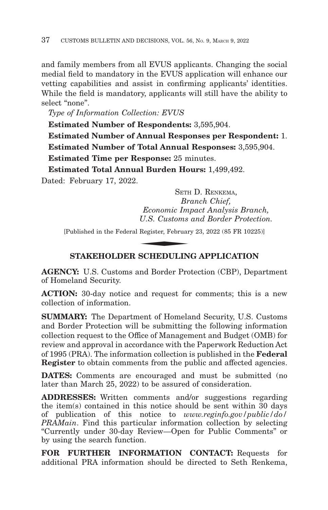and family members from all EVUS applicants. Changing the social medial field to mandatory in the EVUS application will enhance our vetting capabilities and assist in confirming applicants' identities. While the field is mandatory, applicants will still have the ability to select "none".

*Type of Information Collection: EVUS*

**Estimated Number of Respondents:** 3,595,904. **Estimated Number of Annual Responses per Respondent:** 1. **Estimated Number of Total Annual Responses:** 3,595,904. **Estimated Time per Response:** 25 minutes. **Estimated Total Annual Burden Hours:** 1,499,492.

Dated: February 17, 2022.

SETH D. RENKEMA, *Branch Chief, Economic Impact Analysis Branch, U.S. Customs and Border Protection.* SETH<br>*Br<br>Economic Im<sub>,</sub><br>U.S. Customs*<br>Register, Februar<br>SCUIEDUL IN

[Published in the Federal Register, February 23, 2022 (85 FR 10225)]

# **STAKEHOLDER SCHEDULING APPLICATION**

**AGENCY:** U.S. Customs and Border Protection (CBP), Department of Homeland Security.

**ACTION:** 30-day notice and request for comments; this is a new collection of information.

**SUMMARY:** The Department of Homeland Security, U.S. Customs and Border Protection will be submitting the following information collection request to the Office of Management and Budget (OMB) for review and approval in accordance with the Paperwork Reduction Act of 1995 (PRA). The information collection is published in the **Federal Register** to obtain comments from the public and affected agencies.

**DATES:** Comments are encouraged and must be submitted (no later than March 25, 2022) to be assured of consideration.

**ADDRESSES:** Written comments and/or suggestions regarding the item(s) contained in this notice should be sent within 30 days of publication of this notice to *www.reginfo.gov/public/do/ PRAMain*. Find this particular information collection by selecting ''Currently under 30-day Review—Open for Public Comments'' or by using the search function.

**FOR FURTHER INFORMATION CONTACT:** Requests for additional PRA information should be directed to Seth Renkema,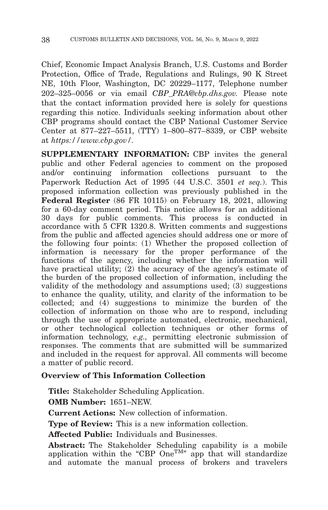Chief, Economic Impact Analysis Branch, U.S. Customs and Border Protection, Office of Trade, Regulations and Rulings, 90 K Street NE, 10th Floor, Washington, DC 20229–1177, Telephone number 202–325–0056 or via email *CBP\_PRA@cbp.dhs.gov.* Please note that the contact information provided here is solely for questions regarding this notice. Individuals seeking information about other CBP programs should contact the CBP National Customer Service Center at 877–227–5511, (TTY) 1–800–877–8339, or CBP website at *https://www.cbp.gov/.*

**SUPPLEMENTARY INFORMATION:** CBP invites the general public and other Federal agencies to comment on the proposed and/or continuing information collections pursuant to the Paperwork Reduction Act of 1995 (44 U.S.C. 3501 *et seq.*). This proposed information collection was previously published in the **Federal Register** (86 FR 10115) on February 18, 2021, allowing for a 60-day comment period. This notice allows for an additional 30 days for public comments. This process is conducted in accordance with 5 CFR 1320.8. Written comments and suggestions from the public and affected agencies should address one or more of the following four points: (1) Whether the proposed collection of information is necessary for the proper performance of the functions of the agency, including whether the information will have practical utility;  $(2)$  the accuracy of the agency's estimate of the burden of the proposed collection of information, including the validity of the methodology and assumptions used; (3) suggestions to enhance the quality, utility, and clarity of the information to be collected; and (4) suggestions to minimize the burden of the collection of information on those who are to respond, including through the use of appropriate automated, electronic, mechanical, or other technological collection techniques or other forms of information technology, *e.g.,* permitting electronic submission of responses. The comments that are submitted will be summarized and included in the request for approval. All comments will become a matter of public record.

## **Overview of This Information Collection**

**Title:** Stakeholder Scheduling Application.

**OMB Number:** 1651–NEW.

**Current Actions:** New collection of information.

**Type of Review:** This is a new information collection.

**Affected Public:** Individuals and Businesses.

**Abstract:** The Stakeholder Scheduling capability is a mobile application within the "CBP  $One^{TM}$ " app that will standardize and automate the manual process of brokers and travelers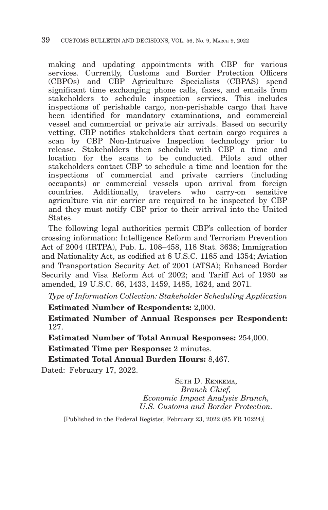making and updating appointments with CBP for various services. Currently, Customs and Border Protection Officers (CBPOs) and CBP Agriculture Specialists (CBPAS) spend significant time exchanging phone calls, faxes, and emails from stakeholders to schedule inspection services. This includes inspections of perishable cargo, non-perishable cargo that have been identified for mandatory examinations, and commercial vessel and commercial or private air arrivals. Based on security vetting, CBP notifies stakeholders that certain cargo requires a scan by CBP Non-Intrusive Inspection technology prior to release. Stakeholders then schedule with CBP a time and location for the scans to be conducted. Pilots and other stakeholders contact CBP to schedule a time and location for the inspections of commercial and private carriers (including occupants) or commercial vessels upon arrival from foreign countries. Additionally, travelers who carry-on sensitive agriculture via air carrier are required to be inspected by CBP and they must notify CBP prior to their arrival into the United States.

The following legal authorities permit CBP's collection of border crossing information: Intelligence Reform and Terrorism Prevention Act of 2004 (IRTPA), Pub. L. 108–458, 118 Stat. 3638; Immigration and Nationality Act, as codified at 8 U.S.C. 1185 and 1354; Aviation and Transportation Security Act of 2001 (ATSA); Enhanced Border Security and Visa Reform Act of 2002; and Tariff Act of 1930 as amended, 19 U.S.C. 66, 1433, 1459, 1485, 1624, and 2071.

*Type of Information Collection: Stakeholder Scheduling Application*

**Estimated Number of Respondents:** 2,000.

**Estimated Number of Annual Responses per Respondent:** 127.

**Estimated Number of Total Annual Responses:** 254,000.

**Estimated Time per Response:** 2 minutes.

**Estimated Total Annual Burden Hours:** 8,467.

Dated: February 17, 2022.

SETH D. RENKEMA, *Branch Chief, Economic Impact Analysis Branch, U.S. Customs and Border Protection.*

[Published in the Federal Register, February 23, 2022 (85 FR 10224)]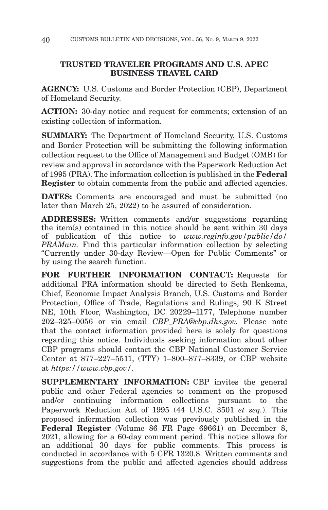# **TRUSTED TRAVELER PROGRAMS AND U.S. APEC BUSINESS TRAVEL CARD**

**AGENCY:** U.S. Customs and Border Protection (CBP), Department of Homeland Security.

**ACTION:** 30-day notice and request for comments; extension of an existing collection of information.

**SUMMARY:** The Department of Homeland Security, U.S. Customs and Border Protection will be submitting the following information collection request to the Office of Management and Budget (OMB) for review and approval in accordance with the Paperwork Reduction Act of 1995 (PRA). The information collection is published in the **Federal Register** to obtain comments from the public and affected agencies.

**DATES:** Comments are encouraged and must be submitted (no later than March 25, 2022) to be assured of consideration.

**ADDRESSES:** Written comments and/or suggestions regarding the item(s) contained in this notice should be sent within 30 days of publication of this notice to *www.reginfo.gov/public/do/ PRAMain.* Find this particular information collection by selecting ''Currently under 30-day Review—Open for Public Comments'' or by using the search function.

**FOR FURTHER INFORMATION CONTACT:** Requests for additional PRA information should be directed to Seth Renkema, Chief, Economic Impact Analysis Branch, U.S. Customs and Border Protection, Office of Trade, Regulations and Rulings, 90 K Street NE, 10th Floor, Washington, DC 20229–1177, Telephone number 202–325–0056 or via email *CBP\_PRA@cbp.dhs.gov.* Please note that the contact information provided here is solely for questions regarding this notice. Individuals seeking information about other CBP programs should contact the CBP National Customer Service Center at 877–227–5511, (TTY) 1–800–877–8339, or CBP website at *https://www.cbp.gov/.*

**SUPPLEMENTARY INFORMATION:** CBP invites the general public and other Federal agencies to comment on the proposed and/or continuing information collections pursuant to the Paperwork Reduction Act of 1995 (44 U.S.C. 3501 *et seq.*). This proposed information collection was previously published in the **Federal Register** (Volume 86 FR Page 69661) on December 8, 2021, allowing for a 60-day comment period. This notice allows for an additional 30 days for public comments. This process is conducted in accordance with 5 CFR 1320.8. Written comments and suggestions from the public and affected agencies should address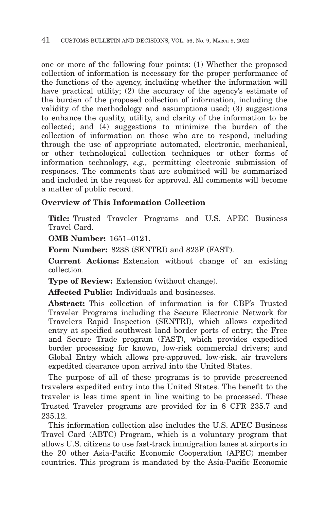one or more of the following four points: (1) Whether the proposed collection of information is necessary for the proper performance of the functions of the agency, including whether the information will have practical utility; (2) the accuracy of the agency's estimate of the burden of the proposed collection of information, including the validity of the methodology and assumptions used; (3) suggestions to enhance the quality, utility, and clarity of the information to be collected; and (4) suggestions to minimize the burden of the collection of information on those who are to respond, including through the use of appropriate automated, electronic, mechanical, or other technological collection techniques or other forms of information technology, *e.g.,* permitting electronic submission of responses. The comments that are submitted will be summarized and included in the request for approval. All comments will become a matter of public record.

# **Overview of This Information Collection**

**Title:** Trusted Traveler Programs and U.S. APEC Business Travel Card.

**OMB Number:** 1651–0121.

**Form Number:** 823S (SENTRI) and 823F (FAST).

**Current Actions:** Extension without change of an existing collection.

**Type of Review:** Extension (without change).

**Affected Public:** Individuals and businesses.

**Abstract:** This collection of information is for CBP's Trusted Traveler Programs including the Secure Electronic Network for Travelers Rapid Inspection (SENTRI), which allows expedited entry at specified southwest land border ports of entry; the Free and Secure Trade program (FAST), which provides expedited border processing for known, low-risk commercial drivers; and Global Entry which allows pre-approved, low-risk, air travelers expedited clearance upon arrival into the United States.

The purpose of all of these programs is to provide prescreened travelers expedited entry into the United States. The benefit to the traveler is less time spent in line waiting to be processed. These Trusted Traveler programs are provided for in 8 CFR 235.7 and 235.12.

This information collection also includes the U.S. APEC Business Travel Card (ABTC) Program, which is a voluntary program that allows U.S. citizens to use fast-track immigration lanes at airports in the 20 other Asia-Pacific Economic Cooperation (APEC) member countries. This program is mandated by the Asia-Pacific Economic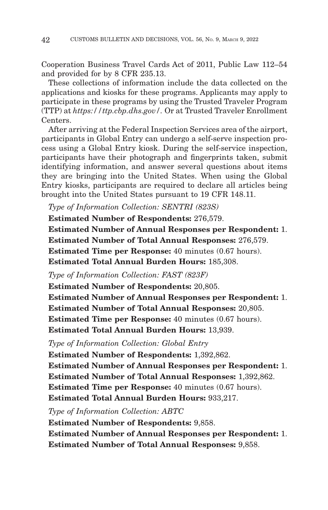Cooperation Business Travel Cards Act of 2011, Public Law 112–54 and provided for by 8 CFR 235.13.

These collections of information include the data collected on the applications and kiosks for these programs. Applicants may apply to participate in these programs by using the Trusted Traveler Program (TTP) at *https://ttp.cbp.dhs.gov/.* Or at Trusted Traveler Enrollment Centers.

After arriving at the Federal Inspection Services area of the airport, participants in Global Entry can undergo a self-serve inspection process using a Global Entry kiosk. During the self-service inspection, participants have their photograph and fingerprints taken, submit identifying information, and answer several questions about items they are bringing into the United States. When using the Global Entry kiosks, participants are required to declare all articles being brought into the United States pursuant to 19 CFR 148.11.

*Type of Information Collection: SENTRI (823S)*

**Estimated Number of Respondents:** 276,579.

**Estimated Number of Annual Responses per Respondent:** 1. **Estimated Number of Total Annual Responses:** 276,579. **Estimated Time per Response:** 40 minutes (0.67 hours). **Estimated Total Annual Burden Hours:** 185,308.

*Type of Information Collection: FAST (823F)*

**Estimated Number of Respondents:** 20,805.

**Estimated Number of Annual Responses per Respondent:** 1. **Estimated Number of Total Annual Responses:** 20,805. **Estimated Time per Response:** 40 minutes (0.67 hours).

**Estimated Total Annual Burden Hours:** 13,939.

*Type of Information Collection: Global Entry*

**Estimated Number of Respondents:** 1,392,862. **Estimated Number of Annual Responses per Respondent:** 1. **Estimated Number of Total Annual Responses:** 1,392,862. **Estimated Time per Response:** 40 minutes (0.67 hours). **Estimated Total Annual Burden Hours:** 933,217.

*Type of Information Collection: ABTC*

**Estimated Number of Respondents:** 9,858. **Estimated Number of Annual Responses per Respondent:** 1. **Estimated Number of Total Annual Responses:** 9,858.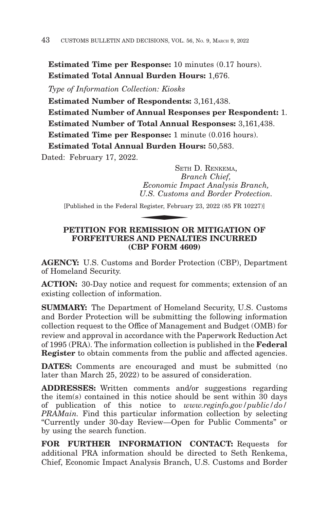**Estimated Time per Response:** 10 minutes (0.17 hours). **Estimated Total Annual Burden Hours:** 1,676.

*Type of Information Collection: Kiosks*

**Estimated Number of Respondents:** 3,161,438.

**Estimated Number of Annual Responses per Respondent:** 1. **Estimated Number of Total Annual Responses:** 3,161,438. **Estimated Time per Response:** 1 minute (0.016 hours). **Estimated Total Annual Burden Hours:** 50,583.

Dated: February 17, 2022.

SETH D. RENKEMA, *Branch Chief, Economic Impact Analysis Branch, U.S. Customs and Border Protection.* SETE<br>*Br*<br>*Economic Im*<br>*U.S. Customs*<br>Register, Februar<br>**EMISSION OF** 

[Published in the Federal Register, February 23, 2022 (85 FR 10227)]

# **PETITION FOR REMISSION OR MITIGATION OF FORFEITURES AND PENALTIES INCURRED (CBP FORM 4609)**

**AGENCY:** U.S. Customs and Border Protection (CBP), Department of Homeland Security.

**ACTION:** 30-Day notice and request for comments; extension of an existing collection of information.

**SUMMARY:** The Department of Homeland Security, U.S. Customs and Border Protection will be submitting the following information collection request to the Office of Management and Budget (OMB) for review and approval in accordance with the Paperwork Reduction Act of 1995 (PRA). The information collection is published in the **Federal Register** to obtain comments from the public and affected agencies.

**DATES:** Comments are encouraged and must be submitted (no later than March 25, 2022) to be assured of consideration.

**ADDRESSES:** Written comments and/or suggestions regarding the item(s) contained in this notice should be sent within 30 days of publication of this notice to *www.reginfo.gov/public/do/ PRAMain.* Find this particular information collection by selecting ''Currently under 30-day Review—Open for Public Comments'' or by using the search function.

**FOR FURTHER INFORMATION CONTACT:** Requests for additional PRA information should be directed to Seth Renkema, Chief, Economic Impact Analysis Branch, U.S. Customs and Border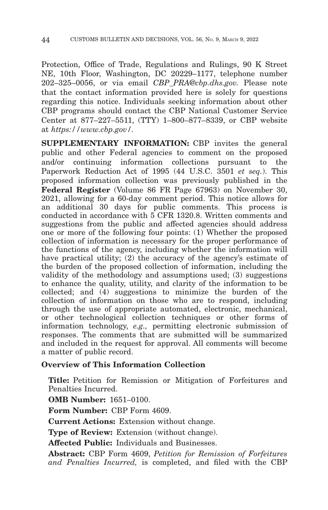Protection, Office of Trade, Regulations and Rulings, 90 K Street NE, 10th Floor, Washington, DC 20229–1177, telephone number 202–325–0056, or via email *CBP\_PRA@cbp.dhs.gov.* Please note that the contact information provided here is solely for questions regarding this notice. Individuals seeking information about other CBP programs should contact the CBP National Customer Service Center at 877–227–5511, (TTY) 1–800–877–8339, or CBP website at *https://www.cbp.gov/.*

**SUPPLEMENTARY INFORMATION:** CBP invites the general public and other Federal agencies to comment on the proposed and/or continuing information collections pursuant to the Paperwork Reduction Act of 1995 (44 U.S.C. 3501 *et seq.*). This proposed information collection was previously published in the **Federal Register** (Volume 86 FR Page 67963) on November 30, 2021, allowing for a 60-day comment period. This notice allows for an additional 30 days for public comments. This process is conducted in accordance with 5 CFR 1320.8. Written comments and suggestions from the public and affected agencies should address one or more of the following four points: (1) Whether the proposed collection of information is necessary for the proper performance of the functions of the agency, including whether the information will have practical utility; (2) the accuracy of the agency's estimate of the burden of the proposed collection of information, including the validity of the methodology and assumptions used; (3) suggestions to enhance the quality, utility, and clarity of the information to be collected; and (4) suggestions to minimize the burden of the collection of information on those who are to respond, including through the use of appropriate automated, electronic, mechanical, or other technological collection techniques or other forms of information technology, *e.g.,* permitting electronic submission of responses. The comments that are submitted will be summarized and included in the request for approval. All comments will become a matter of public record.

# **Overview of This Information Collection**

**Title:** Petition for Remission or Mitigation of Forfeitures and Penalties Incurred.

**OMB Number:** 1651–0100.

**Form Number:** CBP Form 4609.

**Current Actions:** Extension without change.

**Type of Review:** Extension (without change).

**Affected Public:** Individuals and Businesses.

**Abstract:** CBP Form 4609, *Petition for Remission of Forfeitures and Penalties Incurred,* is completed, and filed with the CBP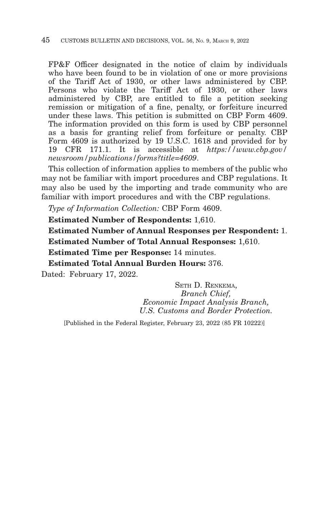FP&F Officer designated in the notice of claim by individuals who have been found to be in violation of one or more provisions of the Tariff Act of 1930, or other laws administered by CBP. Persons who violate the Tariff Act of 1930, or other laws administered by CBP, are entitled to file a petition seeking remission or mitigation of a fine, penalty, or forfeiture incurred under these laws. This petition is submitted on CBP Form 4609. The information provided on this form is used by CBP personnel as a basis for granting relief from forfeiture or penalty. CBP Form 4609 is authorized by 19 U.S.C. 1618 and provided for by 19 CFR 171.1. It is accessible at *https://www.cbp.gov/ newsroom/publications/forms?title=4609*.

This collection of information applies to members of the public who may not be familiar with import procedures and CBP regulations. It may also be used by the importing and trade community who are familiar with import procedures and with the CBP regulations.

*Type of Information Collection:* CBP Form 4609.

**Estimated Number of Respondents:** 1,610.

**Estimated Number of Annual Responses per Respondent:** 1. **Estimated Number of Total Annual Responses:** 1,610.

**Estimated Time per Response:** 14 minutes.

**Estimated Total Annual Burden Hours:** 376.

Dated: February 17, 2022.

SETH D. RENKEMA, *Branch Chief, Economic Impact Analysis Branch, U.S. Customs and Border Protection.*

[Published in the Federal Register, February 23, 2022 (85 FR 10222)]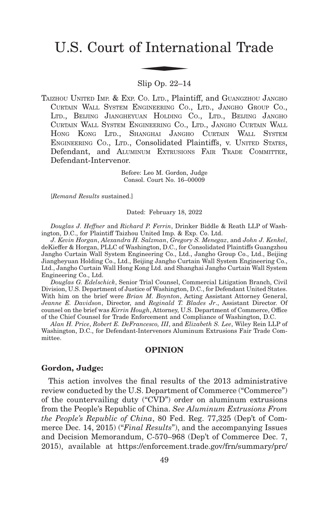# U.S. Court of International Trade f Interna

Slip Op. 22–14

TAIZHOU UNITED IMP. & EXP. CO. LTD., Plaintiff, and GUANGZHOU JANGHO CURTAIN WALL SYSTEM ENGINEERING CO., LTD., JANGHO GROUP CO., LTD., BEIJING JIANGHEYUAN HOLDING CO., LTD., BEIJING JANGHO CURTAIN WALL SYSTEM ENGINEERING CO., LTD., JANGHO CURTAIN WALL HONG KONG LTD., SHANGHAI JANGHO CURTAIN WALL SYSTEM ENGINEERING CO., LTD., Consolidated Plaintiffs, v. UNITED STATES, Defendant, and ALUMINUM EXTRUSIONS FAIR TRADE COMMITTEE, Defendant-Intervenor.

> Before: Leo M. Gordon, Judge Consol. Court No. 16–00009

[*Remand Results* sustained.]

Dated: February 18, 2022

*Douglas J. Heffner* and *Richard P. Ferrin*, Drinker Biddle & Reath LLP of Washington, D.C., for Plaintiff Taizhou United Imp. & Exp. Co. Ltd.

*J. Kevin Horgan*, *Alexandra H. Salzman*, *Gregory S. Menegaz*, and *John J. Kenkel*, deKieffer & Horgan, PLLC of Washington, D.C., for Consolidated Plaintiffs Guangzhou Jangho Curtain Wall System Engineering Co., Ltd., Jangho Group Co., Ltd., Beijing Jiangheyuan Holding Co., Ltd., Beijing Jangho Curtain Wall System Engineering Co., Ltd., Jangho Curtain Wall Hong Kong Ltd. and Shanghai Jangho Curtain Wall System Engineering Co., Ltd.

*Douglas G. Edelschick*, Senior Trial Counsel, Commercial Litigation Branch, Civil Division, U.S. Department of Justice of Washington, D.C., for Defendant United States. With him on the brief were *Brian M. Boynton*, Acting Assistant Attorney General, *Jeanne E. Davidson*, Director, and *Reginald T. Blades Jr*., Assistant Director. Of counsel on the brief was *Kirrin Hough*, Attorney, U.S. Department of Commerce, Office of the Chief Counsel for Trade Enforcement and Compliance of Washington, D.C.

*Alan H. Price*, *Robert E. DeFrancesco, III*, and *Elizabeth S. Lee*, Wiley Rein LLP of Washington, D.C., for Defendant-Intervenors Aluminum Extrusions Fair Trade Committee.

#### **OPINION**

#### **Gordon, Judge:**

This action involves the final results of the 2013 administrative review conducted by the U.S. Department of Commerce ("Commerce") of the countervailing duty ("CVD") order on aluminum extrusions from the People's Republic of China. *See Aluminum Extrusions From the People's Republic of China*, 80 Fed. Reg. 77,325 (Dep't of Commerce Dec. 14, 2015) ("*Final Results*"), and the accompanying Issues and Decision Memorandum, C-570–968 (Dep't of Commerce Dec. 7, 2015), available at https://enforcement.trade.gov/frn/summary/prc/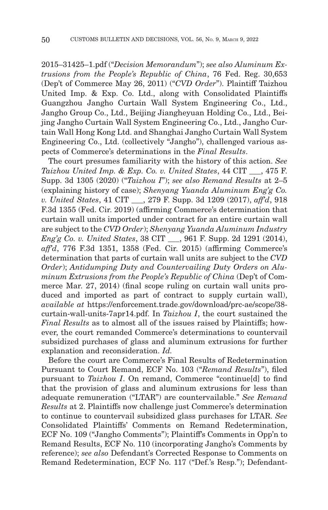2015–31425–1.pdf ("*Decision Memorandum*"); *see also Aluminum Extrusions from the People's Republic of China*, 76 Fed. Reg. 30,653 (Dep't of Commerce May 26, 2011) ("*CVD Order*"). Plaintiff Taizhou United Imp. & Exp. Co. Ltd., along with Consolidated Plaintiffs Guangzhou Jangho Curtain Wall System Engineering Co., Ltd., Jangho Group Co., Ltd., Beijing Jiangheyuan Holding Co., Ltd., Beijing Jangho Curtain Wall System Engineering Co., Ltd., Jangho Curtain Wall Hong Kong Ltd. and Shanghai Jangho Curtain Wall System Engineering Co., Ltd. (collectively "Jangho"), challenged various aspects of Commerce's determinations in the *Final Results*.

The court presumes familiarity with the history of this action. *See Taizhou United Imp. & Exp. Co. v. United States*, 44 CIT \_\_\_, 475 F. Supp. 3d 1305 (2020) ("*Taizhou I*"); *see also Remand Results* at 2–5 (explaining history of case); *Shenyang Yuanda Aluminum Eng'g Co. v. United States*, 41 CIT \_\_\_, 279 F. Supp. 3d 1209 (2017), *aff'd*, 918 F.3d 1355 (Fed. Cir. 2019) (affirming Commerce's determination that curtain wall units imported under contract for an entire curtain wall are subject to the *CVD Order*); *Shenyang Yuanda Aluminum Industry Eng'g Co. v. United States*, 38 CIT \_\_\_, 961 F. Supp. 2d 1291 (2014), *aff'd*, 776 F.3d 1351, 1358 (Fed. Cir. 2015) (affirming Commerce's determination that parts of curtain wall units are subject to the *CVD Order*); *Antidumping Duty and Countervailing Duty Orders on Aluminum Extrusions from the People's Republic of China* (Dep't of Commerce Mar. 27, 2014) (final scope ruling on curtain wall units produced and imported as part of contract to supply curtain wall), *available at* https://enforcement.trade.gov/download/prc-ae/scope/38 curtain-wall-units-7apr14.pdf. In *Taizhou I*, the court sustained the *Final Results* as to almost all of the issues raised by Plaintiffs; however, the court remanded Commerce's determinations to countervail subsidized purchases of glass and aluminum extrusions for further explanation and reconsideration. *Id.*

Before the court are Commerce's Final Results of Redetermination Pursuant to Court Remand, ECF No. 103 ("*Remand Results*"), filed pursuant to *Taizhou I*. On remand, Commerce "continue[d] to find that the provision of glass and aluminum extrusions for less than adequate remuneration ("LTAR") are countervailable." *See Remand Results* at 2. Plaintiffs now challenge just Commerce's determination to continue to countervail subsidized glass purchases for LTAR. *See* Consolidated Plaintiffs' Comments on Remand Redetermination, ECF No. 109 ("Jangho Comments"); Plaintiff's Comments in Opp'n to Remand Results, ECF No. 110 (incorporating Jangho's Comments by reference); *see also* Defendant's Corrected Response to Comments on Remand Redetermination, ECF No. 117 ("Def.'s Resp."); Defendant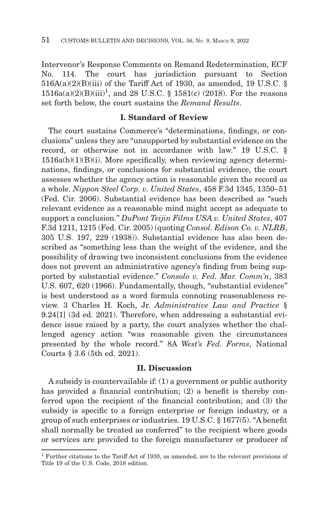Intervenor's Response Comments on Remand Redetermination, ECF No. 114. The court has jurisdiction pursuant to Section  $516A(a)(2)(B)(iii)$  of the Tariff Act of 1930, as amended, 19 U.S.C. §  $1516a(a)(2)(B)(iii)^1$ , and 28 U.S.C. § 1581(c) (2018). For the reasons set forth below, the court sustains the *Remand Results*.

# **I. Standard of Review**

The court sustains Commerce's "determinations, findings, or conclusions" unless they are "unsupported by substantial evidence on the record, or otherwise not in accordance with law." 19 U.S.C. §  $1516a(b)(1)(B)(i)$ . More specifically, when reviewing agency determinations, findings, or conclusions for substantial evidence, the court assesses whether the agency action is reasonable given the record as a whole. *Nippon Steel Corp. v. United States*, 458 F.3d 1345, 1350–51 (Fed. Cir. 2006). Substantial evidence has been described as "such relevant evidence as a reasonable mind might accept as adequate to support a conclusion." *DuPont Teijin Films USA v. United States*, 407 F.3d 1211, 1215 (Fed. Cir. 2005) (quoting *Consol. Edison Co. v. NLRB*, 305 U.S. 197, 229 (1938)). Substantial evidence has also been described as "something less than the weight of the evidence, and the possibility of drawing two inconsistent conclusions from the evidence does not prevent an administrative agency's finding from being supported by substantial evidence." *Consolo v. Fed. Mar. Comm'n*, 383 U.S. 607, 620 (1966). Fundamentally, though, "substantial evidence" is best understood as a word formula connoting reasonableness review. 3 Charles H. Koch, Jr. *Administrative Law and Practice* § 9.24[1] (3d ed. 2021). Therefore, when addressing a substantial evidence issue raised by a party, the court analyzes whether the challenged agency action "was reasonable given the circumstances presented by the whole record." 8A *West's Fed. Forms*, National Courts § 3.6 (5th ed. 2021).

#### **II. Discussion**

A subsidy is countervailable if: (1) a government or public authority has provided a financial contribution; (2) a benefit is thereby conferred upon the recipient of the financial contribution; and (3) the subsidy is specific to a foreign enterprise or foreign industry, or a group of such enterprises or industries. 19 U.S.C. § 1677(5). "A benefit shall normally be treated as conferred" to the recipient where goods or services are provided to the foreign manufacturer or producer of

<sup>1</sup> Further citations to the Tariff Act of 1930, as amended, are to the relevant provisions of Title 19 of the U.S. Code, 2018 edition.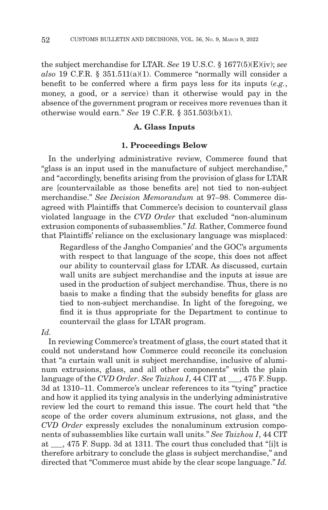the subject merchandise for LTAR. *See* 19 U.S.C. § 1677(5)(E)(iv); *see also* 19 C.F.R. § 351.511(a)(1). Commerce "normally will consider a benefit to be conferred where a firm pays less for its inputs (*e.g.*, money, a good, or a service) than it otherwise would pay in the absence of the government program or receives more revenues than it otherwise would earn." *See* 19 C.F.R. § 351.503(b)(1).

#### **A. Glass Inputs**

#### **1. Proceedings Below**

In the underlying administrative review, Commerce found that "glass is an input used in the manufacture of subject merchandise," and "accordingly, benefits arising from the provision of glass for LTAR are [countervailable as those benefits are] not tied to non-subject merchandise." *See Decision Memorandum* at 97–98. Commerce disagreed with Plaintiffs that Commerce's decision to countervail glass violated language in the *CVD Order* that excluded "non-aluminum extrusion components of subassemblies." *Id.* Rather, Commerce found that Plaintiffs' reliance on the exclusionary language was misplaced:

Regardless of the Jangho Companies' and the GOC's arguments with respect to that language of the scope, this does not affect our ability to countervail glass for LTAR. As discussed, curtain wall units are subject merchandise and the inputs at issue are used in the production of subject merchandise. Thus, there is no basis to make a finding that the subsidy benefits for glass are tied to non-subject merchandise. In light of the foregoing, we find it is thus appropriate for the Department to continue to countervail the glass for LTAR program.

# *Id.*

In reviewing Commerce's treatment of glass, the court stated that it could not understand how Commerce could reconcile its conclusion that "a curtain wall unit is subject merchandise, inclusive of aluminum extrusions, glass, and all other components" with the plain language of the *CVD Order*. *See Taizhou I*, 44 CIT at  $\phantom{0}$ , 475 F. Supp. 3d at 1310–11. Commerce's unclear references to its "tying" practice and how it applied its tying analysis in the underlying administrative review led the court to remand this issue. The court held that "the scope of the order covers aluminum extrusions, not glass, and the *CVD Order* expressly excludes the nonaluminum extrusion components of subassemblies like curtain wall units." *See Taizhou I*, 44 CIT at \_\_\_, 475 F. Supp. 3d at 1311. The court thus concluded that "[i]t is therefore arbitrary to conclude the glass is subject merchandise," and directed that "Commerce must abide by the clear scope language." *Id.*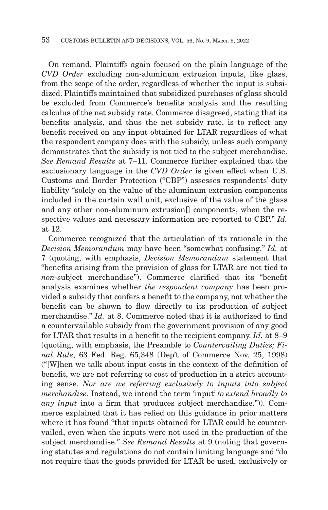On remand, Plaintiffs again focused on the plain language of the *CVD Order* excluding non-aluminum extrusion inputs, like glass, from the scope of the order, regardless of whether the input is subsidized. Plaintiffs maintained that subsidized purchases of glass should be excluded from Commerce's benefits analysis and the resulting calculus of the net subsidy rate. Commerce disagreed, stating that its benefits analysis, and thus the net subsidy rate, is to reflect any benefit received on any input obtained for LTAR regardless of what the respondent company does with the subsidy, unless such company demonstrates that the subsidy is not tied to the subject merchandise. *See Remand Results* at 7–11. Commerce further explained that the exclusionary language in the *CVD Order* is given effect when U.S. Customs and Border Protection ("CBP") assesses respondents' duty liability "solely on the value of the aluminum extrusion components included in the curtain wall unit, exclusive of the value of the glass and any other non-aluminum extrusion[] components, when the respective values and necessary information are reported to CBP." *Id.* at 12.

Commerce recognized that the articulation of its rationale in the *Decision Memorandum* may have been "somewhat confusing." *Id.* at 7 (quoting, with emphasis, *Decision Memorandum* statement that "benefits arising from the provision of glass for LTAR are not tied to *non*-subject merchandise"). Commerce clarified that its "benefit analysis examines whether *the respondent company* has been provided a subsidy that confers a benefit to the company, not whether the benefit can be shown to flow directly to its production of subject merchandise." *Id.* at 8. Commerce noted that it is authorized to find a countervailable subsidy from the government provision of any good for LTAR that results in a benefit to the recipient company. *Id.* at 8–9 (quoting, with emphasis, the Preamble to *Countervailing Duties; Final Rule*, 63 Fed. Reg. 65,348 (Dep't of Commerce Nov. 25, 1998) ("[W]hen we talk about input costs in the context of the definition of benefit, we are not referring to cost of production in a strict accounting sense. *Nor are we referring exclusively to inputs into subject merchandise*. Instead, we intend the term 'input' *to extend broadly to any input* into a firm that produces subject merchandise.")). Commerce explained that it has relied on this guidance in prior matters where it has found "that inputs obtained for LTAR could be countervailed, even when the inputs were not used in the production of the subject merchandise." *See Remand Results* at 9 (noting that governing statutes and regulations do not contain limiting language and "do not require that the goods provided for LTAR be used, exclusively or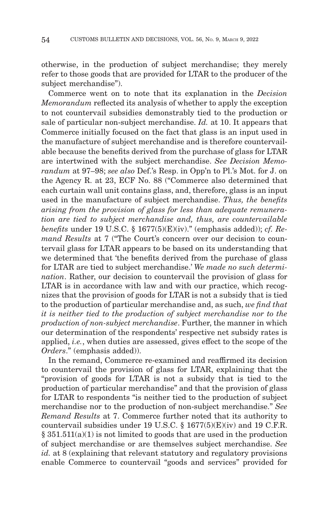otherwise, in the production of subject merchandise; they merely refer to those goods that are provided for LTAR to the producer of the subject merchandise").

Commerce went on to note that its explanation in the *Decision Memorandum* reflected its analysis of whether to apply the exception to not countervail subsidies demonstrably tied to the production or sale of particular non-subject merchandise. *Id.* at 10. It appears that Commerce initially focused on the fact that glass is an input used in the manufacture of subject merchandise and is therefore countervailable because the benefits derived from the purchase of glass for LTAR are intertwined with the subject merchandise. *See Decision Memorandum* at 97–98; *see also* Def.'s Resp. in Opp'n to Pl.'s Mot. for J. on the Agency R. at 23, ECF No. 88 ("Commerce also determined that each curtain wall unit contains glass, and, therefore, glass is an input used in the manufacture of subject merchandise. *Thus, the benefits arising from the provision of glass for less than adequate remuneration are tied to subject merchandise and, thus, are countervailable benefits* under 19 U.S.C. § 1677(5)(E)(iv)." (emphasis added)); *cf. Remand Results* at 7 ("The Court's concern over our decision to countervail glass for LTAR appears to be based on its understanding that we determined that 'the benefits derived from the purchase of glass for LTAR are tied to subject merchandise.' *We made no such determination*. Rather, our decision to countervail the provision of glass for LTAR is in accordance with law and with our practice, which recognizes that the provision of goods for LTAR is not a subsidy that is tied to the production of particular merchandise and, as such, *we find that it is neither tied to the production of subject merchandise nor to the production of non-subject merchandise*. Further, the manner in which our determination of the respondents' respective net subsidy rates is applied, *i.e.*, when duties are assessed, gives effect to the scope of the *Orders*." (emphasis added)).

In the remand, Commerce re-examined and reaffirmed its decision to countervail the provision of glass for LTAR, explaining that the "provision of goods for LTAR is not a subsidy that is tied to the production of particular merchandise" and that the provision of glass for LTAR to respondents "is neither tied to the production of subject merchandise nor to the production of non-subject merchandise." *See Remand Results* at 7. Commerce further noted that its authority to countervail subsidies under 19 U.S.C. § 1677(5)(E)(iv) and 19 C.F.R. § 351.511(a)(1) is not limited to goods that are used in the production of subject merchandise or are themselves subject merchandise. *See id.* at 8 (explaining that relevant statutory and regulatory provisions enable Commerce to countervail "goods and services" provided for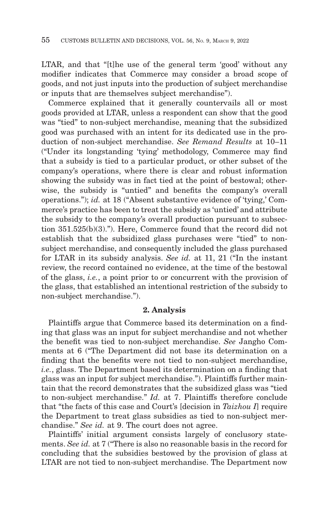LTAR, and that "[t]he use of the general term 'good' without any modifier indicates that Commerce may consider a broad scope of goods, and not just inputs into the production of subject merchandise or inputs that are themselves subject merchandise").

Commerce explained that it generally countervails all or most goods provided at LTAR, unless a respondent can show that the good was "tied" to non-subject merchandise, meaning that the subsidized good was purchased with an intent for its dedicated use in the production of non-subject merchandise. *See Remand Results* at 10–11 ("Under its longstanding 'tying' methodology, Commerce may find that a subsidy is tied to a particular product, or other subset of the company's operations, where there is clear and robust information showing the subsidy was in fact tied at the point of bestowal; otherwise, the subsidy is "untied" and benefits the company's overall operations."); *id.* at 18 ("Absent substantive evidence of 'tying,' Commerce's practice has been to treat the subsidy as 'untied' and attribute the subsidy to the company's overall production pursuant to subsection 351.525(b)(3)."). Here, Commerce found that the record did not establish that the subsidized glass purchases were "tied" to nonsubject merchandise, and consequently included the glass purchased for LTAR in its subsidy analysis. *See id.* at 11, 21 ("In the instant review, the record contained no evidence, at the time of the bestowal of the glass, *i.e.*, a point prior to or concurrent with the provision of the glass, that established an intentional restriction of the subsidy to non-subject merchandise.").

#### **2. Analysis**

Plaintiffs argue that Commerce based its determination on a finding that glass was an input for subject merchandise and not whether the benefit was tied to non-subject merchandise. *See* Jangho Comments at 6 ("The Department did not base its determination on a finding that the benefits were not tied to non-subject merchandise, *i.e.*, glass. The Department based its determination on a finding that glass was an input for subject merchandise."). Plaintiffs further maintain that the record demonstrates that the subsidized glass was "tied to non-subject merchandise." *Id.* at 7. Plaintiffs therefore conclude that "the facts of this case and Court's [decision in *Taizhou I*] require the Department to treat glass subsidies as tied to non-subject merchandise." *See id.* at 9. The court does not agree.

Plaintiffs' initial argument consists largely of conclusory statements. *See id.* at 7 ("There is also no reasonable basis in the record for concluding that the subsidies bestowed by the provision of glass at LTAR are not tied to non-subject merchandise. The Department now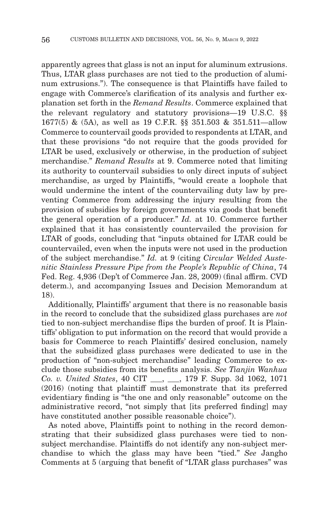apparently agrees that glass is not an input for aluminum extrusions. Thus, LTAR glass purchases are not tied to the production of aluminum extrusions."). The consequence is that Plaintiffs have failed to engage with Commerce's clarification of its analysis and further explanation set forth in the *Remand Results*. Commerce explained that the relevant regulatory and statutory provisions—19 U.S.C. §§ 1677(5) & (5A), as well as 19 C.F.R. §§ 351.503 & 351.511—allow Commerce to countervail goods provided to respondents at LTAR, and that these provisions "do not require that the goods provided for LTAR be used, exclusively or otherwise, in the production of subject merchandise." *Remand Results* at 9. Commerce noted that limiting its authority to countervail subsidies to only direct inputs of subject merchandise, as urged by Plaintiffs, "would create a loophole that would undermine the intent of the countervailing duty law by preventing Commerce from addressing the injury resulting from the provision of subsidies by foreign governments via goods that benefit the general operation of a producer." *Id.* at 10. Commerce further explained that it has consistently countervailed the provision for LTAR of goods, concluding that "inputs obtained for LTAR could be countervailed, even when the inputs were not used in the production of the subject merchandise." *Id.* at 9 (citing *Circular Welded Austenitic Stainless Pressure Pipe from the People's Republic of China*, 74 Fed. Reg. 4,936 (Dep't of Commerce Jan. 28, 2009) (final affirm. CVD determ.), and accompanying Issues and Decision Memorandum at 18).

Additionally, Plaintiffs' argument that there is no reasonable basis in the record to conclude that the subsidized glass purchases are *not* tied to non-subject merchandise flips the burden of proof. It is Plaintiffs' obligation to put information on the record that would provide a basis for Commerce to reach Plaintiffs' desired conclusion, namely that the subsidized glass purchases were dedicated to use in the production of "non-subject merchandise" leading Commerce to exclude those subsidies from its benefits analysis. *See Tianjin Wanhua Co. v. United States*, 40 CIT \_\_\_, \_\_\_, 179 F. Supp. 3d 1062, 1071 (2016) (noting that plaintiff must demonstrate that its preferred evidentiary finding is "the one and only reasonable" outcome on the administrative record, "not simply that [its preferred finding] may have constituted another possible reasonable choice").

As noted above, Plaintiffs point to nothing in the record demonstrating that their subsidized glass purchases were tied to nonsubject merchandise. Plaintiffs do not identify any non-subject merchandise to which the glass may have been "tied." *See* Jangho Comments at 5 (arguing that benefit of "LTAR glass purchases" was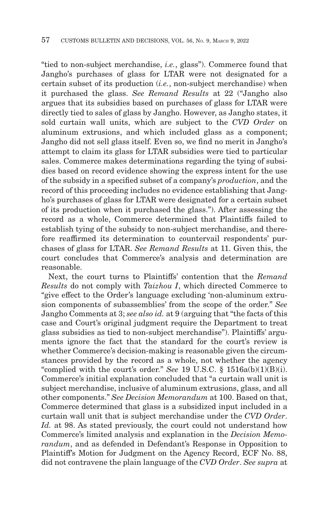"tied to non-subject merchandise, *i.e.*, glass"). Commerce found that Jangho's purchases of glass for LTAR were not designated for a certain subset of its production (*i.e.*, non-subject merchandise) when it purchased the glass. *See Remand Results* at 22 ("Jangho also argues that its subsidies based on purchases of glass for LTAR were directly tied to sales of glass by Jangho. However, as Jangho states, it sold curtain wall units, which are subject to the *CVD Order* on aluminum extrusions, and which included glass as a component; Jangho did not sell glass itself. Even so, we find no merit in Jangho's attempt to claim its glass for LTAR subsidies were tied to particular sales. Commerce makes determinations regarding the tying of subsidies based on record evidence showing the express intent for the use of the subsidy in a specified subset of a company's *production*, and the record of this proceeding includes no evidence establishing that Jangho's purchases of glass for LTAR were designated for a certain subset of its production when it purchased the glass."). After assessing the record as a whole, Commerce determined that Plaintiffs failed to establish tying of the subsidy to non-subject merchandise, and therefore reaffirmed its determination to countervail respondents' purchases of glass for LTAR. *See Remand Results* at 11. Given this, the court concludes that Commerce's analysis and determination are reasonable.

Next, the court turns to Plaintiffs' contention that the *Remand Results* do not comply with *Taizhou I*, which directed Commerce to "give effect to the Order's language excluding 'non-aluminum extrusion components of subassemblies' from the scope of the order." *See* Jangho Comments at 3; *see also id.* at 9 (arguing that "the facts of this case and Court's original judgment require the Department to treat glass subsidies as tied to non-subject merchandise"). Plaintiffs' arguments ignore the fact that the standard for the court's review is whether Commerce's decision-making is reasonable given the circumstances provided by the record as a whole, not whether the agency "complied with the court's order." *See* 19 U.S.C. § 1516a(b)(1)(B)(i). Commerce's initial explanation concluded that "a curtain wall unit is subject merchandise, inclusive of aluminum extrusions, glass, and all other components." *See Decision Memorandum* at 100. Based on that, Commerce determined that glass is a subsidized input included in a curtain wall unit that is subject merchandise under the *CVD Order*. Id. at 98. As stated previously, the court could not understand how Commerce's limited analysis and explanation in the *Decision Memorandum*, and as defended in Defendant's Response in Opposition to Plaintiff's Motion for Judgment on the Agency Record, ECF No. 88, did not contravene the plain language of the *CVD Order*. *See supra* at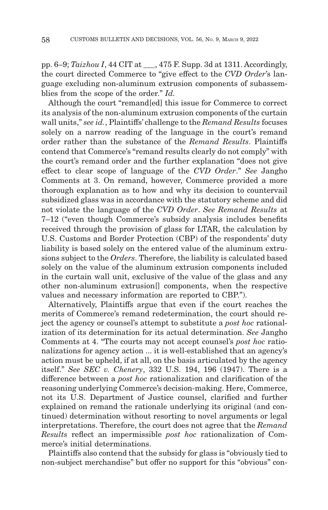pp. 6–9; *Taizhou I*, 44 CIT at \_\_\_, 475 F. Supp. 3d at 1311. Accordingly, the court directed Commerce to "give effect to the *CVD Order*'s language excluding non-aluminum extrusion components of subassemblies from the scope of the order." *Id.*

Although the court "remand[ed] this issue for Commerce to correct its analysis of the non-aluminum extrusion components of the curtain wall units," *see id.*, Plaintiffs' challenge to the *Remand Results* focuses solely on a narrow reading of the language in the court's remand order rather than the substance of the *Remand Results*. Plaintiffs contend that Commerce's "remand results clearly do not comply" with the court's remand order and the further explanation "does not give effect to clear scope of language of the *CVD Order*." *See* Jangho Comments at 3. On remand, however, Commerce provided a more thorough explanation as to how and why its decision to countervail subsidized glass was in accordance with the statutory scheme and did not violate the language of the *CVD Order*. *See Remand Results* at 7–12 ("even though Commerce's subsidy analysis includes benefits received through the provision of glass for LTAR, the calculation by U.S. Customs and Border Protection (CBP) of the respondents' duty liability is based solely on the entered value of the aluminum extrusions subject to the *Orders*. Therefore, the liability is calculated based solely on the value of the aluminum extrusion components included in the curtain wall unit, exclusive of the value of the glass and any other non-aluminum extrusion[] components, when the respective values and necessary information are reported to CBP.").

Alternatively, Plaintiffs argue that even if the court reaches the merits of Commerce's remand redetermination, the court should reject the agency or counsel's attempt to substitute a *post hoc* rationalization of its determination for its actual determination. *See* Jangho Comments at 4. "The courts may not accept counsel's *post hoc* rationalizations for agency action ... it is well-established that an agency's action must be upheld, if at all, on the basis articulated by the agency itself." *See SEC v. Chenery*, 332 U.S. 194, 196 (1947). There is a difference between a *post hoc* rationalization and clarification of the reasoning underlying Commerce's decision-making. Here, Commerce, not its U.S. Department of Justice counsel, clarified and further explained on remand the rationale underlying its original (and continued) determination without resorting to novel arguments or legal interpretations. Therefore, the court does not agree that the *Remand Results* reflect an impermissible *post hoc* rationalization of Commerce's initial determinations.

Plaintiffs also contend that the subsidy for glass is "obviously tied to non-subject merchandise" but offer no support for this "obvious" con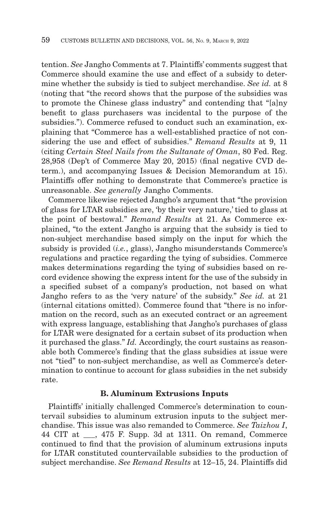tention. *See* Jangho Comments at 7. Plaintiffs' comments suggest that Commerce should examine the use and effect of a subsidy to determine whether the subsidy is tied to subject merchandise. *See id.* at 8 (noting that "the record shows that the purpose of the subsidies was to promote the Chinese glass industry" and contending that "[a]ny benefit to glass purchasers was incidental to the purpose of the subsidies."). Commerce refused to conduct such an examination, explaining that "Commerce has a well-established practice of not considering the use and effect of subsidies." *Remand Results* at 9, 11 (citing *Certain Steel Nails from the Sultanate of Oman*, 80 Fed. Reg. 28,958 (Dep't of Commerce May 20, 2015) (final negative CVD determ.), and accompanying Issues & Decision Memorandum at 15). Plaintiffs offer nothing to demonstrate that Commerce's practice is unreasonable. *See generally* Jangho Comments.

Commerce likewise rejected Jangho's argument that "the provision of glass for LTAR subsidies are, 'by their very nature,' tied to glass at the point of bestowal." *Remand Results* at 21. As Commerce explained, "to the extent Jangho is arguing that the subsidy is tied to non-subject merchandise based simply on the input for which the subsidy is provided (*i.e.*, glass), Jangho misunderstands Commerce's regulations and practice regarding the tying of subsidies. Commerce makes determinations regarding the tying of subsidies based on record evidence showing the express intent for the use of the subsidy in a specified subset of a company's production, not based on what Jangho refers to as the 'very nature' of the subsidy." *See id.* at 21 (internal citations omitted). Commerce found that "there is no information on the record, such as an executed contract or an agreement with express language, establishing that Jangho's purchases of glass for LTAR were designated for a certain subset of its production when it purchased the glass." *Id.* Accordingly, the court sustains as reasonable both Commerce's finding that the glass subsidies at issue were not "tied" to non-subject merchandise, as well as Commerce's determination to continue to account for glass subsidies in the net subsidy rate.

#### **B. Aluminum Extrusions Inputs**

Plaintiffs' initially challenged Commerce's determination to countervail subsidies to aluminum extrusion inputs to the subject merchandise. This issue was also remanded to Commerce. *See Taizhou I*, 44 CIT at \_\_\_, 475 F. Supp. 3d at 1311. On remand, Commerce continued to find that the provision of aluminum extrusions inputs for LTAR constituted countervailable subsidies to the production of subject merchandise. *See Remand Results* at 12–15, 24. Plaintiffs did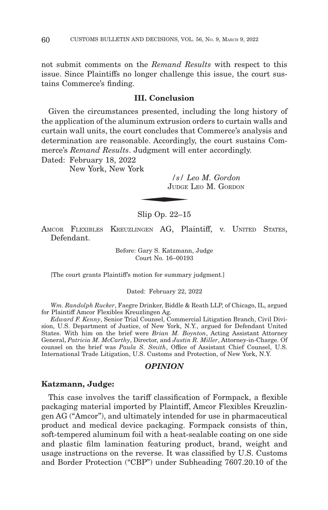not submit comments on the *Remand Results* with respect to this issue. Since Plaintiffs no longer challenge this issue, the court sustains Commerce's finding.

## **III. Conclusion**

Given the circumstances presented, including the long history of the application of the aluminum extrusion orders to curtain walls and curtain wall units, the court concludes that Commerce's analysis and determination are reasonable. Accordingly, the court sustains Commerce's *Remand Results*. Judgment will enter accordingly.<br>
Dated: February 18, 2022<br>
New York *Solution*<br> *Solution* Judge Leo M. Gordon

Dated: February 18, 2022

New York, New York

*/s/ Leo M. Gordon* JUDGE LEO M. GORDON

Slip Op. 22–15

AMCOR FLEXIBLES KREUZLINGEN AG, Plaintiff, v. UNITED STATES, Defendant.

> Before: Gary S. Katzmann, Judge Court No. 16–00193

[The court grants Plaintiff's motion for summary judgment.]

Dated: February 22, 2022

*Wm. Randolph Rucker*, Faegre Drinker, Biddle & Reath LLP, of Chicago, IL, argued for Plaintiff Amcor Flexibles Kreuzlingen Ag.

*Edward F. Kenny*, Senior Trial Counsel, Commercial Litigation Branch, Civil Division, U.S. Department of Justice, of New York, N.Y., argued for Defendant United States. With him on the brief were *Brian M. Boynton*, Acting Assistant Attorney General, *Patricia M. McCarthy*, Director, and *Justin R. Miller*, Attorney-in-Charge. Of counsel on the brief was *Paula S. Smith*, Office of Assistant Chief Counsel, U.S. International Trade Litigation, U.S. Customs and Protection, of New York, N.Y.

#### *OPINION*

#### **Katzmann, Judge:**

This case involves the tariff classification of Formpack, a flexible packaging material imported by Plaintiff, Amcor Flexibles Kreuzlingen AG ("Amcor"), and ultimately intended for use in pharmaceutical product and medical device packaging. Formpack consists of thin, soft-tempered aluminum foil with a heat-sealable coating on one side and plastic film lamination featuring product, brand, weight and usage instructions on the reverse. It was classified by U.S. Customs and Border Protection ("CBP") under Subheading 7607.20.10 of the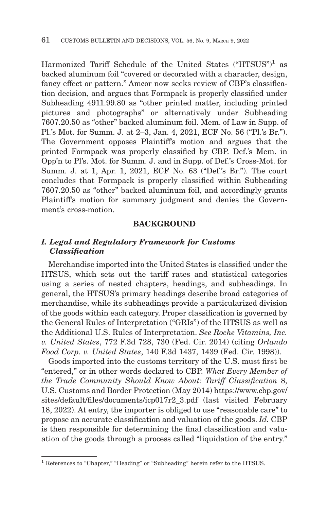Harmonized Tariff Schedule of the United States ("HTSUS")<sup>1</sup> as backed aluminum foil "covered or decorated with a character, design, fancy effect or pattern." Amcor now seeks review of CBP's classification decision, and argues that Formpack is properly classified under Subheading 4911.99.80 as "other printed matter, including printed pictures and photographs" or alternatively under Subheading 7607.20.50 as "other" backed aluminum foil. Mem. of Law in Supp. of Pl.'s Mot. for Summ. J. at 2–3, Jan. 4, 2021, ECF No. 56 ("Pl.'s Br."). The Government opposes Plaintiff's motion and argues that the printed Formpack was properly classified by CBP. Def.'s Mem. in Opp'n to Pl's. Mot. for Summ. J. and in Supp. of Def.'s Cross-Mot. for Summ. J. at 1, Apr. 1, 2021, ECF No. 63 ("Def.'s Br."). The court concludes that Formpack is properly classified within Subheading 7607.20.50 as "other" backed aluminum foil, and accordingly grants Plaintiff's motion for summary judgment and denies the Government's cross-motion.

#### **BACKGROUND**

## *I. Legal and Regulatory Framework for Customs Classification*

Merchandise imported into the United States is classified under the HTSUS, which sets out the tariff rates and statistical categories using a series of nested chapters, headings, and subheadings. In general, the HTSUS's primary headings describe broad categories of merchandise, while its subheadings provide a particularized division of the goods within each category. Proper classification is governed by the General Rules of Interpretation ("GRIs") of the HTSUS as well as the Additional U.S. Rules of Interpretation. *See Roche Vitamins, Inc. v. United States*, 772 F.3d 728, 730 (Fed. Cir. 2014) (citing *Orlando Food Corp. v. United States*, 140 F.3d 1437, 1439 (Fed. Cir. 1998)).

Goods imported into the customs territory of the U.S. must first be "entered," or in other words declared to CBP. *What Every Member of the Trade Community Should Know About: Tariff Classification* 8, U.S. Customs and Border Protection (May 2014) https://www.cbp.gov/ sites/default/files/documents/icp017r2\_3.pdf (last visited February 18, 2022). At entry, the importer is obliged to use "reasonable care" to propose an accurate classification and valuation of the goods. *Id.* CBP is then responsible for determining the final classification and valuation of the goods through a process called "liquidation of the entry."

<sup>&</sup>lt;sup>1</sup> References to "Chapter," "Heading" or "Subheading" herein refer to the HTSUS.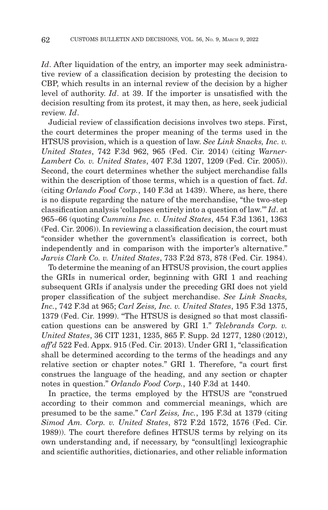*Id*. After liquidation of the entry, an importer may seek administrative review of a classification decision by protesting the decision to CBP, which results in an internal review of the decision by a higher level of authority. *Id*. at 39. If the importer is unsatisfied with the decision resulting from its protest, it may then, as here, seek judicial review. *Id*.

Judicial review of classification decisions involves two steps. First, the court determines the proper meaning of the terms used in the HTSUS provision, which is a question of law. *See Link Snacks, Inc. v. United States*, 742 F.3d 962, 965 (Fed. Cir. 2014) (citing *Warner-Lambert Co. v. United States*, 407 F.3d 1207, 1209 (Fed. Cir. 2005)). Second, the court determines whether the subject merchandise falls within the description of those terms, which is a question of fact. *Id*. (citing *Orlando Food Corp.*, 140 F.3d at 1439). Where, as here, there is no dispute regarding the nature of the merchandise, "the two-step classification analysis 'collapses entirely into a question of law.'" *Id*. at 965–66 (quoting *Cummins Inc. v. United States*, 454 F.3d 1361, 1363 (Fed. Cir. 2006)). In reviewing a classification decision, the court must "consider whether the government's classification is correct, both independently and in comparison with the importer's alternative." *Jarvis Clark Co. v. United States*, 733 F.2d 873, 878 (Fed. Cir. 1984).

To determine the meaning of an HTSUS provision, the court applies the GRIs in numerical order, beginning with GRI 1 and reaching subsequent GRIs if analysis under the preceding GRI does not yield proper classification of the subject merchandise. *See Link Snacks, Inc.*, 742 F.3d at 965; *Carl Zeiss, Inc. v. United States*, 195 F.3d 1375, 1379 (Fed. Cir. 1999). "The HTSUS is designed so that most classification questions can be answered by GRI 1." *Telebrands Corp. v. United States*, 36 CIT 1231, 1235, 865 F. Supp. 2d 1277, 1280 (2012), *aff'd* 522 Fed. Appx. 915 (Fed. Cir. 2013). Under GRI 1, "classification shall be determined according to the terms of the headings and any relative section or chapter notes." GRI 1. Therefore, "a court first construes the language of the heading, and any section or chapter notes in question." *Orlando Food Corp.*, 140 F.3d at 1440.

In practice, the terms employed by the HTSUS are "construed according to their common and commercial meanings, which are presumed to be the same." *Carl Zeiss, Inc.*, 195 F.3d at 1379 (citing *Simod Am. Corp. v. United States*, 872 F.2d 1572, 1576 (Fed. Cir. 1989)). The court therefore defines HTSUS terms by relying on its own understanding and, if necessary, by "consult[ing] lexicographic and scientific authorities, dictionaries, and other reliable information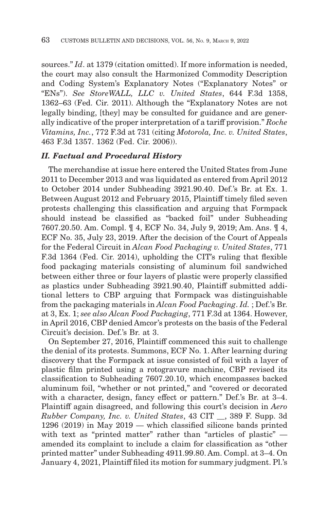sources." *Id*. at 1379 (citation omitted). If more information is needed, the court may also consult the Harmonized Commodity Description and Coding System's Explanatory Notes ("Explanatory Notes" or "ENs"). *See StoreWALL, LLC v. United States*, 644 F.3d 1358, 1362–63 (Fed. Cir. 2011). Although the "Explanatory Notes are not legally binding, [they] may be consulted for guidance and are generally indicative of the proper interpretation of a tariff provision." *Roche Vitamins, Inc.*, 772 F.3d at 731 (citing *Motorola, Inc. v. United States*, 463 F.3d 1357. 1362 (Fed. Cir. 2006)).

# *II. Factual and Procedural History*

The merchandise at issue here entered the United States from June 2011 to December 2013 and was liquidated as entered from April 2012 to October 2014 under Subheading 3921.90.40. Def.'s Br. at Ex. 1. Between August 2012 and February 2015, Plaintiff timely filed seven protests challenging this classification and arguing that Formpack should instead be classified as "backed foil" under Subheading 7607.20.50. Am. Compl. ¶ 4, ECF No. 34, July 9, 2019; Am. Ans. ¶ 4, ECF No. 35, July 23, 2019. After the decision of the Court of Appeals for the Federal Circuit in *Alcan Food Packaging v. United States*, 771 F.3d 1364 (Fed. Cir. 2014), upholding the CIT's ruling that flexible food packaging materials consisting of aluminum foil sandwiched between either three or four layers of plastic were properly classified as plastics under Subheading 3921.90.40, Plaintiff submitted additional letters to CBP arguing that Formpack was distinguishable from the packaging materials in *Alcan Food Packaging*. *Id.* ; Def.'s Br. at 3, Ex. 1; *see also Alcan Food Packaging*, 771 F.3d at 1364. However, in April 2016, CBP denied Amcor's protests on the basis of the Federal Circuit's decision. Def.'s Br. at 3.

On September 27, 2016, Plaintiff commenced this suit to challenge the denial of its protests. Summons, ECF No. 1. After learning during discovery that the Formpack at issue consisted of foil with a layer of plastic film printed using a rotogravure machine, CBP revised its classification to Subheading 7607.20.10, which encompasses backed aluminum foil, "whether or not printed," and "covered or decorated with a character, design, fancy effect or pattern." Def.'s Br. at 3–4. Plaintiff again disagreed, and following this court's decision in *Aero Rubber Company, Inc. v. United States*, 43 CIT \_\_, 389 F. Supp. 3d 1296 (2019) in May 2019 — which classified silicone bands printed with text as "printed matter" rather than "articles of plastic" amended its complaint to include a claim for classification as "other printed matter" under Subheading 4911.99.80. Am. Compl. at 3–4. On January 4, 2021, Plaintiff filed its motion for summary judgment. Pl.'s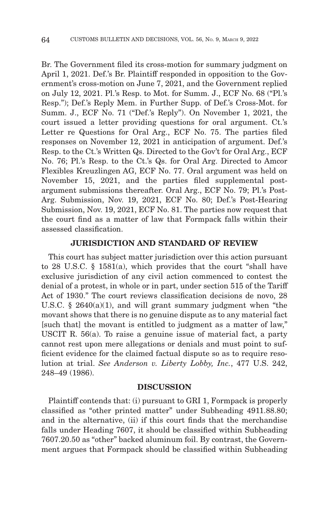Br. The Government filed its cross-motion for summary judgment on April 1, 2021. Def.'s Br. Plaintiff responded in opposition to the Government's cross-motion on June 7, 2021, and the Government replied on July 12, 2021. Pl.'s Resp. to Mot. for Summ. J., ECF No. 68 ("Pl.'s Resp."); Def.'s Reply Mem. in Further Supp. of Def.'s Cross-Mot. for Summ. J., ECF No. 71 ("Def.'s Reply"). On November 1, 2021, the court issued a letter providing questions for oral argument. Ct.'s Letter re Questions for Oral Arg., ECF No. 75. The parties filed responses on November 12, 2021 in anticipation of argument. Def.'s Resp. to the Ct.'s Written Qs. Directed to the Gov't for Oral Arg., ECF No. 76; Pl.'s Resp. to the Ct.'s Qs. for Oral Arg. Directed to Amcor Flexibles Kreuzlingen AG, ECF No. 77. Oral argument was held on November 15, 2021, and the parties filed supplemental postargument submissions thereafter. Oral Arg., ECF No. 79; Pl.'s Post-Arg. Submission, Nov. 19, 2021, ECF No. 80; Def.'s Post-Hearing Submission, Nov. 19, 2021, ECF No. 81. The parties now request that the court find as a matter of law that Formpack falls within their assessed classification.

## **JURISDICTION AND STANDARD OF REVIEW**

This court has subject matter jurisdiction over this action pursuant to 28 U.S.C. § 1581(a), which provides that the court "shall have exclusive jurisdiction of any civil action commenced to contest the denial of a protest, in whole or in part, under section 515 of the Tariff Act of 1930." The court reviews classification decisions de novo, 28 U.S.C.  $\S$  2640(a)(1), and will grant summary judgment when "the movant shows that there is no genuine dispute as to any material fact [such that] the movant is entitled to judgment as a matter of law," USCIT R. 56(a). To raise a genuine issue of material fact, a party cannot rest upon mere allegations or denials and must point to sufficient evidence for the claimed factual dispute so as to require resolution at trial. *See Anderson v. Liberty Lobby, Inc.*, 477 U.S. 242, 248–49 (1986).

## **DISCUSSION**

Plaintiff contends that: (i) pursuant to GRI 1, Formpack is properly classified as "other printed matter" under Subheading 4911.88.80; and in the alternative, (ii) if this court finds that the merchandise falls under Heading 7607, it should be classified within Subheading 7607.20.50 as "other" backed aluminum foil. By contrast, the Government argues that Formpack should be classified within Subheading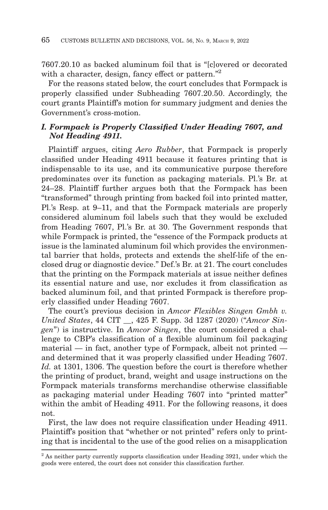7607.20.10 as backed aluminum foil that is "[c]overed or decorated with a character, design, fancy effect or pattern."<sup>2</sup>

For the reasons stated below, the court concludes that Formpack is properly classified under Subheading 7607.20.50. Accordingly, the court grants Plaintiff's motion for summary judgment and denies the Government's cross-motion.

# *I. Formpack is Properly Classified Under Heading 7607, and Not Heading 4911.*

Plaintiff argues, citing *Aero Rubber*, that Formpack is properly classified under Heading 4911 because it features printing that is indispensable to its use, and its communicative purpose therefore predominates over its function as packaging materials. Pl.'s Br. at 24–28. Plaintiff further argues both that the Formpack has been "transformed" through printing from backed foil into printed matter, Pl.'s Resp. at 9–11, and that the Formpack materials are properly considered aluminum foil labels such that they would be excluded from Heading 7607, Pl.'s Br. at 30. The Government responds that while Formpack is printed, the "essence of the Formpack products at issue is the laminated aluminum foil which provides the environmental barrier that holds, protects and extends the shelf-life of the enclosed drug or diagnostic device." Def.'s Br. at 21. The court concludes that the printing on the Formpack materials at issue neither defines its essential nature and use, nor excludes it from classification as backed aluminum foil, and that printed Formpack is therefore properly classified under Heading 7607.

The court's previous decision in *Amcor Flexibles Singen Gmbh v. United States*, 44 CIT \_\_, 425 F. Supp. 3d 1287 (2020) ("*Amcor Singen*") is instructive. In *Amcor Singen*, the court considered a challenge to CBP's classification of a flexible aluminum foil packaging material — in fact, another type of Formpack, albeit not printed and determined that it was properly classified under Heading 7607. *Id.* at 1301, 1306. The question before the court is therefore whether the printing of product, brand, weight and usage instructions on the Formpack materials transforms merchandise otherwise classifiable as packaging material under Heading 7607 into "printed matter" within the ambit of Heading 4911. For the following reasons, it does not.

First, the law does not require classification under Heading 4911. Plaintiff's position that "whether or not printed" refers only to printing that is incidental to the use of the good relies on a misapplication

<sup>&</sup>lt;sup>2</sup> As neither party currently supports classification under Heading 3921, under which the goods were entered, the court does not consider this classification further.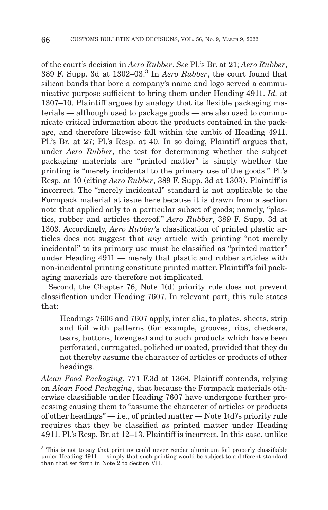of the court's decision in *Aero Rubber*. *See* Pl.'s Br. at 21; *Aero Rubber*, 389 F. Supp. 3d at 1302–03.3 In *Aero Rubber*, the court found that silicon bands that bore a company's name and logo served a communicative purpose sufficient to bring them under Heading 4911. *Id.* at 1307–10. Plaintiff argues by analogy that its flexible packaging materials — although used to package goods — are also used to communicate critical information about the products contained in the package, and therefore likewise fall within the ambit of Heading 4911. Pl.'s Br. at 27; Pl.'s Resp. at 40. In so doing, Plaintiff argues that, under *Aero Rubber*, the test for determining whether the subject packaging materials are "printed matter" is simply whether the printing is "merely incidental to the primary use of the goods." Pl.'s Resp. at 10 (citing *Aero Rubber*, 389 F. Supp. 3d at 1303). Plaintiff is incorrect. The "merely incidental" standard is not applicable to the Formpack material at issue here because it is drawn from a section note that applied only to a particular subset of goods; namely, "plastics, rubber and articles thereof." *Aero Rubber*, 389 F. Supp. 3d at 1303. Accordingly, *Aero Rubber*'s classification of printed plastic articles does not suggest that *any* article with printing "not merely incidental" to its primary use must be classified as "printed matter" under Heading 4911 — merely that plastic and rubber articles with non-incidental printing constitute printed matter. Plaintiff's foil packaging materials are therefore not implicated.

Second, the Chapter 76, Note 1(d) priority rule does not prevent classification under Heading 7607. In relevant part, this rule states that:

Headings 7606 and 7607 apply, inter alia, to plates, sheets, strip and foil with patterns (for example, grooves, ribs, checkers, tears, buttons, lozenges) and to such products which have been perforated, corrugated, polished or coated, provided that they do not thereby assume the character of articles or products of other headings.

*Alcan Food Packaging*, 771 F.3d at 1368. Plaintiff contends, relying on *Alcan Food Packaging*, that because the Formpack materials otherwise classifiable under Heading 7607 have undergone further processing causing them to "assume the character of articles or products of other headings" $-i.e.,$  of printed matter  $-$  Note 1(d)'s priority rule requires that they be classified *as* printed matter under Heading 4911. Pl.'s Resp. Br. at 12–13. Plaintiff is incorrect. In this case, unlike

<sup>&</sup>lt;sup>3</sup> This is not to say that printing could never render aluminum foil properly classifiable under Heading 4911 — simply that such printing would be subject to a different standard than that set forth in Note 2 to Section VII.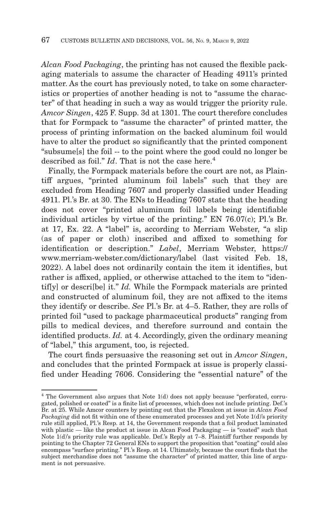*Alcan Food Packaging*, the printing has not caused the flexible packaging materials to assume the character of Heading 4911's printed matter. As the court has previously noted, to take on some characteristics or properties of another heading is not to "assume the character" of that heading in such a way as would trigger the priority rule. *Amcor Singen*, 425 F. Supp. 3d at 1301. The court therefore concludes that for Formpack to "assume the character" of printed matter, the process of printing information on the backed aluminum foil would have to alter the product so significantly that the printed component "subsume[s] the foil -- to the point where the good could no longer be described as foil."  $Id$ . That is not the case here.<sup>4</sup>

Finally, the Formpack materials before the court are not, as Plaintiff argues, "printed aluminum foil labels" such that they are excluded from Heading 7607 and properly classified under Heading 4911. Pl.'s Br. at 30. The ENs to Heading 7607 state that the heading does not cover "printed aluminum foil labels being identifiable individual articles by virtue of the printing." EN 76.07(c); Pl.'s Br. at 17, Ex. 22. A "label" is, according to Merriam Webster, "a slip (as of paper or cloth) inscribed and affixed to something for identification or description." *Label*, Merriam Webster, https:// www.merriam-webster.com/dictionary/label (last visited Feb. 18, 2022). A label does not ordinarily contain the item it identifies, but rather is affixed, applied, or otherwise attached to the item to "identif[y] or descri[be] it." *Id.* While the Formpack materials are printed and constructed of aluminum foil, they are not affixed to the items they identify or describe. *See* Pl.'s Br. at 4–5. Rather, they are rolls of printed foil "used to package pharmaceutical products" ranging from pills to medical devices, and therefore surround and contain the identified products. *Id.* at 4. Accordingly, given the ordinary meaning of "label," this argument, too, is rejected.

The court finds persuasive the reasoning set out in *Amcor Singen*, and concludes that the printed Formpack at issue is properly classified under Heading 7606. Considering the "essential nature" of the

<sup>4</sup> The Government also argues that Note 1(d) does not apply because "perforated, corrugated, polished or coated" is a finite list of processes, which does not include printing. Def.'s Br. at 25. While Amcor counters by pointing out that the Flexalcon at issue in *Alcan Food Packaging* did not fit within one of these enumerated processes and yet Note 1(d)'s priority rule still applied, Pl.'s Resp. at 14, the Government responds that a foil product laminated with plastic — like the product at issue in Alcan Food Packaging — is "coated" such that Note 1(d)'s priority rule was applicable. Def.'s Reply at 7–8. Plaintiff further responds by pointing to the Chapter 72 General ENs to support the proposition that "coating" could also encompass "surface printing." Pl.'s Resp. at 14. Ultimately, because the court finds that the subject merchandise does not "assume the character" of printed matter, this line of argument is not persuasive.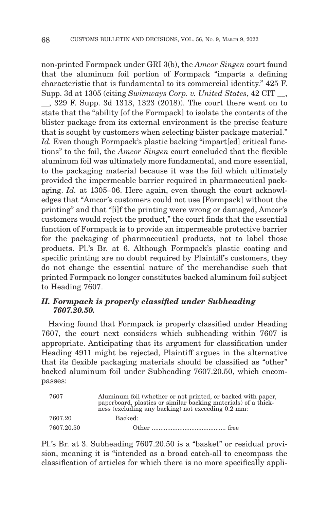non-printed Formpack under GRI 3(b), the *Amcor Singen* court found that the aluminum foil portion of Formpack "imparts a defining characteristic that is fundamental to its commercial identity." 425 F. Supp. 3d at 1305 (citing *Swimways Corp. v. United States*, 42 CIT \_\_,

\_\_, 329 F. Supp. 3d 1313, 1323 (2018)). The court there went on to state that the "ability [of the Formpack] to isolate the contents of the blister package from its external environment is the precise feature that is sought by customers when selecting blister package material." *Id.* Even though Formpack's plastic backing "impart[ed] critical functions" to the foil, the *Amcor Singen* court concluded that the flexible aluminum foil was ultimately more fundamental, and more essential, to the packaging material because it was the foil which ultimately provided the impermeable barrier required in pharmaceutical packaging. *Id.* at 1305–06. Here again, even though the court acknowledges that "Amcor's customers could not use [Formpack] without the printing" and that "[i]f the printing were wrong or damaged, Amcor's customers would reject the product," the court finds that the essential function of Formpack is to provide an impermeable protective barrier for the packaging of pharmaceutical products, not to label those products. Pl.'s Br. at 6. Although Formpack's plastic coating and specific printing are no doubt required by Plaintiff's customers, they do not change the essential nature of the merchandise such that printed Formpack no longer constitutes backed aluminum foil subject to Heading 7607.

# *II. Formpack is properly classified under Subheading 7607.20.50.*

Having found that Formpack is properly classified under Heading 7607, the court next considers which subheading within 7607 is appropriate. Anticipating that its argument for classification under Heading 4911 might be rejected, Plaintiff argues in the alternative that its flexible packaging materials should be classified as "other" backed aluminum foil under Subheading 7607.20.50, which encompasses:

| 7607       | Aluminum foil (whether or not printed, or backed with paper, paperboard, plastics or similar backing materials) of a thick-<br>ness (excluding any backing) not exceeding 0.2 mm: |
|------------|-----------------------------------------------------------------------------------------------------------------------------------------------------------------------------------|
| 7607.20    | Backed:                                                                                                                                                                           |
| 7607.20.50 |                                                                                                                                                                                   |

Pl.'s Br. at 3. Subheading 7607.20.50 is a "basket" or residual provision, meaning it is "intended as a broad catch-all to encompass the classification of articles for which there is no more specifically appli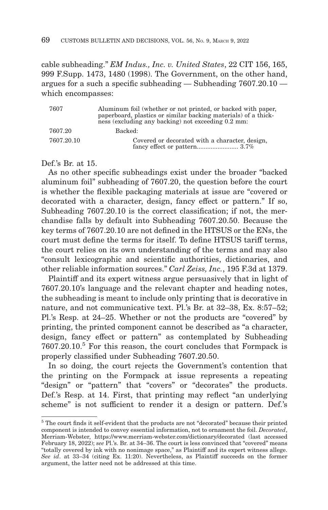cable subheading." *EM Indus., Inc. v. United States*, 22 CIT 156, 165, 999 F.Supp. 1473, 1480 (1998). The Government, on the other hand, argues for a such a specific subheading — Subheading 7607.20.10 which encompasses:

| 7607       | Aluminum foil (whether or not printed, or backed with paper, paperboard, plastics or similar backing materials) of a thick-<br>ness (excluding any backing) not exceeding 0.2 mm: |
|------------|-----------------------------------------------------------------------------------------------------------------------------------------------------------------------------------|
| 7607.20    | Backed:                                                                                                                                                                           |
| 7607.20.10 | Covered or decorated with a character, design,                                                                                                                                    |

Def's Br at 15.

As no other specific subheadings exist under the broader "backed aluminum foil" subheading of 7607.20, the question before the court is whether the flexible packaging materials at issue are "covered or decorated with a character, design, fancy effect or pattern." If so, Subheading 7607.20.10 is the correct classification; if not, the merchandise falls by default into Subheading 7607.20.50. Because the key terms of 7607.20.10 are not defined in the HTSUS or the ENs, the court must define the terms for itself. To define HTSUS tariff terms, the court relies on its own understanding of the terms and may also "consult lexicographic and scientific authorities, dictionaries, and other reliable information sources." *Carl Zeiss, Inc.*, 195 F.3d at 1379.

Plaintiff and its expert witness argue persuasively that in light of 7607.20.10's language and the relevant chapter and heading notes, the subheading is meant to include only printing that is decorative in nature, and not communicative text. Pl.'s Br. at 32–38, Ex. 8:57–52; Pl.'s Resp. at 24–25. Whether or not the products are "covered" by printing, the printed component cannot be described as "a character, design, fancy effect or pattern" as contemplated by Subheading 7607.20.10.5 For this reason, the court concludes that Formpack is properly classified under Subheading 7607.20.50.

In so doing, the court rejects the Government's contention that the printing on the Formpack at issue represents a repeating "design" or "pattern" that "covers" or "decorates" the products. Def.'s Resp. at 14. First, that printing may reflect "an underlying scheme" is not sufficient to render it a design or pattern. Def.'s

 $5$  The court finds it self-evident that the products are not "decorated" because their printed component is intended to convey essential information, not to ornament the foil. *Decorated*, Merriam-Webster, https://www.merriam-webster.com/dictionary/decorated (last accessed February 18, 2022); *see* Pl.'s. Br. at 34–36. The court is less convinced that "covered" means "totally covered by ink with no nonimage space," as Plaintiff and its expert witness allege. *See id*. at 33–34 (citing Ex. 11:20). Nevertheless, as Plaintiff succeeds on the former argument, the latter need not be addressed at this time.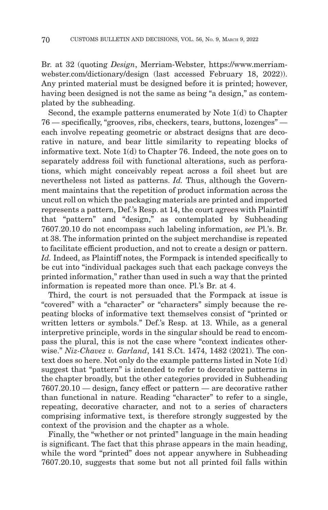Br. at 32 (quoting *Design*, Merriam-Webster, https://www.merriamwebster.com/dictionary/design (last accessed February 18, 2022)). Any printed material must be designed before it is printed; however, having been designed is not the same as being "a design," as contemplated by the subheading.

Second, the example patterns enumerated by Note 1(d) to Chapter 76 — specifically, "grooves, ribs, checkers, tears, buttons, lozenges" each involve repeating geometric or abstract designs that are decorative in nature, and bear little similarity to repeating blocks of informative text. Note 1(d) to Chapter 76. Indeed, the note goes on to separately address foil with functional alterations, such as perforations, which might conceivably repeat across a foil sheet but are nevertheless not listed as patterns. *Id.* Thus, although the Government maintains that the repetition of product information across the uncut roll on which the packaging materials are printed and imported represents a pattern, Def.'s Resp. at 14, the court agrees with Plaintiff that "pattern" and "design," as contemplated by Subheading 7607.20.10 do not encompass such labeling information, *see* Pl.'s. Br. at 38. The information printed on the subject merchandise is repeated to facilitate efficient production, and not to create a design or pattern. *Id.* Indeed, as Plaintiff notes, the Formpack is intended specifically to be cut into "individual packages such that each package conveys the printed information," rather than used in such a way that the printed information is repeated more than once. Pl.'s Br. at 4.

Third, the court is not persuaded that the Formpack at issue is "covered" with a "character" or "characters" simply because the repeating blocks of informative text themselves consist of "printed or written letters or symbols." Def.'s Resp. at 13. While, as a general interpretive principle, words in the singular should be read to encompass the plural, this is not the case where "context indicates otherwise." *Niz-Chavez v. Garland*, 141 S.Ct. 1474, 1482 (2021). The context does so here. Not only do the example patterns listed in Note 1(d) suggest that "pattern" is intended to refer to decorative patterns in the chapter broadly, but the other categories provided in Subheading 7607.20.10 — design, fancy effect or pattern — are decorative rather than functional in nature. Reading "character" to refer to a single, repeating, decorative character, and not to a series of characters comprising informative text, is therefore strongly suggested by the context of the provision and the chapter as a whole.

Finally, the "whether or not printed" language in the main heading is significant. The fact that this phrase appears in the main heading, while the word "printed" does not appear anywhere in Subheading 7607.20.10, suggests that some but not all printed foil falls within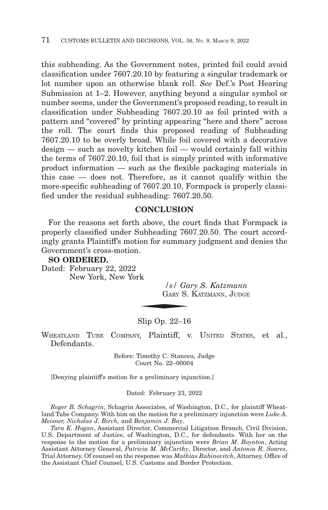this subheading. As the Government notes, printed foil could avoid classification under 7607.20.10 by featuring a singular trademark or lot number upon an otherwise blank roll. *See* Def.'s Post Hearing Submission at 1–2. However, anything beyond a singular symbol or number seems, under the Government's proposed reading, to result in classification under Subheading 7607.20.10 as foil printed with a pattern and "covered" by printing appearing "here and there" across the roll. The court finds this proposed reading of Subheading 7607.20.10 to be overly broad. While foil covered with a decorative design — such as novelty kitchen foil — would certainly fall within the terms of 7607.20.10, foil that is simply printed with informative product information — such as the flexible packaging materials in this case — does not. Therefore, as it cannot qualify within the more-specific subheading of 7607.20.10, Formpack is properly classified under the residual subheading: 7607.20.50.

#### **CONCLUSION**

For the reasons set forth above, the court finds that Formpack is properly classified under Subheading 7607.20.50. The court accordingly grants Plaintiff's motion for summary judgment and denies the Government's cross-motion.

#### **SO ORDERED.**

Dated: February 22, 2022 New York, New York

*/s/ Gary S. Katzmann*  $\frac{1}{s}$  /  $\frac{s}{s}$  /  $\frac{1}{s}$  /  $\frac{1}{s}$  /  $\frac{1}{s}$  /  $\frac{1}{s}$  /  $\frac{1}{s}$  /  $\frac{1}{s}$  /  $\frac{1}{s}$  /  $\frac{1}{s}$  /  $\frac{1}{s}$  /  $\frac{1}{s}$  /  $\frac{1}{s}$  /  $\frac{1}{s}$  /  $\frac{1}{s}$  /  $\frac{1}{s}$  /  $\frac{1}{s}$  /  $\frac{1}{s}$  /  $\frac{1}{$ GARY S. KATZMANN, JUDGE

#### Slip Op. 22–16

WHEATLAND TUBE COMPANY, Plaintiff, v. UNITED STATES, et al., Defendants.

> Before: Timothy C. Stanceu, Judge Court No. 22–00004

[Denying plaintiff's motion for a preliminary injunction.]

Dated: February 23, 2022

*Roger B. Schagrin*, Schagrin Associates, of Washington, D.C., for plaintiff Wheatland Tube Company. With him on the motion for a preliminary injunction were *Luke A. Meisner, Nicholas J. Birch,* and *Benjamin J. Bay*.

*Tara K. Hogan*, Assistant Director, Commercial Litigation Branch, Civil Division, U.S. Department of Justice, of Washington, D.C., for defendants. With her on the response to the motion for a preliminary injunction were *Brian M. Boynton*, Acting Assistant Attorney General, *Patricia M. McCarthy*, Director, and *Antonia R. Soares*, Trial Attorney. Of counsel on the response was *Mathias Rabinovitch*, Attorney, Office of the Assistant Chief Counsel, U.S. Customs and Border Protection.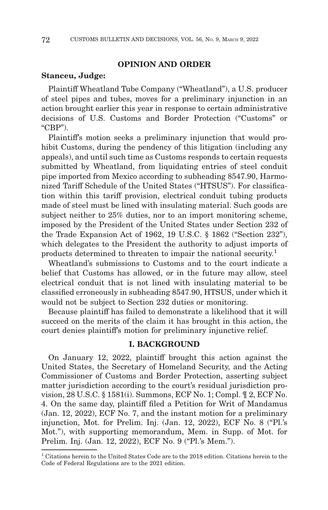## **OPINION AND ORDER**

#### **Stanceu, Judge:**

Plaintiff Wheatland Tube Company ("Wheatland"), a U.S. producer of steel pipes and tubes, moves for a preliminary injunction in an action brought earlier this year in response to certain administrative decisions of U.S. Customs and Border Protection ("Customs" or  $(CBP")$ .

Plaintiff's motion seeks a preliminary injunction that would prohibit Customs, during the pendency of this litigation (including any appeals), and until such time as Customs responds to certain requests submitted by Wheatland, from liquidating entries of steel conduit pipe imported from Mexico according to subheading 8547.90, Harmonized Tariff Schedule of the United States ("HTSUS"). For classification within this tariff provision, electrical conduit tubing products made of steel must be lined with insulating material. Such goods are subject neither to 25% duties, nor to an import monitoring scheme, imposed by the President of the United States under Section 232 of the Trade Expansion Act of 1962, 19 U.S.C. § 1862 ("Section 232"), which delegates to the President the authority to adjust imports of products determined to threaten to impair the national security.<sup>1</sup>

Wheatland's submissions to Customs and to the court indicate a belief that Customs has allowed, or in the future may allow, steel electrical conduit that is not lined with insulating material to be classified erroneously in subheading 8547.90, HTSUS, under which it would not be subject to Section 232 duties or monitoring.

Because plaintiff has failed to demonstrate a likelihood that it will succeed on the merits of the claim it has brought in this action, the court denies plaintiff's motion for preliminary injunctive relief.

#### **I. BACKGROUND**

On January 12, 2022, plaintiff brought this action against the United States, the Secretary of Homeland Security, and the Acting Commissioner of Customs and Border Protection, asserting subject matter jurisdiction according to the court's residual jurisdiction provision, 28 U.S.C. § 1581(i). Summons, ECF No. 1; Compl. ¶ 2, ECF No. 4. On the same day, plaintiff filed a Petition for Writ of Mandamus (Jan. 12, 2022), ECF No. 7, and the instant motion for a preliminary injunction, Mot. for Prelim. Inj. (Jan. 12, 2022), ECF No. 8 ("Pl.'s Mot."), with supporting memorandum, Mem. in Supp. of Mot. for Prelim. Inj. (Jan. 12, 2022), ECF No. 9 ("Pl.'s Mem.").

<sup>1</sup> Citations herein to the United States Code are to the 2018 edition. Citations herein to the Code of Federal Regulations are to the 2021 edition.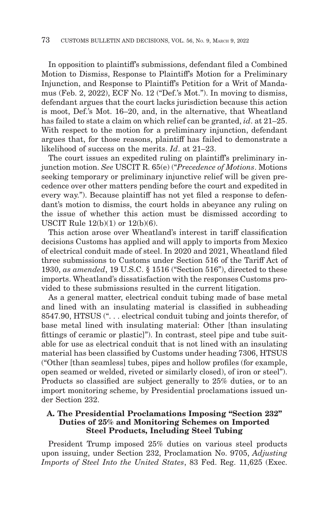In opposition to plaintiff's submissions, defendant filed a Combined Motion to Dismiss, Response to Plaintiff's Motion for a Preliminary Injunction, and Response to Plaintiff's Petition for a Writ of Mandamus (Feb. 2, 2022), ECF No. 12 ("Def.'s Mot."). In moving to dismiss, defendant argues that the court lacks jurisdiction because this action is moot, Def.'s Mot. 16–20, and, in the alternative, that Wheatland has failed to state a claim on which relief can be granted, *id*. at 21–25. With respect to the motion for a preliminary injunction, defendant argues that, for those reasons, plaintiff has failed to demonstrate a likelihood of success on the merits. *Id*. at 21–23.

The court issues an expedited ruling on plaintiff's preliminary injunction motion. *See* USCIT R. 65(e) ("*Precedence of Motions*. Motions seeking temporary or preliminary injunctive relief will be given precedence over other matters pending before the court and expedited in every way."). Because plaintiff has not yet filed a response to defendant's motion to dismiss, the court holds in abeyance any ruling on the issue of whether this action must be dismissed according to USCIT Rule 12(b)(1) or 12(b)(6).

This action arose over Wheatland's interest in tariff classification decisions Customs has applied and will apply to imports from Mexico of electrical conduit made of steel. In 2020 and 2021, Wheatland filed three submissions to Customs under Section 516 of the Tariff Act of 1930, *as amended*, 19 U.S.C. § 1516 ("Section 516"), directed to these imports. Wheatland's dissatisfaction with the responses Customs provided to these submissions resulted in the current litigation.

As a general matter, electrical conduit tubing made of base metal and lined with an insulating material is classified in subheading 8547.90, HTSUS (". . . electrical conduit tubing and joints therefor, of base metal lined with insulating material: Other [than insulating fittings of ceramic or plastic]"). In contrast, steel pipe and tube suitable for use as electrical conduit that is not lined with an insulating material has been classified by Customs under heading 7306, HTSUS ("Other [than seamless] tubes, pipes and hollow profiles (for example, open seamed or welded, riveted or similarly closed), of iron or steel"). Products so classified are subject generally to 25% duties, or to an import monitoring scheme, by Presidential proclamations issued under Section 232.

## **A. The Presidential Proclamations Imposing "Section 232" Duties of 25% and Monitoring Schemes on Imported Steel Products, Including Steel Tubing**

President Trump imposed 25% duties on various steel products upon issuing, under Section 232, Proclamation No. 9705, *Adjusting Imports of Steel Into the United States*, 83 Fed. Reg. 11,625 (Exec.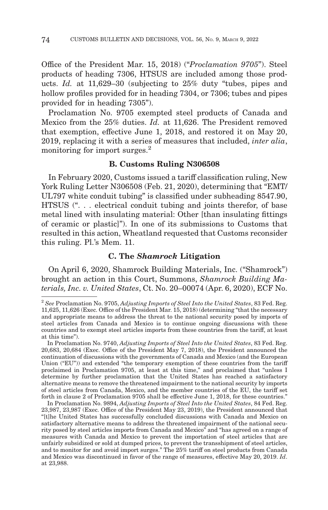Office of the President Mar. 15, 2018) ("*Proclamation 9705*"). Steel products of heading 7306, HTSUS are included among those products. *Id.* at 11,629–30 (subjecting to 25% duty "tubes, pipes and hollow profiles provided for in heading 7304, or 7306; tubes and pipes provided for in heading 7305").

Proclamation No. 9705 exempted steel products of Canada and Mexico from the 25% duties. *Id.* at 11,626. The President removed that exemption, effective June 1, 2018, and restored it on May 20, 2019, replacing it with a series of measures that included, *inter alia*, monitoring for import surges.<sup>2</sup>

## **B. Customs Ruling N306508**

In February 2020, Customs issued a tariff classification ruling, New York Ruling Letter N306508 (Feb. 21, 2020), determining that "EMT/ UL797 white conduit tubing" is classified under subheading 8547.90, HTSUS (". . . electrical conduit tubing and joints therefor, of base metal lined with insulating material: Other [than insulating fittings of ceramic or plastic]"). In one of its submissions to Customs that resulted in this action, Wheatland requested that Customs reconsider this ruling. Pl.'s Mem. 11.

## **C. The** *Shamrock* **Litigation**

On April 6, 2020, Shamrock Building Materials, Inc. ("Shamrock") brought an action in this Court, Summons, *Shamrock Building Materials, Inc. v. United States*, Ct. No. 20–00074 (Apr. 6, 2020), ECF No.

<sup>2</sup>*See* Proclamation No. 9705, *Adjusting Imports of Steel Into the United States*, 83 Fed. Reg. 11,625, 11,626 (Exec. Office of the President Mar. 15, 2018) (determining "that the necessary and appropriate means to address the threat to the national security posed by imports of steel articles from Canada and Mexico is to continue ongoing discussions with these countries and to exempt steel articles imports from these countries from the tariff, at least at this time").

In Proclamation No. 9740, *Adjusting Imports of Steel Into the United States*, 83 Fed. Reg. 20,683, 20,684 (Exec. Office of the President May 7, 2018), the President announced the continuation of discussions with the governments of Canada and Mexico (and the European Union ("EU")) and extended "the temporary exemption of these countries from the tariff proclaimed in Proclamation 9705, at least at this time," and proclaimed that "unless I determine by further proclamation that the United States has reached a satisfactory alternative means to remove the threatened impairment to the national security by imports of steel articles from Canada, Mexico, and the member countries of the EU, the tariff set forth in clause 2 of Proclamation 9705 shall be effective June 1, 2018, for these countries."

In Proclamation No. 9894, *Adjusting Imports of Steel Into the United States*, 84 Fed. Reg. 23,987, 23,987 (Exec. Office of the President May 23, 2019), the President announced that "[t]he United States has successfully concluded discussions with Canada and Mexico on satisfactory alternative means to address the threatened impairment of the national security posed by steel articles imports from Canada and Mexico" and "has agreed on a range of measures with Canada and Mexico to prevent the importation of steel articles that are unfairly subsidized or sold at dumped prices, to prevent the transshipment of steel articles, and to monitor for and avoid import surges." The 25% tariff on steel products from Canada and Mexico was discontinued in favor of the range of measures, effective May 20, 2019. *Id*. at 23,988.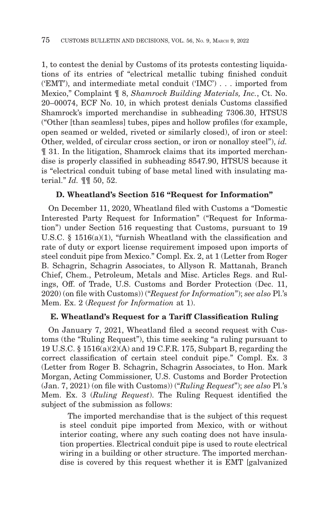1, to contest the denial by Customs of its protests contesting liquidations of its entries of "electrical metallic tubing finished conduit ('EMT'), and intermediate metal conduit ('IMC') . . . imported from Mexico," Complaint ¶ 8, *Shamrock Building Materials, Inc.*, Ct. No. 20–00074, ECF No. 10, in which protest denials Customs classified Shamrock's imported merchandise in subheading 7306.30, HTSUS ("Other [than seamless] tubes, pipes and hollow profiles (for example, open seamed or welded, riveted or similarly closed), of iron or steel: Other, welded, of circular cross section, or iron or nonalloy steel"), *id.* ¶ 31. In the litigation, Shamrock claims that its imported merchandise is properly classified in subheading 8547.90, HTSUS because it is "electrical conduit tubing of base metal lined with insulating material." *Id.* ¶¶ 50, 52.

#### **D. Wheatland's Section 516 "Request for Information"**

On December 11, 2020, Wheatland filed with Customs a "Domestic Interested Party Request for Information" ("Request for Information") under Section 516 requesting that Customs, pursuant to 19 U.S.C. § 1516(a)(1), "furnish Wheatland with the classification and rate of duty or export license requirement imposed upon imports of steel conduit pipe from Mexico." Compl. Ex. 2, at 1 (Letter from Roger B. Schagrin, Schagrin Associates, to Allyson R. Mattanah, Branch Chief, Chem., Petroleum, Metals and Misc. Articles Regs. and Rulings, Off. of Trade, U.S. Customs and Border Protection (Dec. 11, 2020) (on file with Customs)) ("*Request for Information*"); *see also* Pl.'s Mem. Ex. 2 (*Request for Information* at 1).

#### **E. Wheatland's Request for a Tariff Classification Ruling**

On January 7, 2021, Wheatland filed a second request with Customs (the "Ruling Request"), this time seeking "a ruling pursuant to 19 U.S.C. § 1516(a)(2)(A) and 19 C.F.R. 175, Subpart B, regarding the correct classification of certain steel conduit pipe." Compl. Ex. 3 (Letter from Roger B. Schagrin, Schagrin Associates, to Hon. Mark Morgan, Acting Commissioner, U.S. Customs and Border Protection (Jan. 7, 2021) (on file with Customs)) ("*Ruling Request*"); *see also* Pl.'s Mem. Ex. 3 (*Ruling Request*). The Ruling Request identified the subject of the submission as follows:

 The imported merchandise that is the subject of this request is steel conduit pipe imported from Mexico, with or without interior coating, where any such coating does not have insulation properties. Electrical conduit pipe is used to route electrical wiring in a building or other structure. The imported merchandise is covered by this request whether it is EMT [galvanized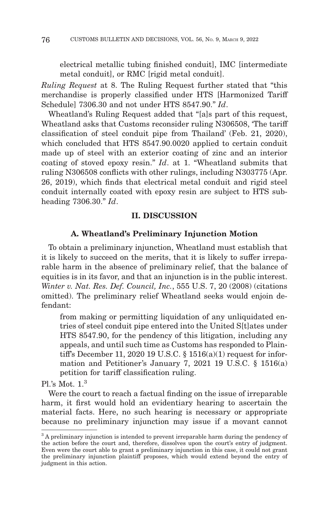electrical metallic tubing finished conduit], IMC [intermediate metal conduit], or RMC [rigid metal conduit].

*Ruling Request* at 8. The Ruling Request further stated that "this merchandise is properly classified under HTS [Harmonized Tariff Schedule] 7306.30 and not under HTS 8547.90." *Id*.

Wheatland's Ruling Request added that "[a]s part of this request, Wheatland asks that Customs reconsider ruling N306508, 'The tariff classification of steel conduit pipe from Thailand' (Feb. 21, 2020), which concluded that HTS 8547.90.0020 applied to certain conduit made up of steel with an exterior coating of zinc and an interior coating of stoved epoxy resin." *Id*. at 1. "Wheatland submits that ruling N306508 conflicts with other rulings, including N303775 (Apr. 26, 2019), which finds that electrical metal conduit and rigid steel conduit internally coated with epoxy resin are subject to HTS subheading 7306.30." *Id*.

#### **II. DISCUSSION**

#### **A. Wheatland's Preliminary Injunction Motion**

To obtain a preliminary injunction, Wheatland must establish that it is likely to succeed on the merits, that it is likely to suffer irreparable harm in the absence of preliminary relief, that the balance of equities is in its favor, and that an injunction is in the public interest. *Winter v. Nat. Res. Def. Council, Inc.*, 555 U.S. 7, 20 (2008) (citations omitted). The preliminary relief Wheatland seeks would enjoin defendant:

from making or permitting liquidation of any unliquidated entries of steel conduit pipe entered into the United S[t]ates under HTS 8547.90, for the pendency of this litigation, including any appeals, and until such time as Customs has responded to Plaintiff's December 11, 2020 19 U.S.C. § 1516(a)(1) request for information and Petitioner's January 7, 2021 19 U.S.C. § 1516(a) petition for tariff classification ruling.

Pl's Mot.  $1<sup>3</sup>$ 

Were the court to reach a factual finding on the issue of irreparable harm, it first would hold an evidentiary hearing to ascertain the material facts. Here, no such hearing is necessary or appropriate because no preliminary injunction may issue if a movant cannot

<sup>&</sup>lt;sup>3</sup> A preliminary injunction is intended to prevent irreparable harm during the pendency of the action before the court and, therefore, dissolves upon the court's entry of judgment. Even were the court able to grant a preliminary injunction in this case, it could not grant the preliminary injunction plaintiff proposes, which would extend beyond the entry of judgment in this action.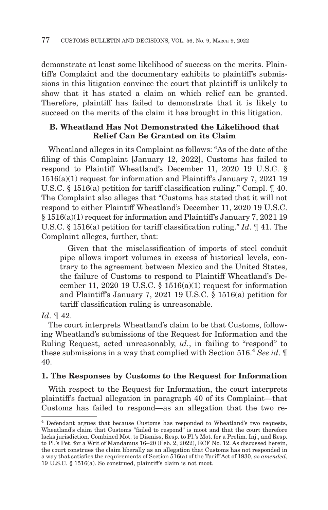demonstrate at least some likelihood of success on the merits. Plaintiff's Complaint and the documentary exhibits to plaintiff's submissions in this litigation convince the court that plaintiff is unlikely to show that it has stated a claim on which relief can be granted. Therefore, plaintiff has failed to demonstrate that it is likely to succeed on the merits of the claim it has brought in this litigation.

#### **B. Wheatland Has Not Demonstrated the Likelihood that Relief Can Be Granted on its Claim**

Wheatland alleges in its Complaint as follows: "As of the date of the filing of this Complaint [January 12, 2022], Customs has failed to respond to Plaintiff Wheatland's December 11, 2020 19 U.S.C. § 1516(a)(1) request for information and Plaintiff's January 7, 2021 19 U.S.C. § 1516(a) petition for tariff classification ruling." Compl. ¶ 40. The Complaint also alleges that "Customs has stated that it will not respond to either Plaintiff Wheatland's December 11, 2020 19 U.S.C. § 1516(a)(1) request for information and Plaintiff's January 7, 2021 19 U.S.C. § 1516(a) petition for tariff classification ruling." *Id*. ¶ 41. The Complaint alleges, further, that:

 Given that the misclassification of imports of steel conduit pipe allows import volumes in excess of historical levels, contrary to the agreement between Mexico and the United States, the failure of Customs to respond to Plaintiff Wheatland's December 11, 2020 19 U.S.C.  $\S$  1516(a)(1) request for information and Plaintiff's January 7, 2021 19 U.S.C. § 1516(a) petition for tariff classification ruling is unreasonable.

#### *Id*. ¶ 42.

The court interprets Wheatland's claim to be that Customs, following Wheatland's submissions of the Request for Information and the Ruling Request, acted unreasonably, *id.*, in failing to "respond" to these submissions in a way that complied with Section 516.4 *See id*. ¶ 40.

#### **1. The Responses by Customs to the Request for Information**

With respect to the Request for Information, the court interprets plaintiff's factual allegation in paragraph 40 of its Complaint—that Customs has failed to respond—as an allegation that the two re-

<sup>4</sup> Defendant argues that because Customs has responded to Wheatland's two requests, Wheatland's claim that Customs "failed to respond" is moot and that the court therefore lacks jurisdiction. Combined Mot. to Dismiss, Resp. to Pl.'s Mot. for a Prelim. Inj., and Resp. to Pl.'s Pet. for a Writ of Mandamus 16–20 (Feb. 2, 2022), ECF No. 12. As discussed herein, the court construes the claim liberally as an allegation that Customs has not responded in a way that satisfies the requirements of Section 516(a) of the Tariff Act of 1930, *as amended*, 19 U.S.C. § 1516(a). So construed, plaintiff's claim is not moot.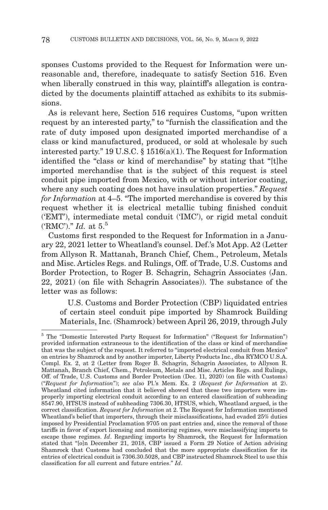sponses Customs provided to the Request for Information were unreasonable and, therefore, inadequate to satisfy Section 516. Even when liberally construed in this way, plaintiff's allegation is contradicted by the documents plaintiff attached as exhibits to its submissions.

As is relevant here, Section 516 requires Customs, "upon written request by an interested party," to "furnish the classification and the rate of duty imposed upon designated imported merchandise of a class or kind manufactured, produced, or sold at wholesale by such interested party." 19 U.S.C. § 1516(a)(1). The Request for Information identified the "class or kind of merchandise" by stating that "[t]he imported merchandise that is the subject of this request is steel conduit pipe imported from Mexico, with or without interior coating, where any such coating does not have insulation properties." *Request for Information* at 4–5. "The imported merchandise is covered by this request whether it is electrical metallic tubing finished conduit ('EMT'), intermediate metal conduit ('IMC'), or rigid metal conduit ('RMC')." *Id.* at 5.5

Customs first responded to the Request for Information in a January 22, 2021 letter to Wheatland's counsel. Def.'s Mot App. A2 (Letter from Allyson R. Mattanah, Branch Chief, Chem., Petroleum, Metals and Misc. Articles Regs. and Rulings, Off. of Trade, U.S. Customs and Border Protection, to Roger B. Schagrin, Schagrin Associates (Jan. 22, 2021) (on file with Schagrin Associates)). The substance of the letter was as follows:

 U.S. Customs and Border Protection (CBP) liquidated entries of certain steel conduit pipe imported by Shamrock Building Materials, Inc. (Shamrock) between April 26, 2019, through July

<sup>5</sup> The "Domestic Interested Party Request for Information" ("Request for Information") provided information extraneous to the identification of the class or kind of merchandise that was the subject of the request. It referred to "imported electrical conduit from Mexico" on entries by Shamrock and by another importer, Liberty Products Inc., dba RYMCO U.S.A. Compl. Ex. 2, at 2 (Letter from Roger B. Schagrin, Schagrin Associates, to Allyson R. Mattanah, Branch Chief, Chem., Petroleum, Metals and Misc. Articles Regs. and Rulings, Off. of Trade, U.S. Customs and Border Protection (Dec. 11, 2020) (on file with Customs) ("*Request for Information*"); *see also* Pl.'s Mem. Ex. 2 (*Request for Information* at 2). Wheatland cited information that it believed showed that these two importers were improperly importing electrical conduit according to an entered classification of subheading 8547.90, HTSUS instead of subheading 7306.30, HTSUS, which, Wheatland argued, is the correct classification. *Request for Information* at 2. The Request for Information mentioned Wheatland's belief that importers, through their misclassifications, had evaded 25% duties imposed by Presidential Proclamation 9705 on past entries and, since the removal of those tariffs in favor of export licensing and monitoring regimes, were misclassifying imports to escape those regimes. *Id*. Regarding imports by Shamrock, the Request for Information stated that "[o]n December 21, 2018, CBP issued a Form 29 Notice of Action advising Shamrock that Customs had concluded that the more appropriate classification for its entries of electrical conduit is 7306.30.5028, and CBP instructed Shamrock Steel to use this classification for all current and future entries." *Id*.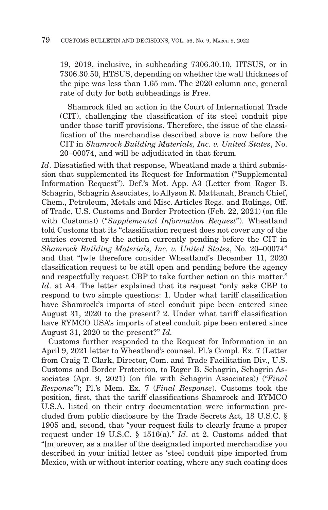19, 2019, inclusive, in subheading 7306.30.10, HTSUS, or in 7306.30.50, HTSUS, depending on whether the wall thickness of the pipe was less than 1.65 mm. The 2020 column one, general rate of duty for both subheadings is Free.

 Shamrock filed an action in the Court of International Trade (CIT), challenging the classification of its steel conduit pipe under those tariff provisions. Therefore, the issue of the classification of the merchandise described above is now before the CIT in *Shamrock Building Materials, Inc. v. United States*, No. 20–00074, and will be adjudicated in that forum.

*Id*. Dissatisfied with that response, Wheatland made a third submission that supplemented its Request for Information ("Supplemental Information Request"). Def.'s Mot. App. A3 (Letter from Roger B. Schagrin, Schagrin Associates, to Allyson R. Mattanah, Branch Chief, Chem., Petroleum, Metals and Misc. Articles Regs. and Rulings, Off. of Trade, U.S. Customs and Border Protection (Feb. 22, 2021) (on file with Customs)) (*"Supplemental Information Request*"). Wheatland told Customs that its "classification request does not cover any of the entries covered by the action currently pending before the CIT in *Shamrock Building Materials, Inc. v. United States*, No. 20–00074" and that "[w]e therefore consider Wheatland's December 11, 2020 classification request to be still open and pending before the agency and respectfully request CBP to take further action on this matter." *Id.* at A4. The letter explained that its request "only asks CBP to respond to two simple questions: 1. Under what tariff classification have Shamrock's imports of steel conduit pipe been entered since August 31, 2020 to the present? 2. Under what tariff classification have RYMCO USA's imports of steel conduit pipe been entered since August 31, 2020 to the present?" *Id.*

Customs further responded to the Request for Information in an April 9, 2021 letter to Wheatland's counsel. Pl.'s Compl. Ex. 7 (Letter from Craig T. Clark, Director, Com. and Trade Facilitation Div., U.S. Customs and Border Protection, to Roger B. Schagrin, Schagrin Associates (Apr. 9, 2021) (on file with Schagrin Associates)) ("*Final Response*"); Pl.'s Mem. Ex. 7 (*Final Response*). Customs took the position, first, that the tariff classifications Shamrock and RYMCO U.S.A. listed on their entry documentation were information precluded from public disclosure by the Trade Secrets Act, 18 U.S.C. § 1905 and, second, that "your request fails to clearly frame a proper request under 19 U.S.C. § 1516(a)." *Id*. at 2. Customs added that "[m]oreover, as a matter of the designated imported merchandise you described in your initial letter as 'steel conduit pipe imported from Mexico, with or without interior coating, where any such coating does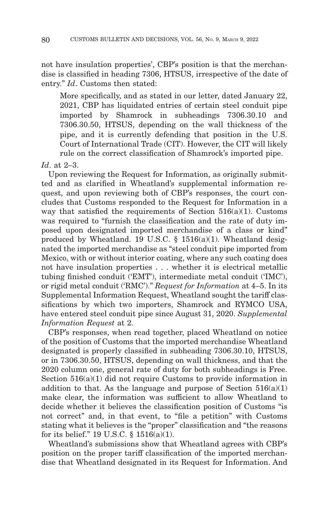not have insulation properties', CBP's position is that the merchandise is classified in heading 7306, HTSUS, irrespective of the date of entry." *Id*. Customs then stated:

More specifically, and as stated in our letter, dated January 22, 2021, CBP has liquidated entries of certain steel conduit pipe imported by Shamrock in subheadings 7306.30.10 and 7306.30.50, HTSUS, depending on the wall thickness of the pipe, and it is currently defending that position in the U.S. Court of International Trade (CIT). However, the CIT will likely rule on the correct classification of Shamrock's imported pipe.

#### *Id*. at 2–3.

Upon reviewing the Request for Information, as originally submitted and as clarified in Wheatland's supplemental information request, and upon reviewing both of CBP's responses, the court concludes that Customs responded to the Request for Information in a way that satisfied the requirements of Section  $516(a)(1)$ . Customs was required to "furnish the classification and the rate of duty imposed upon designated imported merchandise of a class or kind" produced by Wheatland. 19 U.S.C.  $\S$  1516(a)(1). Wheatland designated the imported merchandise as "steel conduit pipe imported from Mexico, with or without interior coating, where any such coating does not have insulation properties . . . whether it is electrical metallic tubing finished conduit ('EMT'), intermediate metal conduit ('IMC'), or rigid metal conduit ('RMC')." *Request for Information* at 4–5. In its Supplemental Information Request, Wheatland sought the tariff classifications by which two importers, Shamrock and RYMCO USA, have entered steel conduit pipe since August 31, 2020. *Supplemental Information Request* at 2.

CBP's responses, when read together, placed Wheatland on notice of the position of Customs that the imported merchandise Wheatland designated is properly classified in subheading 7306.30.10, HTSUS, or in 7306.30.50, HTSUS, depending on wall thickness, and that the 2020 column one, general rate of duty for both subheadings is Free. Section 516(a)(1) did not require Customs to provide information in addition to that. As the language and purpose of Section  $516(a)(1)$ make clear, the information was sufficient to allow Wheatland to decide whether it believes the classification position of Customs "is not correct" and, in that event, to "file a petition" with Customs stating what it believes is the "proper" classification and "the reasons for its belief." 19 U.S.C. § 1516(a)(1).

Wheatland's submissions show that Wheatland agrees with CBP's position on the proper tariff classification of the imported merchandise that Wheatland designated in its Request for Information. And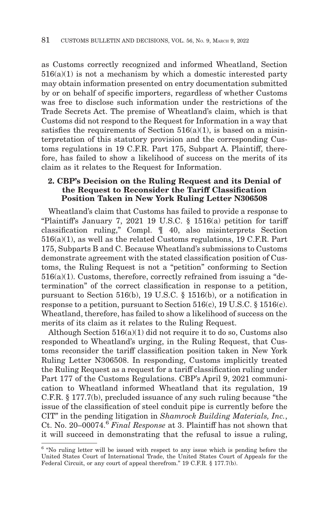as Customs correctly recognized and informed Wheatland, Section  $516(a)(1)$  is not a mechanism by which a domestic interested party may obtain information presented on entry documentation submitted by or on behalf of specific importers, regardless of whether Customs was free to disclose such information under the restrictions of the Trade Secrets Act. The premise of Wheatland's claim, which is that Customs did not respond to the Request for Information in a way that satisfies the requirements of Section  $516(a)(1)$ , is based on a misinterpretation of this statutory provision and the corresponding Customs regulations in 19 C.F.R. Part 175, Subpart A. Plaintiff, therefore, has failed to show a likelihood of success on the merits of its claim as it relates to the Request for Information.

#### **2. CBP's Decision on the Ruling Request and its Denial of the Request to Reconsider the Tariff Classification Position Taken in New York Ruling Letter N306508**

Wheatland's claim that Customs has failed to provide a response to "Plaintiff's January 7, 2021 19 U.S.C. § 1516(a) petition for tariff classification ruling," Compl. ¶ 40, also misinterprets Section 516(a)(1), as well as the related Customs regulations, 19 C.F.R. Part 175, Subparts B and C. Because Wheatland's submissions to Customs demonstrate agreement with the stated classification position of Customs, the Ruling Request is not a "petition" conforming to Section 516(a)(1). Customs, therefore, correctly refrained from issuing a "determination" of the correct classification in response to a petition, pursuant to Section 516(b), 19 U.S.C. § 1516(b), or a notification in response to a petition, pursuant to Section 516(c), 19 U.S.C. § 1516(c). Wheatland, therefore, has failed to show a likelihood of success on the merits of its claim as it relates to the Ruling Request.

Although Section  $516(a)(1)$  did not require it to do so, Customs also responded to Wheatland's urging, in the Ruling Request, that Customs reconsider the tariff classification position taken in New York Ruling Letter N306508. In responding, Customs implicitly treated the Ruling Request as a request for a tariff classification ruling under Part 177 of the Customs Regulations. CBP's April 9, 2021 communication to Wheatland informed Wheatland that its regulation, 19 C.F.R. § 177.7(b), precluded issuance of any such ruling because "the issue of the classification of steel conduit pipe is currently before the CIT" in the pending litigation in *Shamrock Building Materials, Inc.*, Ct. No. 20–00074.6 *Final Response* at 3. Plaintiff has not shown that it will succeed in demonstrating that the refusal to issue a ruling,

<sup>&</sup>lt;sup>6</sup> "No ruling letter will be issued with respect to any issue which is pending before the United States Court of International Trade, the United States Court of Appeals for the Federal Circuit, or any court of appeal therefrom." 19 C.F.R. § 177.7(b).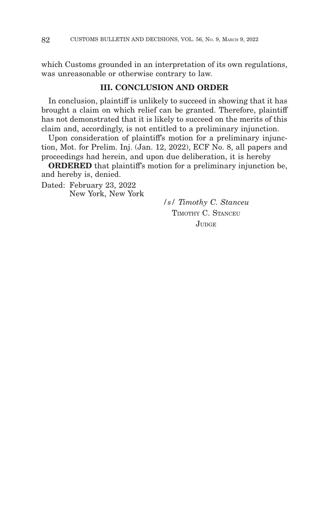which Customs grounded in an interpretation of its own regulations, was unreasonable or otherwise contrary to law.

#### **III. CONCLUSION AND ORDER**

In conclusion, plaintiff is unlikely to succeed in showing that it has brought a claim on which relief can be granted. Therefore, plaintiff has not demonstrated that it is likely to succeed on the merits of this claim and, accordingly, is not entitled to a preliminary injunction.

Upon consideration of plaintiff's motion for a preliminary injunction, Mot. for Prelim. Inj. (Jan. 12, 2022), ECF No. 8, all papers and proceedings had herein, and upon due deliberation, it is hereby

**ORDERED** that plaintiff's motion for a preliminary injunction be, and hereby is, denied.

Dated: February 23, 2022 New York, New York

*/s/ Timothy C. Stanceu* TIMOTHY C. STANCEU JUDGE